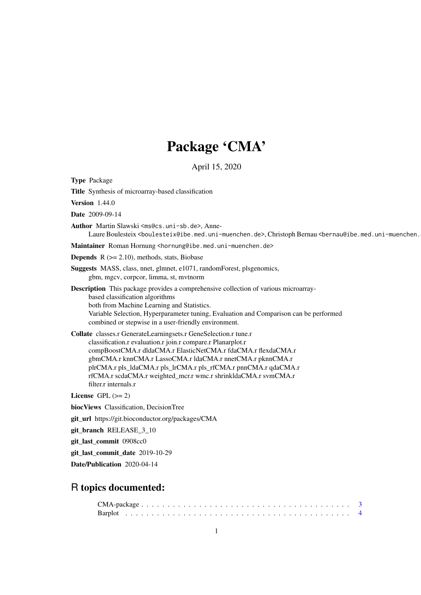# Package 'CMA'

April 15, 2020

<span id="page-0-0"></span>Type Package

Title Synthesis of microarray-based classification

Version 1.44.0

Date 2009-09-14

Author Martin Slawski <ms@cs.uni-sb.de>, Anne-

Laure Boulesteix <boulesteix@ibe.med.uni-muenchen.de>, Christoph Bernau <br/>bernau@ibe.med.uni-muenchen.

Maintainer Roman Hornung <hornung@ibe.med.uni-muenchen.de>

**Depends**  $R$  ( $>= 2.10$ ), methods, stats, Biobase

Suggests MASS, class, nnet, glmnet, e1071, randomForest, plsgenomics, gbm, mgcv, corpcor, limma, st, mvtnorm

Description This package provides a comprehensive collection of various microarraybased classification algorithms both from Machine Learning and Statistics. Variable Selection, Hyperparameter tuning, Evaluation and Comparison can be performed combined or stepwise in a user-friendly environment.

Collate classes.r GenerateLearningsets.r GeneSelection.r tune.r classification.r evaluation.r join.r compare.r Planarplot.r compBoostCMA.r dldaCMA.r ElasticNetCMA.r fdaCMA.r flexdaCMA.r gbmCMA.r knnCMA.r LassoCMA.r ldaCMA.r nnetCMA.r pknnCMA.r plrCMA.r pls\_ldaCMA.r pls\_lrCMA.r pls\_rfCMA.r pnnCMA.r qdaCMA.r rfCMA.r scdaCMA.r weighted\_mcr.r wmc.r shrinkldaCMA.r svmCMA.r filter.r internals.r

License GPL  $(>= 2)$ 

biocViews Classification, DecisionTree

git\_url https://git.bioconductor.org/packages/CMA

git\_branch RELEASE\_3\_10

git\_last\_commit 0908cc0

git last commit date 2019-10-29

Date/Publication 2020-04-14

# R topics documented: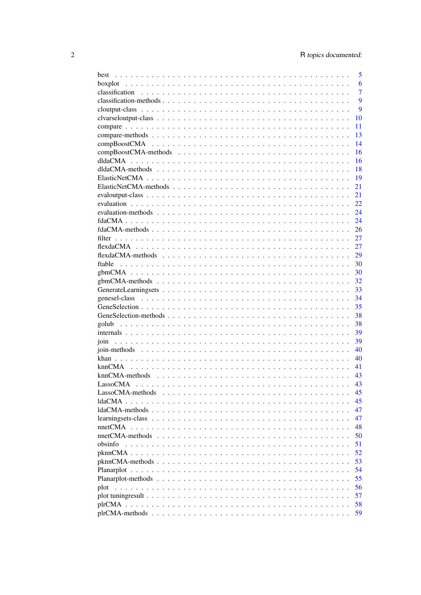|                                                                                            | 5              |
|--------------------------------------------------------------------------------------------|----------------|
|                                                                                            | 6              |
| classification                                                                             | $\overline{7}$ |
|                                                                                            | 9              |
|                                                                                            | 9              |
|                                                                                            | 10             |
|                                                                                            | 11             |
|                                                                                            | 13             |
|                                                                                            | 14             |
|                                                                                            | 16             |
|                                                                                            | 16             |
|                                                                                            | 18             |
|                                                                                            | 19             |
|                                                                                            | 21             |
|                                                                                            | 21             |
|                                                                                            | 22             |
|                                                                                            | 24             |
|                                                                                            | 24             |
|                                                                                            | 26             |
|                                                                                            | 27             |
|                                                                                            | 27             |
|                                                                                            | 29             |
|                                                                                            | 30             |
|                                                                                            | 30             |
|                                                                                            | 32             |
|                                                                                            | 33             |
|                                                                                            | 34             |
|                                                                                            | 35             |
|                                                                                            | 38             |
|                                                                                            | 38             |
|                                                                                            | 39             |
|                                                                                            | 39             |
|                                                                                            | 40             |
|                                                                                            | 40             |
| knnCMA                                                                                     | 41             |
| knnCMA-methods                                                                             | 43             |
| LassoCMA                                                                                   | 43             |
|                                                                                            |                |
| LassoCMA-methods                                                                           | 45             |
| ldaCMA.<br>$\mathbf{1}$ and $\mathbf{1}$ and $\mathbf{1}$                                  | 45             |
|                                                                                            | 47             |
| learningsets-class                                                                         | 47             |
| nnetCMA                                                                                    | 48             |
|                                                                                            | 50             |
| obsinfo                                                                                    | 51             |
|                                                                                            | 52             |
|                                                                                            | 53             |
|                                                                                            | 54             |
|                                                                                            | 55             |
| plot                                                                                       | 56             |
| plot tuning result $\ldots \ldots \ldots \ldots \ldots \ldots \ldots \ldots \ldots \ldots$ | 57             |
| $\sim$ $\sim$ $\sim$ $\sim$                                                                | 58             |
|                                                                                            | 59             |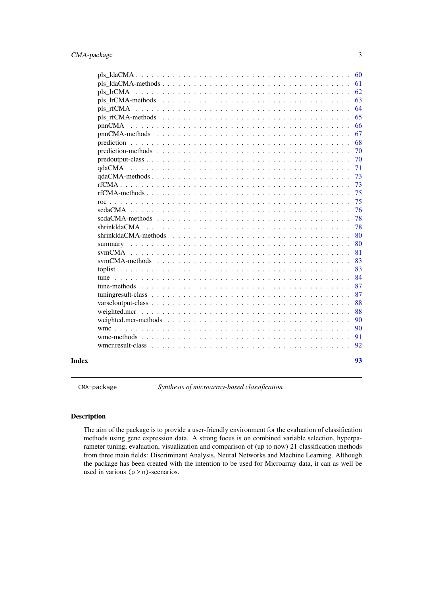<span id="page-2-0"></span>

|              |              | 60 |
|--------------|--------------|----|
|              |              | 61 |
|              |              | 62 |
|              |              | 63 |
|              |              | 64 |
|              |              | 65 |
|              |              | 66 |
|              |              | 67 |
|              |              | 68 |
|              |              | 70 |
|              |              | 70 |
|              | qdaCMA       | 71 |
|              |              | 73 |
|              |              | 73 |
|              |              | 75 |
|              |              | 75 |
|              |              | 76 |
|              |              | 78 |
|              | shrinkldaCMA | 78 |
|              |              | 80 |
|              |              | 80 |
|              |              | 81 |
|              |              | 83 |
|              |              | 83 |
|              |              | 84 |
|              |              | 87 |
|              |              | 87 |
|              |              | 88 |
|              |              | 88 |
|              |              | 90 |
|              |              | 90 |
|              |              | 91 |
|              |              | 92 |
| <b>Index</b> |              | 93 |

CMA-package *Synthesis of microarray-based classification*

#### Description

The aim of the package is to provide a user-friendly environment for the evaluation of classification methods using gene expression data. A strong focus is on combined variable selection, hyperparameter tuning, evaluation, visualization and comparison of (up to now) 21 classification methods from three main fields: Discriminant Analysis, Neural Networks and Machine Learning. Although the package has been created with the intention to be used for Microarray data, it can as well be used in various  $(p > n)$ -scenarios.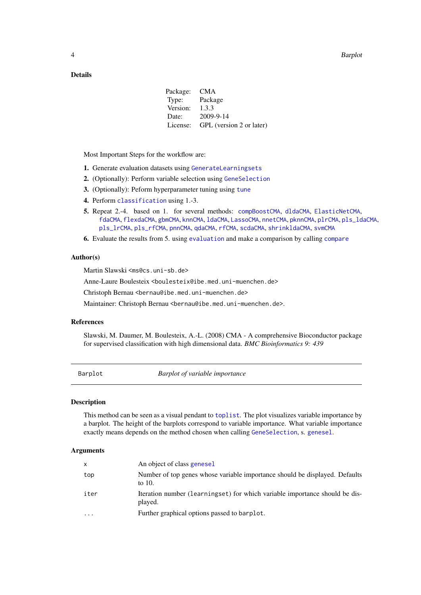# <span id="page-3-0"></span>Details

| CMA                      |
|--------------------------|
| Package                  |
| 1.3.3                    |
| 2009-9-14                |
| GPL (version 2 or later) |
|                          |

Most Important Steps for the workflow are:

- 1. Generate evaluation datasets using [GenerateLearningsets](#page-32-1)
- 2. (Optionally): Perform variable selection using [GeneSelection](#page-34-1)
- 3. (Optionally): Peform hyperparameter tuning using [tune](#page-83-1)
- 4. Perform [classification](#page-6-1) using 1.-3.
- 5. Repeat 2.-4. based on 1. for several methods: [compBoostCMA](#page-13-1), [dldaCMA](#page-15-1), [ElasticNetCMA](#page-18-1), [fdaCMA](#page-23-1), [flexdaCMA](#page-26-1), [gbmCMA](#page-29-1), [knnCMA](#page-40-1), [ldaCMA](#page-44-1), [LassoCMA](#page-42-1), [nnetCMA](#page-47-1), [pknnCMA](#page-51-1), [plrCMA](#page-57-1), [pls\\_ldaCMA](#page-59-1), [pls\\_lrCMA](#page-61-1), [pls\\_rfCMA](#page-63-1), [pnnCMA](#page-65-1), [qdaCMA](#page-70-1), [rfCMA](#page-72-1), [scdaCMA](#page-75-1), [shrinkldaCMA](#page-77-1), [svmCMA](#page-80-1)
- 6. Evaluate the results from 5. using [evaluation](#page-21-1) and make a comparison by calling [compare](#page-10-1)

#### Author(s)

Martin Slawski <ms@cs.uni-sb.de>

Anne-Laure Boulesteix <boulesteix@ibe.med.uni-muenchen.de>

Christoph Bernau <bernau@ibe.med.uni-muenchen.de>

Maintainer: Christoph Bernau <bernau@ibe.med.uni-muenchen.de>.

# References

Slawski, M. Daumer, M. Boulesteix, A.-L. (2008) CMA - A comprehensive Bioconductor package for supervised classification with high dimensional data. *BMC Bioinformatics 9: 439*

Barplot *Barplot of variable importance*

#### Description

This method can be seen as a visual pendant to [toplist](#page-82-1). The plot visualizes variable importance by a barplot. The height of the barplots correspond to variable importance. What variable importance exactly means depends on the method chosen when calling [GeneSelection](#page-34-1), s. [genesel](#page-33-1).

| $\mathsf{x}$ | An object of class genesel                                                               |
|--------------|------------------------------------------------------------------------------------------|
| top          | Number of top genes whose variable importance should be displayed. Defaults<br>to $10$ . |
| iter         | Iteration number (learningset) for which variable importance should be dis-<br>played.   |
| .            | Further graphical options passed to barplot.                                             |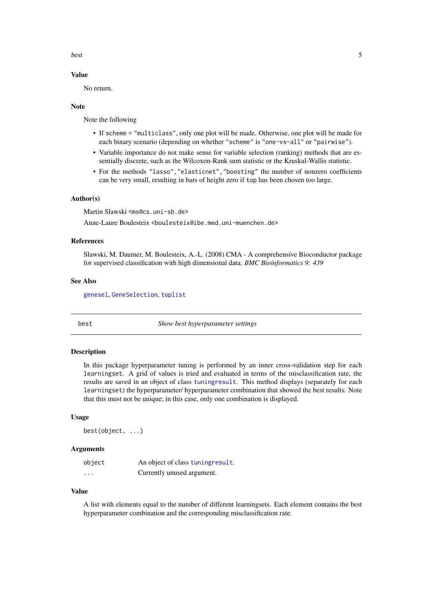<span id="page-4-0"></span>best 5

#### Value

No return.

#### Note

Note the following

- If scheme = "multiclass", only one plot will be made. Otherwise, one plot will be made for each binary scenario (depending on whether "scheme" is "one-vs-all" or "pairwise").
- Variable importance do not make sense for variable selection (ranking) methods that are essentially discrete, such as the Wilcoxon-Rank sum statistic or the Kruskal-Wallis statistic.
- For the methods "lasso","elasticnet","boosting" the number of nonzero coefficients can be very small, resulting in bars of height zero if top has been chosen too large.

# Author(s)

Martin Slawski <ms@cs.uni-sb.de>

Anne-Laure Boulesteix <boulesteix@ibe.med.uni-muenchen.de>

#### References

Slawski, M. Daumer, M. Boulesteix, A.-L. (2008) CMA - A comprehensive Bioconductor package for supervised classification with high dimensional data. *BMC Bioinformatics 9: 439*

#### See Also

[genesel](#page-33-1), [GeneSelection](#page-34-1), [toplist](#page-82-1)

best *Show best hyperparameter settings*

# Description

In this package hyperparameter tuning is performed by an inner cross-validation step for each learningset. A grid of values is tried and evaluated in terms of the misclassification rate, the results are saved in an object of class [tuningresult](#page-86-1). This method displays (separately for each learningset) the hyperparameter/ hyperparameter combination that showed the best results. Note that this must not be unique; in this case, only one combination is displayed.

## Usage

best(object, ...)

#### Arguments

| object   | An object of class tuning result. |
|----------|-----------------------------------|
| $\cdots$ | Currently unused argument.        |

#### Value

A list with elements equal to the number of different learningsets. Each element contains the best hyperparameter combination and the corresponding misclassification rate.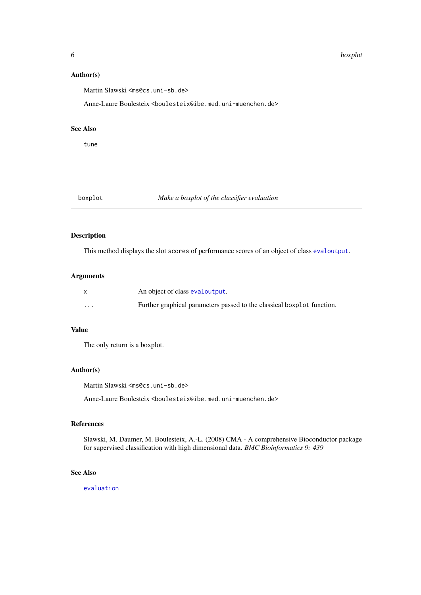6 boxplot boxplot boxplot boxplot boxplot boxplot boxplot boxplot boxplot boxplot boxplot boxplot boxplot boxplot boxplot boxplot boxplot boxplot boxplot boxplot boxplot boxplot boxplot boxplot boxplot boxplot boxplot boxp

#### Author(s)

Martin Slawski <ms@cs.uni-sb.de>

Anne-Laure Boulesteix <boulesteix@ibe.med.uni-muenchen.de>

#### See Also

tune

# boxplot *Make a boxplot of the classifier evaluation*

# Description

This method displays the slot scores of performance scores of an object of class [evaloutput](#page-20-1).

#### Arguments

|          | An object of class evaloutput.                                         |
|----------|------------------------------------------------------------------------|
| $\cdots$ | Further graphical parameters passed to the classical boxplot function. |

# Value

The only return is a boxplot.

# Author(s)

Martin Slawski <ms@cs.uni-sb.de>

Anne-Laure Boulesteix <boulesteix@ibe.med.uni-muenchen.de>

# References

Slawski, M. Daumer, M. Boulesteix, A.-L. (2008) CMA - A comprehensive Bioconductor package for supervised classification with high dimensional data. *BMC Bioinformatics 9: 439*

# See Also

[evaluation](#page-21-1)

<span id="page-5-0"></span>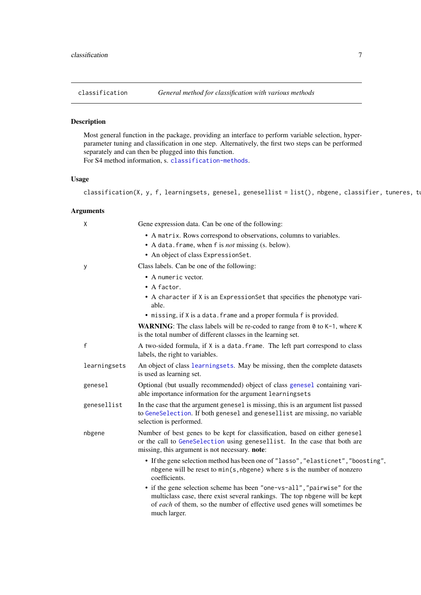<span id="page-6-1"></span><span id="page-6-0"></span>

# Description

Most general function in the package, providing an interface to perform variable selection, hyperparameter tuning and classification in one step. Alternatively, the first two steps can be performed separately and can then be plugged into this function.

For S4 method information, s. [classification-methods](#page-8-1).

# Usage

classification(X, y, f, learningsets, genesel, genesellist = list(), nbgene, classifier, tuneres, tr

| X            | Gene expression data. Can be one of the following:                                                                                                                                                                                                 |
|--------------|----------------------------------------------------------------------------------------------------------------------------------------------------------------------------------------------------------------------------------------------------|
|              | • A matrix. Rows correspond to observations, columns to variables.                                                                                                                                                                                 |
|              | • A data. frame, when f is <i>not</i> missing (s. below).                                                                                                                                                                                          |
|              | • An object of class ExpressionSet.                                                                                                                                                                                                                |
| У            | Class labels. Can be one of the following:                                                                                                                                                                                                         |
|              | • A numeric vector.                                                                                                                                                                                                                                |
|              | $\bullet$ A factor.                                                                                                                                                                                                                                |
|              | • A character if X is an ExpressionSet that specifies the phenotype vari-<br>able.                                                                                                                                                                 |
|              | • missing, if X is a data. frame and a proper formula f is provided.                                                                                                                                                                               |
|              | <b>WARNING:</b> The class labels will be re-coded to range from $\theta$ to $K-1$ , where K<br>is the total number of different classes in the learning set.                                                                                       |
| $\mathsf{f}$ | A two-sided formula, if X is a data. frame. The left part correspond to class<br>labels, the right to variables.                                                                                                                                   |
| learningsets | An object of class learningsets. May be missing, then the complete datasets<br>is used as learning set.                                                                                                                                            |
| genesel      | Optional (but usually recommended) object of class genesel containing vari-<br>able importance information for the argument learningsets                                                                                                           |
| genesellist  | In the case that the argument genesel is missing, this is an argument list passed<br>to GeneSelection. If both genesel and genesellist are missing, no variable<br>selection is performed.                                                         |
| nbgene       | Number of best genes to be kept for classification, based on either genesel<br>or the call to GeneSelection using genesellist. In the case that both are<br>missing, this argument is not necessary. note:                                         |
|              | • If the gene selection method has been one of "lasso", "elasticnet", "boosting",<br>nbgene will be reset to min(s, nbgene) where s is the number of nonzero<br>coefficients.                                                                      |
|              | • if the gene selection scheme has been "one-vs-all", "pairwise" for the<br>multiclass case, there exist several rankings. The top nbgene will be kept<br>of each of them, so the number of effective used genes will sometimes be<br>much larger. |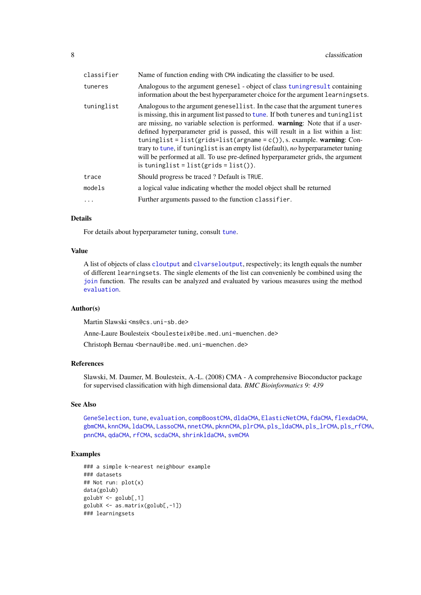| classifier | Name of function ending with CMA indicating the classifier to be used.                                                                                                                                                                                                                                                                                                                                                                                                                                                                                                                                                                  |
|------------|-----------------------------------------------------------------------------------------------------------------------------------------------------------------------------------------------------------------------------------------------------------------------------------------------------------------------------------------------------------------------------------------------------------------------------------------------------------------------------------------------------------------------------------------------------------------------------------------------------------------------------------------|
| tuneres    | Analogous to the argument genesel - object of class tuning result containing<br>information about the best hyperparameter choice for the argument learningsets.                                                                                                                                                                                                                                                                                                                                                                                                                                                                         |
| tuninglist | Analogous to the argument genesellist. In the case that the argument tuneres<br>is missing, this in argument list passed to tune. If both tuneres and tuninglist<br>are missing, no variable selection is performed. warning: Note that if a user-<br>defined hyperparameter grid is passed, this will result in a list within a list:<br>tuninglist = list(grids=list(argname = $c()$ ), s. example. warning: Con-<br>trary to tune, if tuninglist is an empty list (default), no hyperparameter tuning<br>will be performed at all. To use pre-defined hyperparameter grids, the argument<br>is tuninglist = $list(grids = list())$ . |
| trace      | Should progress be traced? Default is TRUE.                                                                                                                                                                                                                                                                                                                                                                                                                                                                                                                                                                                             |
| models     | a logical value indicating whether the model object shall be returned                                                                                                                                                                                                                                                                                                                                                                                                                                                                                                                                                                   |
|            | Further arguments passed to the function classifier.                                                                                                                                                                                                                                                                                                                                                                                                                                                                                                                                                                                    |

# Details

For details about hyperparameter tuning, consult [tune](#page-83-1).

# Value

A list of objects of class [cloutput](#page-8-2) and [clvarseloutput](#page-9-1), respectively; its length equals the number of different learningsets. The single elements of the list can convenienly be combined using the [join](#page-38-1) function. The results can be analyzed and evaluated by various measures using the method [evaluation](#page-21-1).

#### Author(s)

Martin Slawski <ms@cs.uni-sb.de>

Anne-Laure Boulesteix <boulesteix@ibe.med.uni-muenchen.de>

Christoph Bernau <bernau@ibe.med.uni-muenchen.de>

# References

Slawski, M. Daumer, M. Boulesteix, A.-L. (2008) CMA - A comprehensive Bioconductor package for supervised classification with high dimensional data. *BMC Bioinformatics 9: 439*

#### See Also

[GeneSelection](#page-34-1), [tune](#page-83-1), [evaluation](#page-21-1), [compBoostCMA](#page-13-1), [dldaCMA](#page-15-1), [ElasticNetCMA](#page-18-1), [fdaCMA](#page-23-1), [flexdaCMA](#page-26-1), [gbmCMA](#page-29-1), [knnCMA](#page-40-1), [ldaCMA](#page-44-1), [LassoCMA](#page-42-1), [nnetCMA](#page-47-1), [pknnCMA](#page-51-1), [plrCMA](#page-57-1), [pls\\_ldaCMA](#page-59-1), [pls\\_lrCMA](#page-61-1), [pls\\_rfCMA](#page-63-1), [pnnCMA](#page-65-1), [qdaCMA](#page-70-1), [rfCMA](#page-72-1), [scdaCMA](#page-75-1), [shrinkldaCMA](#page-77-1), [svmCMA](#page-80-1)

#### Examples

```
### a simple k-nearest neighbour example
### datasets
## Not run: plot(x)
data(golub)
golubY \le-golub[,1]golubX <- as.matrix(golub[,-1])
### learningsets
```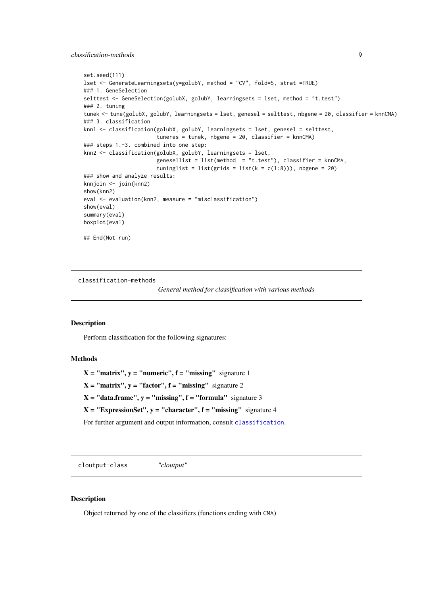<span id="page-8-0"></span>classification-methods 9

```
set.seed(111)
lset <- GenerateLearningsets(y=golubY, method = "CV", fold=5, strat =TRUE)
### 1. GeneSelection
selttest <- GeneSelection(golubX, golubY, learningsets = lset, method = "t.test")
### 2. tuning
tunek <- tune(golubX, golubY, learningsets = lset, genesel = selttest, nbgene = 20, classifier = knnCMA)
### 3. classification
knn1 <- classification(golubX, golubY, learningsets = lset, genesel = selttest,
                       tuneres = tunek, nbgene = 20, classifier = knnCMA)
### steps 1.-3. combined into one step:
knn2 <- classification(golubX, golubY, learningsets = lset,
                       genesellist = list(method = "t.test"), classifier = knnCMA,
                       tuninglist = list(grids = list(k = c(1:8))), nbgene = 20)
### show and analyze results:
knnjoin <- join(knn2)
show(knn2)
eval <- evaluation(knn2, measure = "misclassification")
show(eval)
summary(eval)
boxplot(eval)
## End(Not run)
```
<span id="page-8-1"></span>classification-methods

*General method for classification with various methods*

#### Description

Perform classification for the following signatures:

# Methods

```
X = "matrix", y = "numeric", f = "missing" signature 1X = "matrix", y = "factor", f = "missing" signature 2X = "data-frame", y = "missing", f = "formula" signature 3X = "ExpressionSet", y = "character", f = "missing" signature 4For further argument and output information, consult classification.
```
<span id="page-8-3"></span>cloutput-class *"cloutput"*

#### <span id="page-8-2"></span>Description

Object returned by one of the classifiers (functions ending with CMA)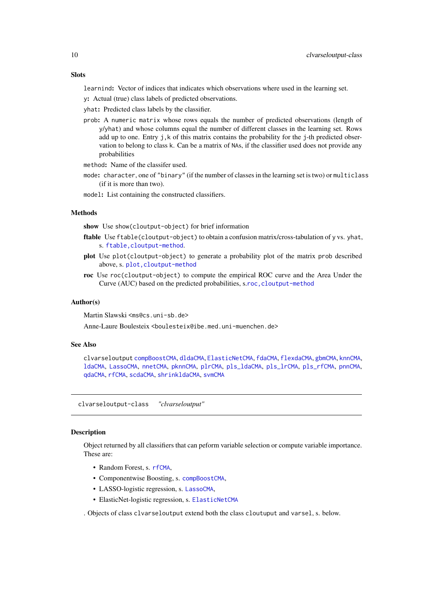#### <span id="page-9-0"></span>Slots

learnind: Vector of indices that indicates which observations where used in the learning set.

y: Actual (true) class labels of predicted observations.

yhat: Predicted class labels by the classifier.

prob: A numeric matrix whose rows equals the number of predicted observations (length of y/yhat) and whose columns equal the number of different classes in the learning set. Rows add up to one. Entry j, k of this matrix contains the probability for the j-th predicted observation to belong to class k. Can be a matrix of NAs, if the classifier used does not provide any probabilities

method: Name of the classifer used.

mode: character, one of "binary" (if the number of classes in the learning set is two) or multiclass (if it is more than two).

model: List containing the constructed classifiers.

# **Methods**

show Use show(cloutput-object) for brief information

- ftable Use ftable(cloutput-object) to obtain a confusion matrix/cross-tabulation of y vs. yhat, s. [ftable,cloutput-method](#page-0-0).
- plot Use plot(cloutput-object) to generate a probability plot of the matrix prob described above, s. [plot,cloutput-method](#page-0-0)
- roc Use roc(cloutput-object) to compute the empirical ROC curve and the Area Under the Curve (AUC) based on the predicted probabilities, s.[roc,cloutput-method](#page-0-0)

#### Author(s)

Martin Slawski <ms@cs.uni-sb.de>

Anne-Laure Boulesteix <boulesteix@ibe.med.uni-muenchen.de>

#### See Also

clvarseloutput [compBoostCMA](#page-13-1), [dldaCMA](#page-15-1), [ElasticNetCMA](#page-18-1), [fdaCMA](#page-23-1), [flexdaCMA](#page-26-1), [gbmCMA](#page-29-1), [knnCMA](#page-40-1), [ldaCMA](#page-44-1), [LassoCMA](#page-42-1), [nnetCMA](#page-47-1), [pknnCMA](#page-51-1), [plrCMA](#page-57-1), [pls\\_ldaCMA](#page-59-1), [pls\\_lrCMA](#page-61-1), [pls\\_rfCMA](#page-63-1), [pnnCMA](#page-65-1), [qdaCMA](#page-70-1), [rfCMA](#page-72-1), [scdaCMA](#page-75-1), [shrinkldaCMA](#page-77-1), [svmCMA](#page-80-1)

clvarseloutput-class *"clvarseloutput"*

#### <span id="page-9-1"></span>**Description**

Object returned by all classifiers that can peform variable selection or compute variable importance. These are:

- Random Forest, s. [rfCMA](#page-72-1),
- Componentwise Boosting, s. [compBoostCMA](#page-13-1),
- LASSO-logistic regression, s. [LassoCMA](#page-42-1),
- ElasticNet-logistic regression, s. [ElasticNetCMA](#page-18-1)

. Objects of class clvarseloutput extend both the class cloutuput and varsel, s. below.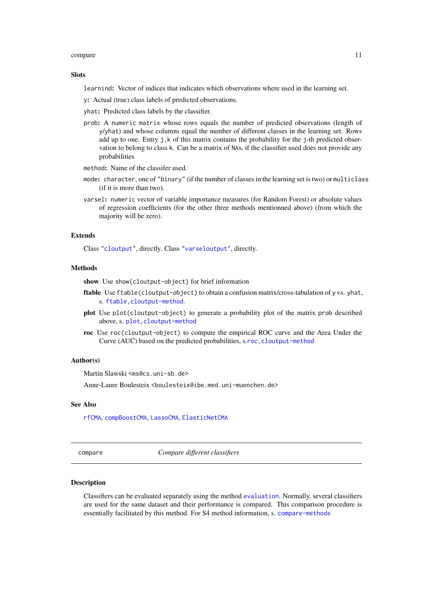#### <span id="page-10-0"></span>compare the compare that the compare the compare the compare the compare that  $\sim$  11

#### Slots

learnind: Vector of indices that indicates which observations where used in the learning set.

- y: Actual (true) class labels of predicted observations.
- yhat: Predicted class labels by the classifier.
- prob: A numeric matrix whose rows equals the number of predicted observations (length of y/yhat) and whose columns equal the number of different classes in the learning set. Rows add up to one. Entry  $j, k$  of this matrix contains the probability for the  $j$ -th predicted observation to belong to class k. Can be a matrix of NAs, if the classifier used does not provide any probabilities
- method: Name of the classifer used.
- mode: character, one of "binary" (if the number of classes in the learning set is two) or multiclass (if it is more than two).
- varsel: numeric vector of variable importance measures (for Random Forest) or absolute values of regression coefficients (for the other three methods mentionned above) (from which the majority will be zero).

#### Extends

Class ["cloutput"](#page-8-3), directly. Class ["varseloutput"](#page-87-1), directly.

# Methods

show Use show(cloutput-object) for brief information

- ftable Use ftable(cloutput-object) to obtain a confusion matrix/cross-tabulation of y vs. yhat, s. [ftable,cloutput-method](#page-0-0).
- plot Use plot(cloutput-object) to generate a probability plot of the matrix prob described above, s. [plot,cloutput-method](#page-0-0)
- roc Use roc(cloutput-object) to compute the empirical ROC curve and the Area Under the Curve (AUC) based on the predicted probabilities, s.[roc,cloutput-method](#page-0-0)

#### Author(s)

Martin Slawski <ms@cs.uni-sb.de>

Anne-Laure Boulesteix <boulesteix@ibe.med.uni-muenchen.de>

#### See Also

[rfCMA](#page-72-1), [compBoostCMA](#page-13-1), [LassoCMA](#page-42-1), [ElasticNetCMA](#page-18-1)

<span id="page-10-1"></span>compare *Compare different classifiers*

# Description

Classifiers can be evaluated separately using the method [evaluation](#page-21-1). Normally, several classifiers are used for the same dataset and their performance is compared. This comparison procedure is essentially facilitated by this method. For S4 method information, s. [compare-methods](#page-12-1)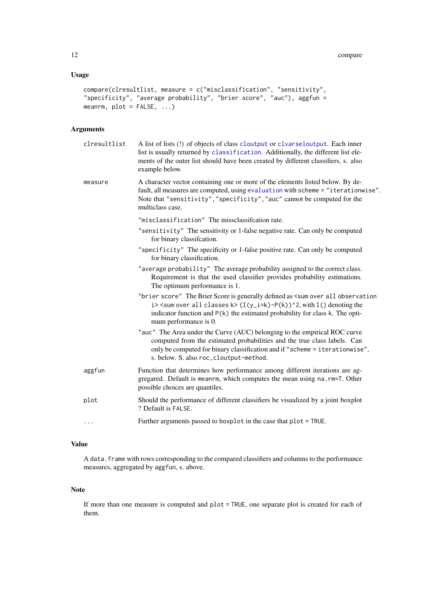# Usage

```
compare(clresultlist, measure = c("misclassification", "sensitivity",
"specificity", "average probability", "brier score", "auc"), aggfun =
meanrm, plot = FALSE, ...
```
# Arguments

| clresultlist | A list of lists (!) of objects of class cloutput or clvarseloutput. Each inner<br>list is usually returned by classification. Additionally, the different list ele-<br>ments of the outer list should have been created by different classifiers, s. also<br>example below.                                         |
|--------------|---------------------------------------------------------------------------------------------------------------------------------------------------------------------------------------------------------------------------------------------------------------------------------------------------------------------|
| measure      | A character vector containing one or more of the elements listed below. By de-<br>fault, all measures are computed, using evaluation with scheme = "iterationwise".<br>Note that "sensitivity", "specificity", "auc" cannot be computed for the<br>multiclass case.                                                 |
|              | "misclassification" The missclassifcation rate.                                                                                                                                                                                                                                                                     |
|              | "sensitivity" The sensitivity or 1-false negative rate. Can only be computed<br>for binary classification.                                                                                                                                                                                                          |
|              | "specificity" The specificity or 1-false positive rate. Can only be computed<br>for binary classification.                                                                                                                                                                                                          |
|              | "average probability" The average probability assigned to the correct class.<br>Requirement is that the used classifier provides probability estimations.<br>The optimum performance is 1.                                                                                                                          |
|              | "brier score" The Brier Score is generally defined as <sum all="" observation<br="" over="">i&gt; <sum all="" classes="" k="" over=""> (I(y_i=k)-P(k))^2, with I() denoting the<br/>indicator function and <math>P(k)</math> the estimated probability for class k. The opti-<br/>mum performance is 0.</sum></sum> |
|              | "auc" The Area under the Curve (AUC) belonging to the empirical ROC curve<br>computed from the estimated probabilities and the true class labels. Can<br>only be computed for binary classification and if "scheme = iterationwise",<br>s. below. S. also roc, cloutput-method.                                     |
| aggfun       | Function that determines how performance among different iterations are ag-<br>gregared. Default is meanrm, which computes the mean using na.rm=T. Other<br>possible choices are quantiles.                                                                                                                         |
| plot         | Should the performance of different classifiers be visualized by a joint boxplot<br>? Default is FALSE.                                                                                                                                                                                                             |
| $\ddotsc$    | Further arguments passed to boxplot in the case that plot = TRUE.                                                                                                                                                                                                                                                   |
|              |                                                                                                                                                                                                                                                                                                                     |

# Value

A data. frame with rows corresponding to the compared classifiers and columns to the performance measures, aggregated by aggfun, s. above.

# Note

If more than one measure is computed and plot = TRUE, one separate plot is created for each of them.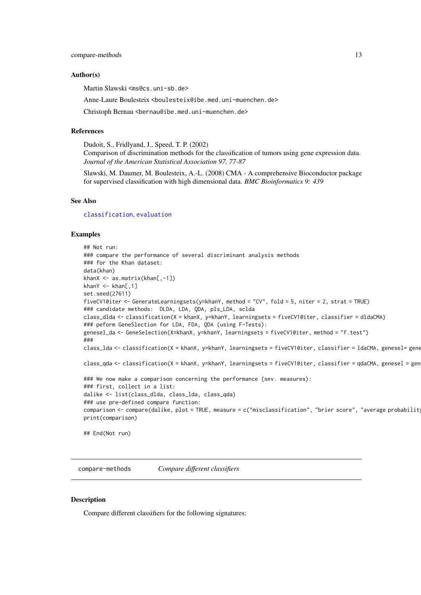#### <span id="page-12-0"></span>compare-methods 13

#### Author(s)

Martin Slawski <ms@cs.uni-sb.de>

Anne-Laure Boulesteix <boulesteix@ibe.med.uni-muenchen.de>

Christoph Bernau <bernau@ibe.med.uni-muenchen.de>

#### References

Dudoit, S., Fridlyand, J., Speed, T. P. (2002)

Comparison of discrimination methods for the classification of tumors using gene expression data. *Journal of the American Statistical Association 97, 77-87*

Slawski, M. Daumer, M. Boulesteix, A.-L. (2008) CMA - A comprehensive Bioconductor package for supervised classification with high dimensional data. *BMC Bioinformatics 9: 439*

#### See Also

[classification](#page-6-1), [evaluation](#page-21-1)

#### Examples

```
## Not run:
### compare the performance of several discriminant analysis methods
### for the Khan dataset:
data(khan)
khanX <- as.matrix(khan[,-1])
khanY \leq khan[,1]
set.seed(27611)
fiveCV10iter <- GenerateLearningsets(y=khanY, method = "CV", fold = 5, niter = 2, strat = TRUE)
### candidate methods: DLDA, LDA, QDA, pls_LDA, sclda
class_dlda <- classification(X = khanX, y=khanY, learningsets = fiveCV10iter, classifier = dldaCMA)
### peform GeneSlection for LDA, FDA, QDA (using F-Tests):
genesel_da <- GeneSelection(X=khanX, y=khanY, learningsets = fiveCV10iter, method = "f.test")
###
class_lda <- classification(X = khanX, y=khanY, learningsets = fiveCV10iter, classifier = 1daCMA, genesel= gene
class_qda <- classification(X = khanX, y=khanY, learningsets = fiveCV10iter, classifier = qdaCMA, genesel = gen
### We now make a comparison concerning the performance (sev. measures):
### first, collect in a list:
dalike <- list(class_dlda, class_lda, class_qda)
### use pre-defined compare function:
comparison <- compare(dalike, plot = TRUE, measure = c("misclassification", "brier score", "average probabilit
print(comparison)
## End(Not run)
```
<span id="page-12-1"></span>compare-methods *Compare different classifiers*

#### Description

Compare different classifiers for the following signatures: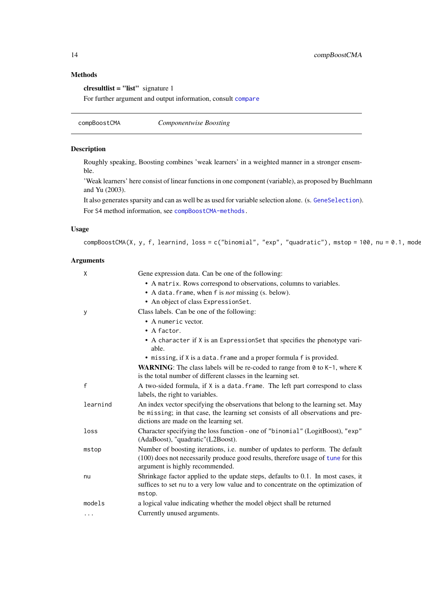# <span id="page-13-0"></span>Methods

clresultlist = "list" signature 1

For further argument and output information, consult [compare](#page-10-1)

<span id="page-13-1"></span>compBoostCMA *Componentwise Boosting*

# Description

Roughly speaking, Boosting combines 'weak learners' in a weighted manner in a stronger ensemble.

'Weak learners' here consist of linear functions in one component (variable), as proposed by Buehlmann and Yu (2003).

It also generates sparsity and can as well be as used for variable selection alone. (s. [GeneSelection](#page-34-1)).

For S4 method information, see [compBoostCMA-methods.](#page-15-2)

# Usage

compBoostCMA(X, y, f, learnind, loss = c("binomial", "exp", "quadratic"), mstop = 100, nu = 0.1, mode

| X            | Gene expression data. Can be one of the following:                                                                                                                                                             |
|--------------|----------------------------------------------------------------------------------------------------------------------------------------------------------------------------------------------------------------|
|              | • A matrix. Rows correspond to observations, columns to variables.                                                                                                                                             |
|              | • A data. frame, when f is <i>not</i> missing (s. below).                                                                                                                                                      |
|              | • An object of class ExpressionSet.                                                                                                                                                                            |
| У            | Class labels. Can be one of the following:                                                                                                                                                                     |
|              | • A numeric vector.                                                                                                                                                                                            |
|              | • A factor.                                                                                                                                                                                                    |
|              | • A character if X is an ExpressionSet that specifies the phenotype vari-<br>able.                                                                                                                             |
|              | • missing, if X is a data. frame and a proper formula f is provided.                                                                                                                                           |
|              | <b>WARNING:</b> The class labels will be re-coded to range from $\theta$ to $K-1$ , where K<br>is the total number of different classes in the learning set.                                                   |
| $\mathsf{f}$ | A two-sided formula, if X is a data. frame. The left part correspond to class<br>labels, the right to variables.                                                                                               |
| learnind     | An index vector specifying the observations that belong to the learning set. May<br>be missing; in that case, the learning set consists of all observations and pre-<br>dictions are made on the learning set. |
| loss         | Character specifying the loss function - one of "binomial" (LogitBoost), "exp"<br>(AdaBoost), "quadratic"(L2Boost).                                                                                            |
| mstop        | Number of boosting iterations, i.e. number of updates to perform. The default<br>(100) does not necessarily produce good results, therefore usage of tune for this<br>argument is highly recommended.          |
| nu           | Shrinkage factor applied to the update steps, defaults to 0.1. In most cases, it<br>suffices to set nu to a very low value and to concentrate on the optimization of<br>mstop.                                 |
| models       | a logical value indicating whether the model object shall be returned                                                                                                                                          |
| $\cdots$     | Currently unused arguments.                                                                                                                                                                                    |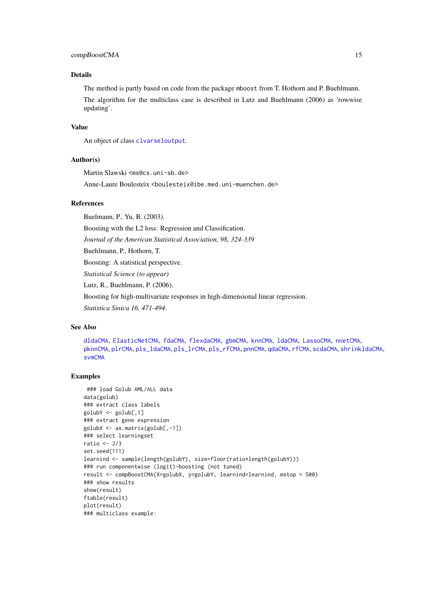#### compBoostCMA 15

#### Details

The method is partly based on code from the package mboost from T. Hothorn and P. Buehlmann. The algorithm for the multiclass case is described in Lutz and Buehlmann (2006) as 'rowwise updating'.

# Value

An object of class [clvarseloutput](#page-9-1).

#### Author(s)

Martin Slawski <ms@cs.uni-sb.de> Anne-Laure Boulesteix <boulesteix@ibe.med.uni-muenchen.de>

#### References

Buelmann, P., Yu, B. (2003). Boosting with the L2 loss: Regression and Classification. *Journal of the American Statistical Association, 98, 324-339* Buehlmann, P., Hothorn, T. Boosting: A statistical perspective. *Statistical Science (to appear)* Lutz, R., Buehlmann, P. (2006). Boosting for high-multivariate responses in high-dimensional linear regression. *Statistica Sinica 16, 471-494*.

#### See Also

```
dldaCMA, ElasticNetCMA, fdaCMA, flexdaCMA, gbmCMA, knnCMA, ldaCMA, LassoCMA, nnetCMA,
pknnCMA, plrCMA, pls_ldaCMA, pls_lrCMA, pls_rfCMA, pnnCMA, qdaCMA, rfCMA, scdaCMA, shrinkldaCMA,
svmCMA
```
#### Examples

```
### load Golub AML/ALL data
data(golub)
### extract class labels
golubY <- golub[,1]
### extract gene expression
golubX <- as.matrix(golub[,-1])
### select learningset
ratio <- 2/3
set.seed(111)
learnind <- sample(length(golubY), size=floor(ratio*length(golubY)))
### run componentwise (logit)-boosting (not tuned)
result <- compBoostCMA(X=golubX, y=golubY, learnind=learnind, mstop = 500)
### show results
show(result)
ftable(result)
plot(result)
### multiclass example:
```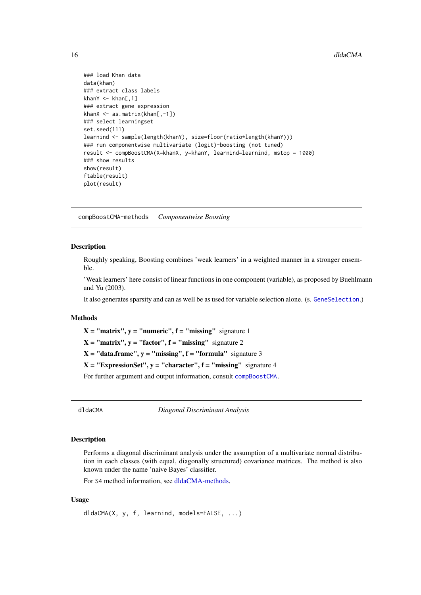```
### load Khan data
data(khan)
### extract class labels
khanY \leq khan[,1]
### extract gene expression
khanX <- as.matrix(khan[,-1])
### select learningset
set.seed(111)
learnind <- sample(length(khanY), size=floor(ratio*length(khanY)))
### run componentwise multivariate (logit)-boosting (not tuned)
result <- compBoostCMA(X=khanX, y=khanY, learnind=learnind, mstop = 1000)
### show results
show(result)
ftable(result)
plot(result)
```
<span id="page-15-2"></span>compBoostCMA-methods *Componentwise Boosting*

# Description

Roughly speaking, Boosting combines 'weak learners' in a weighted manner in a stronger ensemble.

'Weak learners' here consist of linear functions in one component (variable), as proposed by Buehlmann and Yu (2003).

It also generates sparsity and can as well be as used for variable selection alone. (s. [GeneSelection](#page-34-1).)

## Methods

 $X = "matrix", y = "numeric", f = "missing" signature 1$ 

 $X = "matrix", y = "factor", f = "missing" signature 2$ 

 $X = "data-frame", y = "missing", f = "formula" signature 3$ 

 $X = "ExpressionSet", y = "character", f = "missing" signature 4$ 

For further argument and output information, consult [compBoostCMA.](#page-13-1)

<span id="page-15-1"></span>dldaCMA *Diagonal Discriminant Analysis*

#### Description

Performs a diagonal discriminant analysis under the assumption of a multivariate normal distribution in each classes (with equal, diagonally structured) covariance matrices. The method is also known under the name 'naive Bayes' classifier.

For S4 method information, see [dldaCMA-methods.](#page-17-1)

# Usage

```
dldaCMA(X, y, f, learnind, models=FALSE, ...)
```
<span id="page-15-0"></span>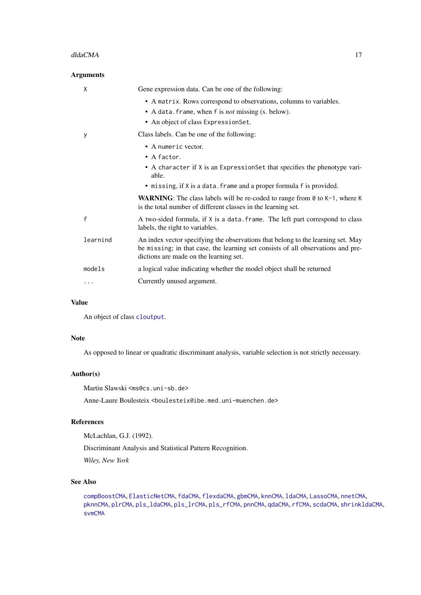#### dldaCMA 17

| <b>Arguments</b> |                                                                                                                                                                                                                |
|------------------|----------------------------------------------------------------------------------------------------------------------------------------------------------------------------------------------------------------|
| X                | Gene expression data. Can be one of the following:                                                                                                                                                             |
|                  | • A matrix. Rows correspond to observations, columns to variables.                                                                                                                                             |
|                  | • A data. frame, when f is <i>not</i> missing (s. below).                                                                                                                                                      |
|                  | • An object of class ExpressionSet.                                                                                                                                                                            |
| У                | Class labels. Can be one of the following:                                                                                                                                                                     |
|                  | • A numeric vector.                                                                                                                                                                                            |
|                  | $\bullet$ A factor.                                                                                                                                                                                            |
|                  | • A character if X is an ExpressionSet that specifies the phenotype vari-<br>able.                                                                                                                             |
|                  | • missing, if X is a data. frame and a proper formula f is provided.                                                                                                                                           |
|                  | <b>WARNING:</b> The class labels will be re-coded to range from $\theta$ to $K-1$ , where K<br>is the total number of different classes in the learning set.                                                   |
| f                | A two-sided formula, if X is a data. frame. The left part correspond to class<br>labels, the right to variables.                                                                                               |
| learnind         | An index vector specifying the observations that belong to the learning set. May<br>be missing; in that case, the learning set consists of all observations and pre-<br>dictions are made on the learning set. |
| models           | a logical value indicating whether the model object shall be returned                                                                                                                                          |
| $\cdots$         | Currently unused argument.                                                                                                                                                                                     |

# Value

An object of class [cloutput](#page-8-2).

# Note

As opposed to linear or quadratic discriminant analysis, variable selection is not strictly necessary.

# Author(s)

Martin Slawski <ms@cs.uni-sb.de>

Anne-Laure Boulesteix <boulesteix@ibe.med.uni-muenchen.de>

# References

McLachlan, G.J. (1992).

Discriminant Analysis and Statistical Pattern Recognition.

*Wiley, New York*

# See Also

```
compBoostCMA, ElasticNetCMA, fdaCMA, flexdaCMA, gbmCMA, knnCMA, ldaCMA, LassoCMA, nnetCMA,
pknnCMA, plrCMA, pls_ldaCMA, pls_lrCMA, pls_rfCMA, pnnCMA, qdaCMA, rfCMA, scdaCMA, shrinkldaCMA,
svmCMA
```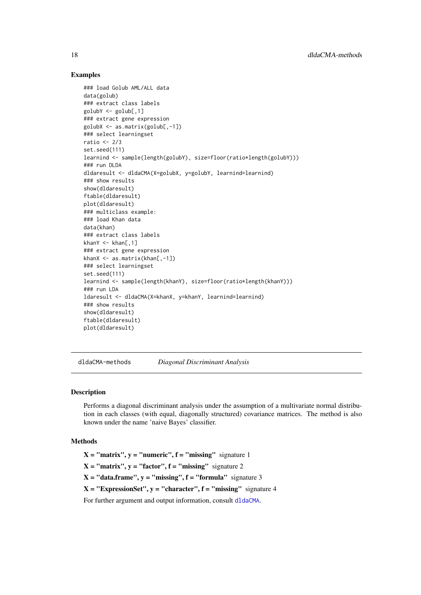#### Examples

```
### load Golub AML/ALL data
data(golub)
### extract class labels
golubY <- golub[,1]
### extract gene expression
golubX <- as.matrix(golub[,-1])
### select learningset
ratio <-2/3set.seed(111)
learnind <- sample(length(golubY), size=floor(ratio*length(golubY)))
### run DLDA
dldaresult <- dldaCMA(X=golubX, y=golubY, learnind=learnind)
### show results
show(dldaresult)
ftable(dldaresult)
plot(dldaresult)
### multiclass example:
### load Khan data
data(khan)
### extract class labels
khanY \leq khan[,1]### extract gene expression
khanX <- as.matrix(khan[,-1])
### select learningset
set.seed(111)
learnind <- sample(length(khanY), size=floor(ratio*length(khanY)))
### run LDA
ldaresult <- dldaCMA(X=khanX, y=khanY, learnind=learnind)
### show results
show(dldaresult)
ftable(dldaresult)
plot(dldaresult)
```
<span id="page-17-1"></span>dldaCMA-methods *Diagonal Discriminant Analysis*

#### **Description**

Performs a diagonal discriminant analysis under the assumption of a multivariate normal distribution in each classes (with equal, diagonally structured) covariance matrices. The method is also known under the name 'naive Bayes' classifier.

#### Methods

 $X = "matrix", y = "numeric", f = "missing" signature 1$  $X = "matrix", y = "factor", f = "missing" signature 2$  $X = "data-frame", v = "missing", f = "formula" signature 3$  $X = "ExpressionSet", y = "character", f = "missing" signature 4$ For further argument and output information, consult [dldaCMA](#page-15-1).

<span id="page-17-0"></span>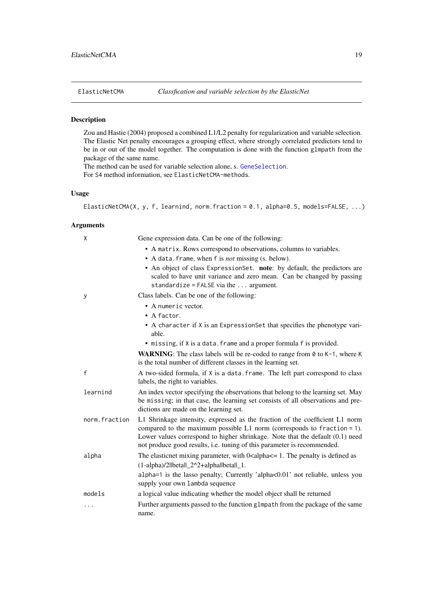<span id="page-18-1"></span><span id="page-18-0"></span>

# Description

Zou and Hastie (2004) proposed a combined L1/L2 penalty for regularization and variable selection. The Elastic Net penalty encourages a grouping effect, where strongly correlated predictors tend to be in or out of the model together. The computation is done with the function glmpath from the package of the same name.

The method can be used for variable selection alone, s. [GeneSelection](#page-34-1).

For S4 method information, see ElasticNetCMA-methods.

# Usage

ElasticNetCMA(X, y, f, learnind, norm.fraction =  $0.1$ , alpha= $0.5$ , models=FALSE, ...)

| X             | Gene expression data. Can be one of the following:                                                                                                                                                                                                                                                                    |
|---------------|-----------------------------------------------------------------------------------------------------------------------------------------------------------------------------------------------------------------------------------------------------------------------------------------------------------------------|
|               | • A matrix. Rows correspond to observations, columns to variables.                                                                                                                                                                                                                                                    |
|               | • A data. frame, when f is <i>not</i> missing (s. below).                                                                                                                                                                                                                                                             |
|               | • An object of class ExpressionSet. note: by default, the predictors are<br>scaled to have unit variance and zero mean. Can be changed by passing<br>standardize = $FALSE via the  argument.$                                                                                                                         |
| У             | Class labels. Can be one of the following:                                                                                                                                                                                                                                                                            |
|               | • A numeric vector.                                                                                                                                                                                                                                                                                                   |
|               | • A factor.                                                                                                                                                                                                                                                                                                           |
|               | • A character if X is an ExpressionSet that specifies the phenotype vari-<br>able.                                                                                                                                                                                                                                    |
|               | • missing, if X is a data. frame and a proper formula f is provided.                                                                                                                                                                                                                                                  |
|               | <b>WARNING:</b> The class labels will be re-coded to range from $\theta$ to $K-1$ , where K<br>is the total number of different classes in the learning set.                                                                                                                                                          |
| $\mathsf{f}$  | A two-sided formula, if X is a data. frame. The left part correspond to class<br>labels, the right to variables.                                                                                                                                                                                                      |
| learnind      | An index vector specifying the observations that belong to the learning set. May<br>be missing; in that case, the learning set consists of all observations and pre-<br>dictions are made on the learning set.                                                                                                        |
| norm.fraction | L1 Shrinkage intensity, expressed as the fraction of the coefficient L1 norm<br>compared to the maximum possible $L1$ norm (corresponds to fraction = 1).<br>Lower values correspond to higher shrinkage. Note that the default (0.1) need<br>not produce good results, i.e. tuning of this parameter is recommended. |
| alpha         | The elasticnet mixing parameter, with $0$ <alpha<math>\le = 1. The penalty is defined as</alpha<math>                                                                                                                                                                                                                 |
|               | $(1-a1pha)/2$   beta   $2^2-2+a1pha$   beta   $1$ .                                                                                                                                                                                                                                                                   |
|               | alpha=1 is the lasso penalty; Currently 'alpha<0.01' not reliable, unless you<br>supply your own lambda sequence                                                                                                                                                                                                      |
| models        | a logical value indicating whether the model object shall be returned                                                                                                                                                                                                                                                 |
| .             | Further arguments passed to the function glmpath from the package of the same<br>name.                                                                                                                                                                                                                                |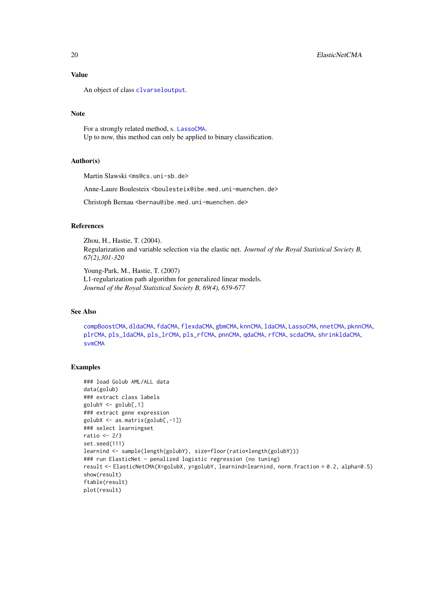#### Value

An object of class [clvarseloutput](#page-9-1).

# Note

For a strongly related method, s. [LassoCMA](#page-42-1). Up to now, this method can only be applied to binary classification.

# Author(s)

Martin Slawski <ms@cs.uni-sb.de>

Anne-Laure Boulesteix <boulesteix@ibe.med.uni-muenchen.de>

Christoph Bernau <bernau@ibe.med.uni-muenchen.de>

#### References

Zhou, H., Hastie, T. (2004). Regularization and variable selection via the elastic net. *Journal of the Royal Statistical Society B, 67(2),301-320*

Young-Park, M., Hastie, T. (2007) L1-regularization path algorithm for generalized linear models. *Journal of the Royal Statistical Society B, 69(4), 659-677*

#### See Also

[compBoostCMA](#page-13-1), [dldaCMA](#page-15-1), [fdaCMA](#page-23-1), [flexdaCMA](#page-26-1), [gbmCMA](#page-29-1), [knnCMA](#page-40-1), [ldaCMA](#page-44-1), [LassoCMA](#page-42-1), [nnetCMA](#page-47-1), [pknnCMA](#page-51-1), [plrCMA](#page-57-1), [pls\\_ldaCMA](#page-59-1), [pls\\_lrCMA](#page-61-1), [pls\\_rfCMA](#page-63-1), [pnnCMA](#page-65-1), [qdaCMA](#page-70-1), [rfCMA](#page-72-1), [scdaCMA](#page-75-1), [shrinkldaCMA](#page-77-1), [svmCMA](#page-80-1)

# Examples

```
### load Golub AML/ALL data
data(golub)
### extract class labels
golubY <- golub[,1]
### extract gene expression
golubX <- as.matrix(golub[,-1])
### select learningset
ratio <-2/3set.seed(111)
learnind <- sample(length(golubY), size=floor(ratio*length(golubY)))
### run ElasticNet - penalized logistic regression (no tuning)
result <- ElasticNetCMA(X=golubX, y=golubY, learnind=learnind, norm.fraction = 0.2, alpha=0.5)
show(result)
ftable(result)
plot(result)
```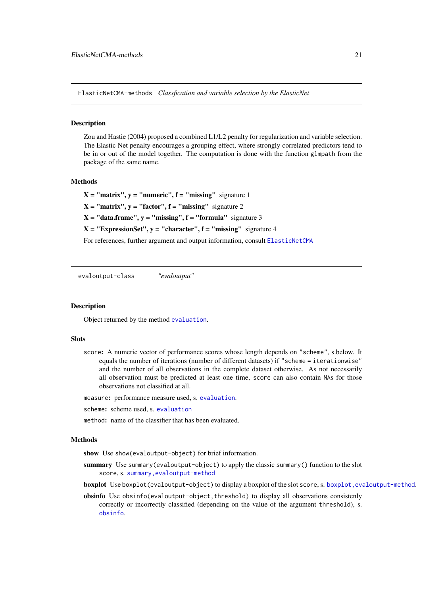<span id="page-20-0"></span>ElasticNetCMA-methods *Classfication and variable selection by the ElasticNet*

# **Description**

Zou and Hastie (2004) proposed a combined L1/L2 penalty for regularization and variable selection. The Elastic Net penalty encourages a grouping effect, where strongly correlated predictors tend to be in or out of the model together. The computation is done with the function glmpath from the package of the same name.

# Methods

 $X = "matrix", y = "numeric", f = "missing" signature 1$  $X = "matrix", y = "factor", f = "missing"$  signature 2  $X = "data-frame", y = "missing", f = "formula" signature 3$  $X = "ExpressionSet", y = "character", f = "missing" signature 4$ 

For references, further argument and output information, consult [ElasticNetCMA](#page-18-1)

evaloutput-class *"evaloutput"*

#### <span id="page-20-1"></span>Description

Object returned by the method [evaluation](#page-21-1).

#### Slots

score: A numeric vector of performance scores whose length depends on "scheme", s.below. It equals the number of iterations (number of different datasets) if "scheme = iterationwise" and the number of all observations in the complete dataset otherwise. As not necessarily all observation must be predicted at least one time, score can also contain NAs for those observations not classified at all.

measure: performance measure used, s. [evaluation](#page-21-1).

- scheme: scheme used, s. [evaluation](#page-21-1)
- method: name of the classifier that has been evaluated.

#### Methods

show Use show(evaloutput-object) for brief information.

- summary Use summary(evaloutput-object) to apply the classic summary() function to the slot score, s. [summary,evaloutput-method](#page-0-0)
- boxplot Use boxplot(evaloutput-object) to display a boxplot of the slot score, s. [boxplot,evaloutput-method](#page-0-0).
- obsinfo Use obsinfo(evaloutput-object, threshold) to display all observations consistenly correctly or incorrectly classified (depending on the value of the argument threshold), s. [obsinfo](#page-50-1).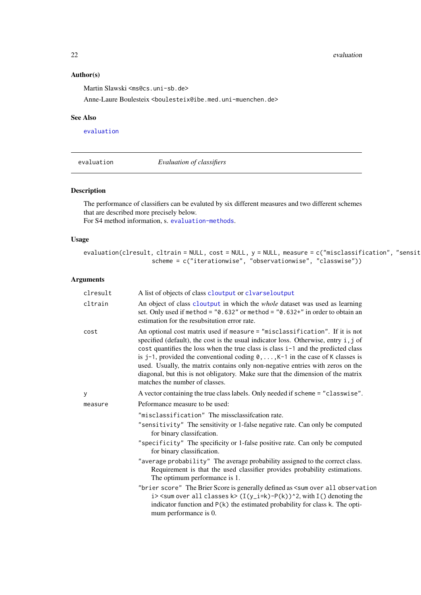$22$  evaluation  $\sim$  evaluation  $\sim$  evaluation  $\sim$  evaluation  $\sim$ 

# Author(s)

Martin Slawski <ms@cs.uni-sb.de>

Anne-Laure Boulesteix <boulesteix@ibe.med.uni-muenchen.de>

# See Also

[evaluation](#page-21-1)

<span id="page-21-1"></span>evaluation *Evaluation of classifiers*

## Description

The performance of classifiers can be evaluted by six different measures and two different schemes that are described more precisely below.

For S4 method information, s. [evaluation-methods](#page-23-2).

# Usage

evaluation(clresult, cltrain = NULL, cost = NULL,  $y$  = NULL, measure = c("misclassification", "sensit scheme = c("iterationwise", "observationwise", "classwise"))

| An object of class cloutput in which the <i>whole</i> dataset was used as learning<br>set. Only used if method = $"0.632"$ or method = $"0.632"$ in order to obtain an                                                                                                                                                                                                                                                                                                                                                    |
|---------------------------------------------------------------------------------------------------------------------------------------------------------------------------------------------------------------------------------------------------------------------------------------------------------------------------------------------------------------------------------------------------------------------------------------------------------------------------------------------------------------------------|
|                                                                                                                                                                                                                                                                                                                                                                                                                                                                                                                           |
| An optional cost matrix used if measure = "misclassification". If it is not<br>specified (default), the cost is the usual indicator loss. Otherwise, entry i, j of<br>cost quantifies the loss when the true class is class i-1 and the predicted class<br>is $j-1$ , provided the conventional coding $0, \ldots, K-1$ in the case of K classes is<br>used. Usually, the matrix contains only non-negative entries with zeros on the<br>diagonal, but this is not obligatory. Make sure that the dimension of the matrix |
| A vector containing the true class labels. Only needed if scheme = "classwise".                                                                                                                                                                                                                                                                                                                                                                                                                                           |
|                                                                                                                                                                                                                                                                                                                                                                                                                                                                                                                           |
|                                                                                                                                                                                                                                                                                                                                                                                                                                                                                                                           |
| "sensitivity" The sensitivity or 1-false negative rate. Can only be computed                                                                                                                                                                                                                                                                                                                                                                                                                                              |
| "specificity" The specificity or 1-false positive rate. Can only be computed                                                                                                                                                                                                                                                                                                                                                                                                                                              |
| "average probability" The average probability assigned to the correct class.<br>Requirement is that the used classifier provides probability estimations.                                                                                                                                                                                                                                                                                                                                                                 |
| "brier score" The Brier Score is generally defined as <sum all="" observation<br="" over=""><math>i</math> &gt; <sum <math="" all="" classes="" over="">k &gt; <math>(I(y_i=k)-P(k))</math> ^2, with I() denoting the<br/>indicator function and <math>P(k)</math> the estimated probability for class k. The opti-</sum></sum>                                                                                                                                                                                           |
|                                                                                                                                                                                                                                                                                                                                                                                                                                                                                                                           |

<span id="page-21-0"></span>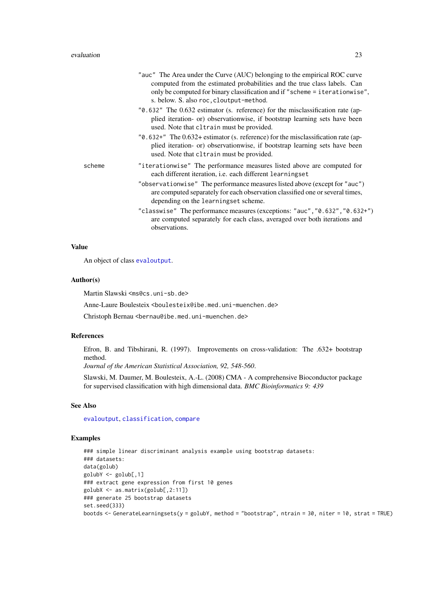|        | "auc" The Area under the Curve (AUC) belonging to the empirical ROC curve<br>computed from the estimated probabilities and the true class labels. Can<br>only be computed for binary classification and if "scheme = iterationwise",<br>s. below. S. also roc, cloutput-method. |
|--------|---------------------------------------------------------------------------------------------------------------------------------------------------------------------------------------------------------------------------------------------------------------------------------|
|        | "0.632" The 0.632 estimator (s. reference) for the misclassification rate (ap-<br>plied iteration- or) observationwise, if bootstrap learning sets have been<br>used. Note that cltrain must be provided.                                                                       |
|        | "0.632+" The 0.632+ estimator (s. reference) for the misclassification rate (ap-<br>plied iteration- or) observationwise, if bootstrap learning sets have been<br>used. Note that cltrain must be provided.                                                                     |
| scheme | "iterationwise" The performance measures listed above are computed for<br>each different iteration, i.e. each different learningset                                                                                                                                             |
|        | "observationwise" The performance measures listed above (except for "auc")<br>are computed separately for each observation classified one or several times,<br>depending on the learningset scheme.                                                                             |
|        | "classwise" The performance measures (exceptions: "auc", "0.632", "0.632+")<br>are computed separately for each class, averaged over both iterations and<br>observations.                                                                                                       |

#### Value

An object of class [evaloutput](#page-20-1).

#### Author(s)

Martin Slawski <ms@cs.uni-sb.de>

Anne-Laure Boulesteix <boulesteix@ibe.med.uni-muenchen.de>

Christoph Bernau <bernau@ibe.med.uni-muenchen.de>

#### References

Efron, B. and Tibshirani, R. (1997). Improvements on cross-validation: The .632+ bootstrap method.

*Journal of the American Statistical Association, 92, 548-560*.

Slawski, M. Daumer, M. Boulesteix, A.-L. (2008) CMA - A comprehensive Bioconductor package for supervised classification with high dimensional data. *BMC Bioinformatics 9: 439*

# See Also

[evaloutput](#page-20-1), [classification](#page-6-1), [compare](#page-10-1)

# Examples

```
### simple linear discriminant analysis example using bootstrap datasets:
### datasets:
data(golub)
golubY <- golub[,1]
### extract gene expression from first 10 genes
golubX <- as.matrix(golub[,2:11])
### generate 25 bootstrap datasets
set.seed(333)
bootds <- GenerateLearningsets(y = golubY, method = "bootstrap", ntrain = 30, niter = 10, strat = TRUE)
```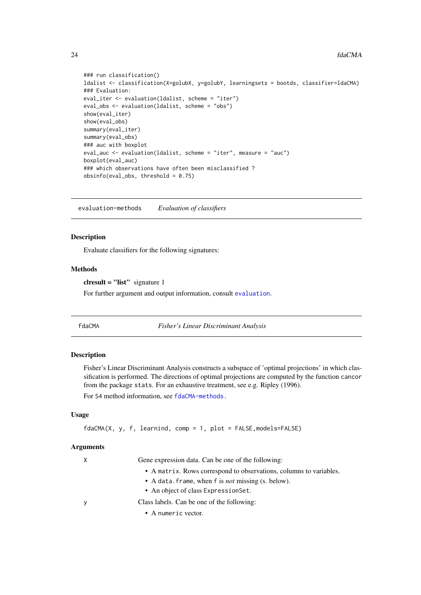```
### run classification()
ldalist <- classification(X=golubX, y=golubY, learningsets = bootds, classifier=ldaCMA)
### Evaluation:
eval_iter <- evaluation(ldalist, scheme = "iter")
eval_obs <- evaluation(ldalist, scheme = "obs")
show(eval_iter)
show(eval_obs)
summary(eval_iter)
summary(eval_obs)
### auc with boxplot
eval_auc <- evaluation(ldalist, scheme = "iter", measure = "auc")
boxplot(eval_auc)
### which observations have often been misclassified ?
obsinfo(eval_obs, threshold = 0.75)
```
<span id="page-23-2"></span>evaluation-methods *Evaluation of classifiers*

#### Description

Evaluate classifiers for the following signatures:

#### Methods

 $\text{c}$ **list**" signature 1

For further argument and output information, consult [evaluation](#page-21-1).

<span id="page-23-1"></span>

| fdaCMA |
|--------|
|        |

 $Fisher's Linear Discriminant Analysis$ 

# Description

Fisher's Linear Discriminant Analysis constructs a subspace of 'optimal projections' in which classification is performed. The directions of optimal projections are computed by the function cancor from the package stats. For an exhaustive treatment, see e.g. Ripley (1996).

For S4 method information, see [fdaCMA-methods.](#page-25-1)

# Usage

```
fdaCMA(X, y, f, learnind, comp = 1, plot = FALSE,models=FALSE)
```

| X        | Gene expression data. Can be one of the following:                 |  |
|----------|--------------------------------------------------------------------|--|
|          | • A matrix. Rows correspond to observations, columns to variables. |  |
|          | • A data. frame, when f is <i>not</i> missing (s. below).          |  |
|          | • An object of class Expression Set.                               |  |
| <b>V</b> | Class labels. Can be one of the following:                         |  |
|          | $\bullet$ A numeric vector.                                        |  |

<span id="page-23-0"></span>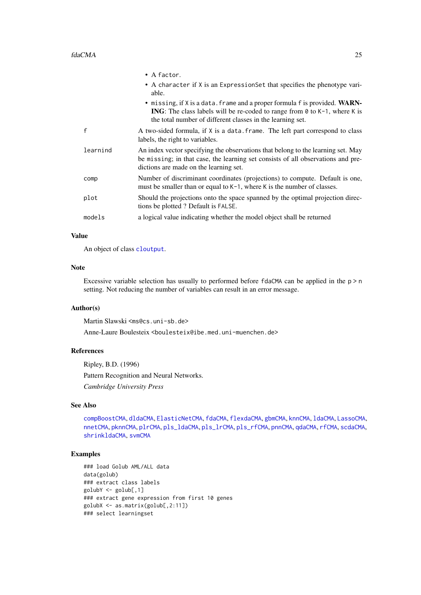|          | $\bullet$ A factor.                                                                                                                                                                                                                  |
|----------|--------------------------------------------------------------------------------------------------------------------------------------------------------------------------------------------------------------------------------------|
|          | • A character if X is an ExpressionSet that specifies the phenotype vari-<br>able.                                                                                                                                                   |
|          | • missing, if X is a data. frame and a proper formula f is provided. WARN-<br><b>ING</b> : The class labels will be re-coded to range from $\theta$ to K-1, where K is<br>the total number of different classes in the learning set. |
| f        | A two-sided formula, if X is a data. frame. The left part correspond to class<br>labels, the right to variables.                                                                                                                     |
| learnind | An index vector specifying the observations that belong to the learning set. May<br>be missing; in that case, the learning set consists of all observations and pre-<br>dictions are made on the learning set.                       |
| comp     | Number of discriminant coordinates (projections) to compute. Default is one,<br>must be smaller than or equal to K-1, where K is the number of classes.                                                                              |
| plot     | Should the projections onto the space spanned by the optimal projection direc-<br>tions be plotted ? Default is FALSE.                                                                                                               |
| models   | a logical value indicating whether the model object shall be returned                                                                                                                                                                |
|          |                                                                                                                                                                                                                                      |

# Value

An object of class [cloutput](#page-8-2).

# Note

Excessive variable selection has usually to performed before fdaCMA can be applied in the  $p > n$ setting. Not reducing the number of variables can result in an error message.

# Author(s)

Martin Slawski <ms@cs.uni-sb.de>

Anne-Laure Boulesteix <boulesteix@ibe.med.uni-muenchen.de>

# References

Ripley, B.D. (1996) Pattern Recognition and Neural Networks. *Cambridge University Press*

# See Also

[compBoostCMA](#page-13-1), [dldaCMA](#page-15-1), [ElasticNetCMA](#page-18-1), [fdaCMA](#page-23-1), [flexdaCMA](#page-26-1), [gbmCMA](#page-29-1), [knnCMA](#page-40-1), [ldaCMA](#page-44-1), [LassoCMA](#page-42-1), [nnetCMA](#page-47-1), [pknnCMA](#page-51-1), [plrCMA](#page-57-1), [pls\\_ldaCMA](#page-59-1), [pls\\_lrCMA](#page-61-1), [pls\\_rfCMA](#page-63-1), [pnnCMA](#page-65-1), [qdaCMA](#page-70-1), [rfCMA](#page-72-1), [scdaCMA](#page-75-1), [shrinkldaCMA](#page-77-1), [svmCMA](#page-80-1)

# Examples

```
### load Golub AML/ALL data
data(golub)
### extract class labels
golubY <- golub[,1]
### extract gene expression from first 10 genes
golubX <- as.matrix(golub[,2:11])
### select learningset
```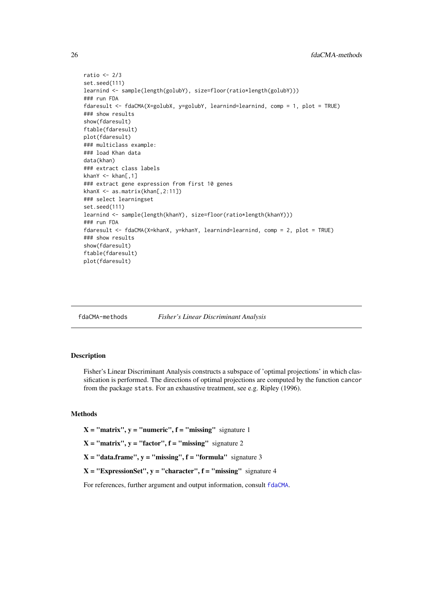```
ratio <-2/3set.seed(111)
learnind <- sample(length(golubY), size=floor(ratio*length(golubY)))
### run FDA
fdaresult <- fdaCMA(X=golubX, y=golubY, learnind=learnind, comp = 1, plot = TRUE)
### show results
show(fdaresult)
ftable(fdaresult)
plot(fdaresult)
### multiclass example:
### load Khan data
data(khan)
### extract class labels
khanY \leq khan[,1]
### extract gene expression from first 10 genes
khanX <- as.matrix(khan[,2:11])
### select learningset
set.seed(111)
learnind <- sample(length(khanY), size=floor(ratio*length(khanY)))
### run FDA
fdaresult <- fdaCMA(X=khanX, y=khanY, learnind=learnind, comp = 2, plot = TRUE)
### show results
show(fdaresult)
ftable(fdaresult)
plot(fdaresult)
```
<span id="page-25-1"></span>fdaCMA-methods *Fisher's Linear Discriminant Analysis*

# Description

Fisher's Linear Discriminant Analysis constructs a subspace of 'optimal projections' in which classification is performed. The directions of optimal projections are computed by the function cancor from the package stats. For an exhaustive treatment, see e.g. Ripley (1996).

# Methods

 $X = "matrix", y = "numeric", f = "missing" signature 1$ 

 $X = "matrix", y = "factor", f = "missing" signature 2$ 

 $X = "data-frame", y = "missing", f = "formula" signature 3$ 

 $X = "ExpressionSet", y = "character", f = "missing" signature 4$ 

For references, further argument and output information, consult [fdaCMA](#page-23-1).

<span id="page-25-0"></span>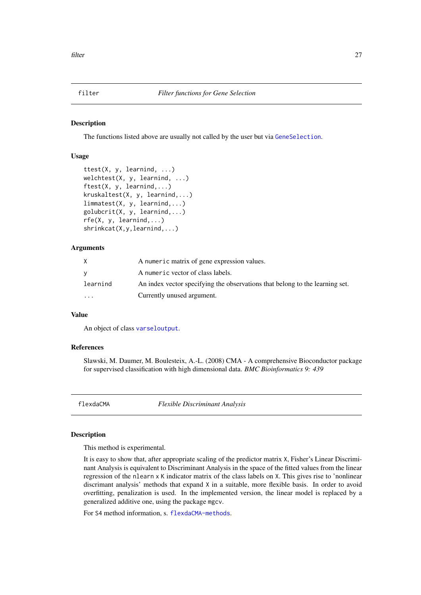<span id="page-26-0"></span>

# Description

The functions listed above are usually not called by the user but via [GeneSelection](#page-34-1).

#### Usage

```
ttest(X, y, learnind, ...)
welchtest(X, y, learnind, ...)
ftest(X, y, learnind,...)
kruskaltest(X, y, learnind,...)
limmatest(X, y, learnind,...)
golubcrit(X, y, learnind,...)
rfe(X, y, learnind,...)
shrinkcat(X,y,learnind,...)
```
# Arguments

| X        | A numeric matrix of gene expression values.                                  |
|----------|------------------------------------------------------------------------------|
| V        | A numeric vector of class labels.                                            |
| learnind | An index vector specifying the observations that belong to the learning set. |
| $\cdots$ | Currently unused argument.                                                   |

# Value

An object of class [varseloutput](#page-87-2).

#### References

Slawski, M. Daumer, M. Boulesteix, A.-L. (2008) CMA - A comprehensive Bioconductor package for supervised classification with high dimensional data. *BMC Bioinformatics 9: 439*

<span id="page-26-1"></span>flexdaCMA *Flexible Discriminant Analysis*

#### Description

This method is experimental.

It is easy to show that, after appropriate scaling of the predictor matrix X, Fisher's Linear Discriminant Analysis is equivalent to Discriminant Analysis in the space of the fitted values from the linear regression of the nlearn x K indicator matrix of the class labels on X. This gives rise to 'nonlinear discrimant analysis' methods that expand X in a suitable, more flexible basis. In order to avoid overfitting, penalization is used. In the implemented version, the linear model is replaced by a generalized additive one, using the package mgcv.

For S4 method information, s. [flexdaCMA-methods](#page-28-1).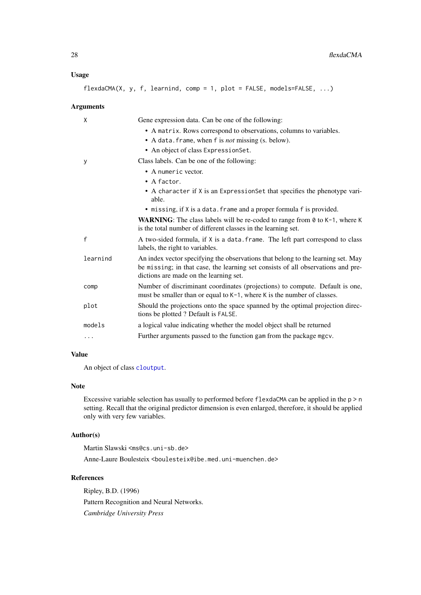# Usage

flexdaCMA(X, y, f, learnind, comp = 1, plot = FALSE, models=FALSE, ...)

# Arguments

| X        | Gene expression data. Can be one of the following:                                                                                                                                                             |
|----------|----------------------------------------------------------------------------------------------------------------------------------------------------------------------------------------------------------------|
|          | • A matrix. Rows correspond to observations, columns to variables.                                                                                                                                             |
|          | • A data. frame, when f is <i>not</i> missing (s. below).                                                                                                                                                      |
|          | • An object of class ExpressionSet.                                                                                                                                                                            |
| у        | Class labels. Can be one of the following:                                                                                                                                                                     |
|          | • A numeric vector.                                                                                                                                                                                            |
|          | $\bullet$ A factor.                                                                                                                                                                                            |
|          | • A character if X is an ExpressionSet that specifies the phenotype vari-<br>able.                                                                                                                             |
|          | • missing, if X is a data. frame and a proper formula f is provided.                                                                                                                                           |
|          | <b>WARNING:</b> The class labels will be re-coded to range from $\theta$ to $K-1$ , where K<br>is the total number of different classes in the learning set.                                                   |
| f        | A two-sided formula, if X is a data. frame. The left part correspond to class<br>labels, the right to variables.                                                                                               |
| learnind | An index vector specifying the observations that belong to the learning set. May<br>be missing; in that case, the learning set consists of all observations and pre-<br>dictions are made on the learning set. |
| comp     | Number of discriminant coordinates (projections) to compute. Default is one,<br>must be smaller than or equal to K-1, where K is the number of classes.                                                        |
| plot     | Should the projections onto the space spanned by the optimal projection direc-<br>tions be plotted ? Default is FALSE.                                                                                         |
| models   | a logical value indicating whether the model object shall be returned                                                                                                                                          |
| .        | Further arguments passed to the function gam from the package mgcv.                                                                                                                                            |

# Value

An object of class [cloutput](#page-8-2).

# Note

Excessive variable selection has usually to performed before flexdaCMA can be applied in the p > n setting. Recall that the original predictor dimension is even enlarged, therefore, it should be applied only with very few variables.

# Author(s)

Martin Slawski <ms@cs.uni-sb.de> Anne-Laure Boulesteix <boulesteix@ibe.med.uni-muenchen.de>

#### References

Ripley, B.D. (1996) Pattern Recognition and Neural Networks. *Cambridge University Press*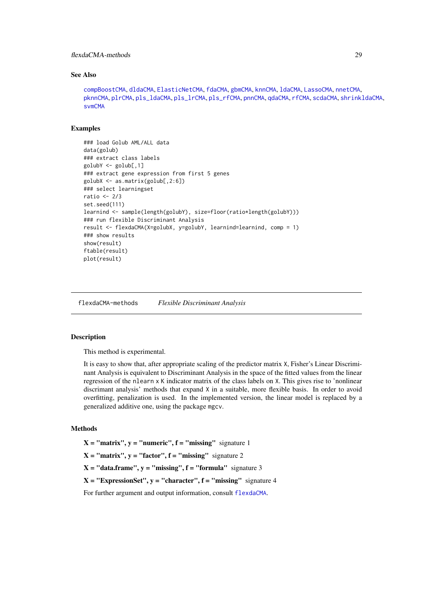#### <span id="page-28-0"></span>flexdaCMA-methods 29

#### See Also

```
compBoostCMA, dldaCMA, ElasticNetCMA, fdaCMA, gbmCMA, knnCMA, ldaCMA, LassoCMA, nnetCMA,
pknnCMA, plrCMA, pls_ldaCMA, pls_lrCMA, pls_rfCMA, pnnCMA, qdaCMA, rfCMA, scdaCMA, shrinkldaCMA,
svmCMA
```
#### Examples

```
### load Golub AML/ALL data
data(golub)
### extract class labels
golubY <- golub[,1]
### extract gene expression from first 5 genes
golubX <- as.matrix(golub[,2:6])
### select learningset
ratio <-2/3set.seed(111)
learnind <- sample(length(golubY), size=floor(ratio*length(golubY)))
### run flexible Discriminant Analysis
result <- flexdaCMA(X=golubX, y=golubY, learnind=learnind, comp = 1)
### show results
show(result)
ftable(result)
plot(result)
```
<span id="page-28-1"></span>flexdaCMA-methods *Flexible Discriminant Analysis*

# **Description**

This method is experimental.

It is easy to show that, after appropriate scaling of the predictor matrix X, Fisher's Linear Discriminant Analysis is equivalent to Discriminant Analysis in the space of the fitted values from the linear regression of the nlearn x K indicator matrix of the class labels on X. This gives rise to 'nonlinear discrimant analysis' methods that expand X in a suitable, more flexible basis. In order to avoid overfitting, penalization is used. In the implemented version, the linear model is replaced by a generalized additive one, using the package mgcv.

#### Methods

 $X = "matrix", y = "numeric", f = "missing" signature 1$ 

 $X = "matrix", y = "factor", f = "missing" signature 2$ 

 $X = "data-frame", y = "missing", f = "formula" signature 3$ 

 $X = "ExpressionSet", y = "character", f = "missing" signature 4$ 

For further argument and output information, consult [flexdaCMA](#page-26-1).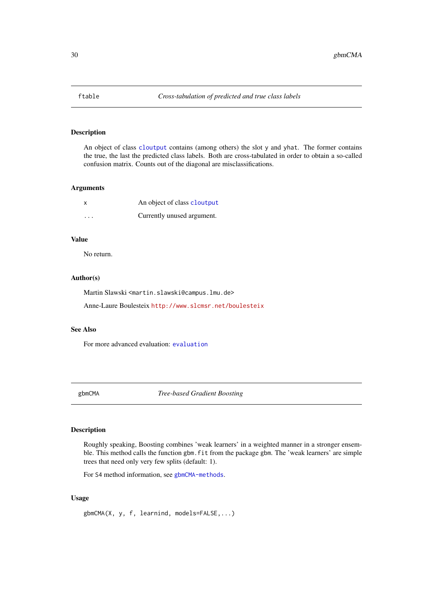#### <span id="page-29-0"></span>Description

An object of class [cloutput](#page-8-2) contains (among others) the slot y and yhat. The former contains the true, the last the predicted class labels. Both are cross-tabulated in order to obtain a so-called confusion matrix. Counts out of the diagonal are misclassifications.

#### Arguments

|         | An object of class cloutput |
|---------|-----------------------------|
| $\cdot$ | Currently unused argument.  |

# Value

No return.

# Author(s)

Martin Slawski <martin.slawski@campus.lmu.de>

Anne-Laure Boulesteix <http://www.slcmsr.net/boulesteix>

#### See Also

For more advanced evaluation: [evaluation](#page-21-1)

<span id="page-29-1"></span>gbmCMA *Tree-based Gradient Boosting*

# Description

Roughly speaking, Boosting combines 'weak learners' in a weighted manner in a stronger ensemble. This method calls the function gbm. fit from the package gbm. The 'weak learners' are simple trees that need only very few splits (default: 1).

For S4 method information, see [gbmCMA-methods](#page-31-1).

# Usage

gbmCMA(X, y, f, learnind, models=FALSE,...)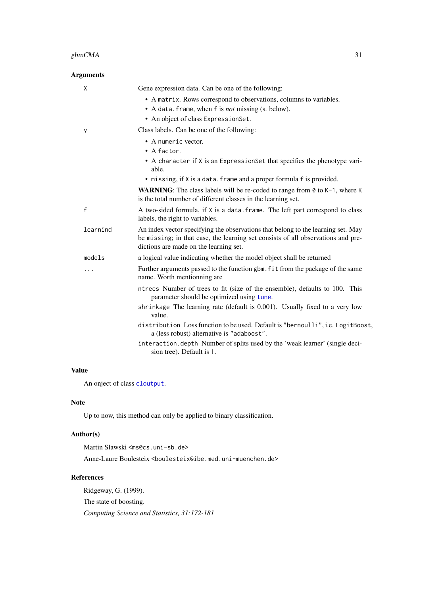| <b>Arguments</b> |                                                                                                                                                                                                                                                                                                                                                                                                                                                                |
|------------------|----------------------------------------------------------------------------------------------------------------------------------------------------------------------------------------------------------------------------------------------------------------------------------------------------------------------------------------------------------------------------------------------------------------------------------------------------------------|
| X                | Gene expression data. Can be one of the following:<br>• A matrix. Rows correspond to observations, columns to variables.<br>• A data. frame, when f is <i>not</i> missing (s. below).<br>• An object of class ExpressionSet.                                                                                                                                                                                                                                   |
| y                | Class labels. Can be one of the following:<br>• A numeric vector.<br>• A factor.<br>• A character if X is an ExpressionSet that specifies the phenotype vari-<br>able.<br>• missing, if X is a data. frame and a proper formula f is provided.                                                                                                                                                                                                                 |
|                  | <b>WARNING:</b> The class labels will be re-coded to range from $\theta$ to $K-1$ , where K<br>is the total number of different classes in the learning set.                                                                                                                                                                                                                                                                                                   |
| f                | A two-sided formula, if X is a data. frame. The left part correspond to class<br>labels, the right to variables.                                                                                                                                                                                                                                                                                                                                               |
| learnind         | An index vector specifying the observations that belong to the learning set. May<br>be missing; in that case, the learning set consists of all observations and pre-<br>dictions are made on the learning set.                                                                                                                                                                                                                                                 |
| models           | a logical value indicating whether the model object shall be returned                                                                                                                                                                                                                                                                                                                                                                                          |
| .                | Further arguments passed to the function gbm. fit from the package of the same<br>name. Worth mentionning are                                                                                                                                                                                                                                                                                                                                                  |
|                  | ntrees Number of trees to fit (size of the ensemble), defaults to 100. This<br>parameter should be optimized using tune.<br>shrinkage The learning rate (default is 0.001). Usually fixed to a very low<br>value.<br>distribution Loss function to be used. Default is "bernoulli", i.e. LogitBoost,<br>a (less robust) alternative is "adaboost".<br>interaction.depth Number of splits used by the 'weak learner' (single deci-<br>sion tree). Default is 1. |
|                  |                                                                                                                                                                                                                                                                                                                                                                                                                                                                |

# Value

An onject of class [cloutput](#page-8-2).

#### Note

Up to now, this method can only be applied to binary classification.

# Author(s)

Martin Slawski <ms@cs.uni-sb.de> Anne-Laure Boulesteix <boulesteix@ibe.med.uni-muenchen.de>

# References

Ridgeway, G. (1999). The state of boosting. *Computing Science and Statistics, 31:172-181*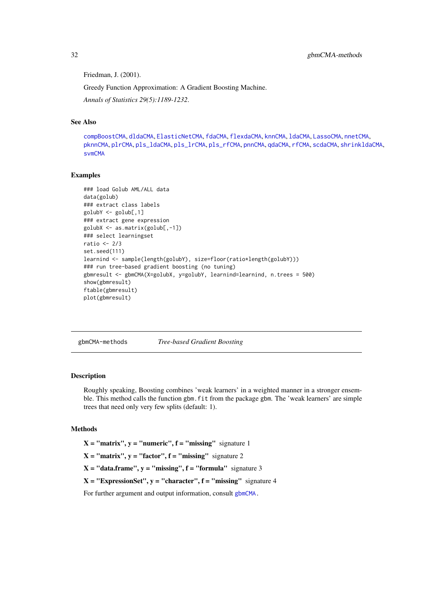Friedman, J. (2001).

Greedy Function Approximation: A Gradient Boosting Machine.

*Annals of Statistics 29(5):1189-1232*.

# See Also

[compBoostCMA](#page-13-1), [dldaCMA](#page-15-1), [ElasticNetCMA](#page-18-1), [fdaCMA](#page-23-1), [flexdaCMA](#page-26-1), [knnCMA](#page-40-1), [ldaCMA](#page-44-1), [LassoCMA](#page-42-1), [nnetCMA](#page-47-1), [pknnCMA](#page-51-1), [plrCMA](#page-57-1), [pls\\_ldaCMA](#page-59-1), [pls\\_lrCMA](#page-61-1), [pls\\_rfCMA](#page-63-1), [pnnCMA](#page-65-1), [qdaCMA](#page-70-1), [rfCMA](#page-72-1), [scdaCMA](#page-75-1), [shrinkldaCMA](#page-77-1), [svmCMA](#page-80-1)

# Examples

```
### load Golub AML/ALL data
data(golub)
### extract class labels
golubY <- golub[,1]
### extract gene expression
golubX <- as.matrix(golub[,-1])
### select learningset
ratio <- 2/3
set.seed(111)
learnind <- sample(length(golubY), size=floor(ratio*length(golubY)))
### run tree-based gradient boosting (no tuning)
gbmresult <- gbmCMA(X=golubX, y=golubY, learnind=learnind, n.trees = 500)
show(gbmresult)
ftable(gbmresult)
plot(gbmresult)
```
<span id="page-31-1"></span>gbmCMA-methods *Tree-based Gradient Boosting*

# Description

Roughly speaking, Boosting combines 'weak learners' in a weighted manner in a stronger ensemble. This method calls the function gbm. fit from the package gbm. The 'weak learners' are simple trees that need only very few splits (default: 1).

# Methods

 $X = "matrix", y = "numeric", f = "missing" signature 1$ 

 $X = "matrix", y = "factor", f = "missing" signature 2$ 

 $X = "data-frame", y = "missing", f = "formula" signature 3$ 

 $X = "ExpressionSet", y = "character", f = "missing" signature 4$ 

For further argument and output information, consult [gbmCMA.](#page-29-1)

<span id="page-31-0"></span>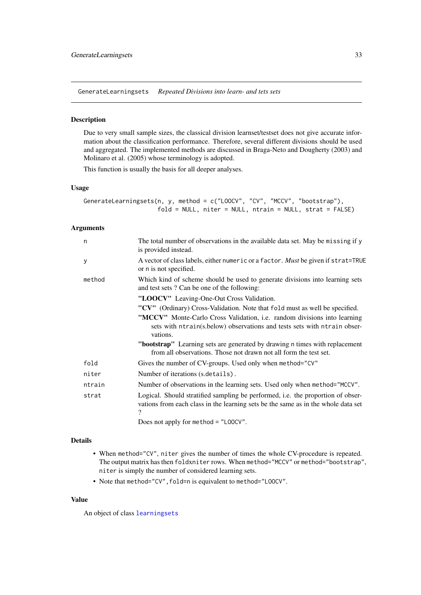<span id="page-32-1"></span><span id="page-32-0"></span>GenerateLearningsets *Repeated Divisions into learn- and tets sets*

# Description

Due to very small sample sizes, the classical division learnset/testset does not give accurate information about the classification performance. Therefore, several different divisions should be used and aggregated. The implemented methods are discussed in Braga-Neto and Dougherty (2003) and Molinaro et al. (2005) whose terminology is adopted.

This function is usually the basis for all deeper analyses.

#### Usage

GenerateLearningsets(n, y, method = c("LOOCV", "CV", "MCCV", "bootstrap"), fold = NULL, niter = NULL, ntrain = NULL, strat = FALSE)

# Arguments

| n      | The total number of observations in the available data set. May be missing if y<br>is provided instead.                                                              |
|--------|----------------------------------------------------------------------------------------------------------------------------------------------------------------------|
| y      | A vector of class labels, either numeric or a factor. Must be given if strat=TRUE<br>or n is not specified.                                                          |
| method | Which kind of scheme should be used to generate divisions into learning sets<br>and test sets? Can be one of the following:                                          |
|        | "LOOCV" Leaving-One-Out Cross Validation.                                                                                                                            |
|        | "CV" (Ordinary) Cross-Validation. Note that fold must as well be specified.                                                                                          |
|        | "MCCV" Monte-Carlo Cross Validation, i.e. random divisions into learning<br>sets with ntrain(s.below) observations and tests sets with ntrain obser-<br>vations.     |
|        | " <b>bootstrap</b> " Learning sets are generated by drawing n times with replacement<br>from all observations. Those not drawn not all form the test set.            |
| fold   | Gives the number of CV-groups. Used only when method="CV"                                                                                                            |
| niter  | Number of iterations (s.details).                                                                                                                                    |
| ntrain | Number of observations in the learning sets. Used only when method="MCCV".                                                                                           |
| strat  | Logical. Should stratified sampling be performed, i.e. the proportion of obser-<br>vations from each class in the learning sets be the same as in the whole data set |
|        | Does not apply for method = $"$ LOOCV".                                                                                                                              |

# Details

- When method="CV", niter gives the number of times the whole CV-procedure is repeated. The output matrix has then foldxniter rows. When method="MCCV" or method="bootstrap", niter is simply the number of considered learning sets.
- Note that method="CV", fold=n is equivalent to method="LOOCV".

# Value

An object of class [learningsets](#page-46-1)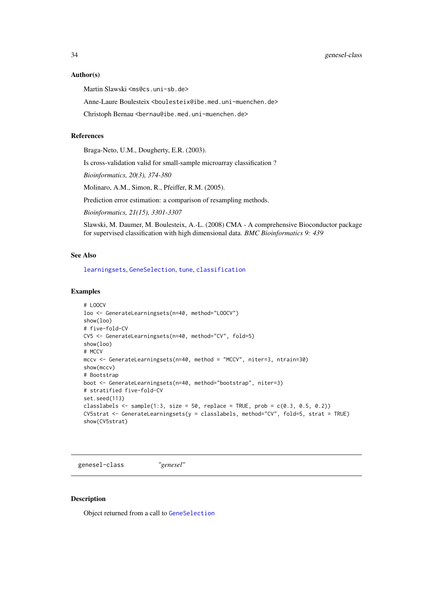<span id="page-33-0"></span>34 genesel-class

#### Author(s)

Martin Slawski <ms@cs.uni-sb.de>

Anne-Laure Boulesteix <boulesteix@ibe.med.uni-muenchen.de>

Christoph Bernau <bernau@ibe.med.uni-muenchen.de>

# References

Braga-Neto, U.M., Dougherty, E.R. (2003).

Is cross-validation valid for small-sample microarray classification ?

*Bioinformatics, 20(3), 374-380*

Molinaro, A.M., Simon, R., Pfeiffer, R.M. (2005).

Prediction error estimation: a comparison of resampling methods.

*Bioinformatics, 21(15), 3301-3307*

Slawski, M. Daumer, M. Boulesteix, A.-L. (2008) CMA - A comprehensive Bioconductor package for supervised classification with high dimensional data. *BMC Bioinformatics 9: 439*

#### See Also

[learningsets](#page-46-1), [GeneSelection](#page-34-1), [tune](#page-83-1), [classification](#page-6-1)

#### Examples

```
# LOOCV
loo <- GenerateLearningsets(n=40, method="LOOCV")
show(loo)
# five-fold-CV
CV5 <- GenerateLearningsets(n=40, method="CV", fold=5)
show(loo)
# MCCV
mccv <- GenerateLearningsets(n=40, method = "MCCV", niter=3, ntrain=30)
show(mccv)
# Bootstrap
boot <- GenerateLearningsets(n=40, method="bootstrap", niter=3)
# stratified five-fold-CV
set.seed(113)
classlabels \leq sample(1:3, size = 50, replace = TRUE, prob = c(0.3, 0.5, 0.2))
CV5strat <- GenerateLearningsets(y = classlabels, method="CV", fold=5, strat = TRUE)
show(CV5strat)
```
genesel-class *"genesel"*

# <span id="page-33-1"></span>Description

Object returned from a call to [GeneSelection](#page-34-1)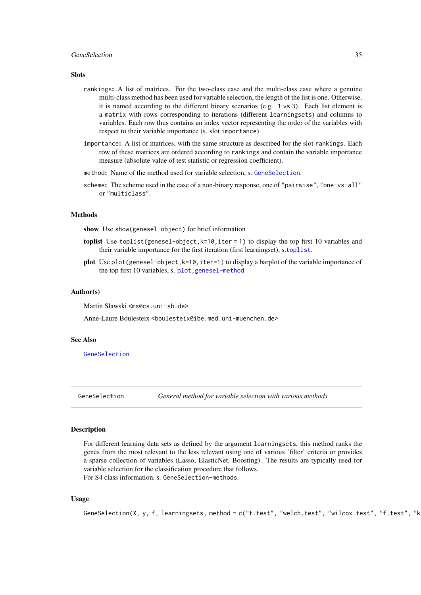#### <span id="page-34-0"></span>GeneSelection 35

#### Slots

- rankings: A list of matrices. For the two-class case and the multi-class case where a genuine multi-class method has been used for variable selection, the length of the list is one. Otherwise, it is named according to the different binary scenarios (e.g. 1 vs 3). Each list element is a matrix with rows corresponding to iterations (different learningsets) and columns to variables. Each row thus contains an index vector representing the order of the variables with respect to their variable importance (s. slot importance)
- importance: A list of matrices, with the same structure as described for the slot rankings. Each row of these matrices are ordered according to rankings and contain the variable importance measure (absolute value of test statistic or regression coefficient).
- method: Name of the method used for variable selection, s. [GeneSelection](#page-34-1).
- scheme: The scheme used in the case of a non-binary response, one of "pairwise", "one-vs-all" or "multiclass".

# **Methods**

show Use show(genesel-object) for brief information

- toplist Use toplist(genesel-object,k=10,iter = 1) to display the top first 10 variables and their variable importance for the first iteration (first learningset), s.[toplist](#page-82-1).
- plot Use plot(genesel-object,k=10,iter=1) to display a barplot of the variable importance of the top first 10 variables, s. [plot,genesel-method](#page-0-0)

#### Author(s)

Martin Slawski <ms@cs.uni-sb.de>

Anne-Laure Boulesteix <boulesteix@ibe.med.uni-muenchen.de>

# See Also

[GeneSelection](#page-34-1)

<span id="page-34-1"></span>

GeneSelection *General method for variable selection with various methods*

#### Description

For different learning data sets as defined by the argument learningsets, this method ranks the genes from the most relevant to the less relevant using one of various 'filter' criteria or provides a sparse collection of variables (Lasso, ElasticNet, Boosting). The results are typically used for variable selection for the classification procedure that follows. For S4 class information, s. GeneSelection-methods.

# Usage

```
GeneSelection(X, y, f, learningsets, method = c("t.test", "welch.test", "wilcox.test", "f.test", "k
```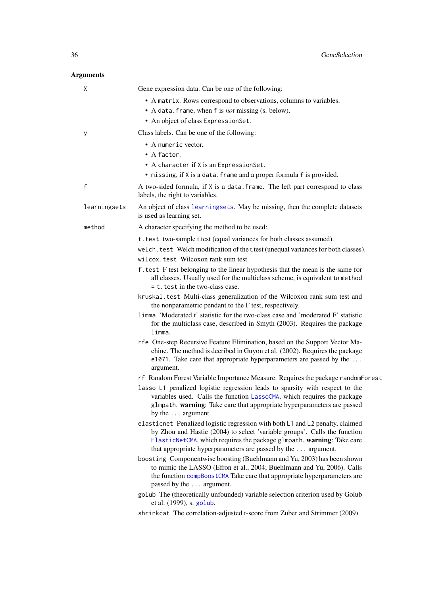| X            | Gene expression data. Can be one of the following:                                                                                                                                                                                                                                                   |
|--------------|------------------------------------------------------------------------------------------------------------------------------------------------------------------------------------------------------------------------------------------------------------------------------------------------------|
|              | • A matrix. Rows correspond to observations, columns to variables.                                                                                                                                                                                                                                   |
|              | • A data. frame, when f is <i>not</i> missing (s. below).                                                                                                                                                                                                                                            |
|              | • An object of class ExpressionSet.                                                                                                                                                                                                                                                                  |
| у            | Class labels. Can be one of the following:                                                                                                                                                                                                                                                           |
|              | • A numeric vector.                                                                                                                                                                                                                                                                                  |
|              | • A factor.                                                                                                                                                                                                                                                                                          |
|              | • A character if X is an ExpressionSet.                                                                                                                                                                                                                                                              |
|              | • missing, if X is a data. frame and a proper formula f is provided.                                                                                                                                                                                                                                 |
| $\mathsf{f}$ | A two-sided formula, if X is a data. frame. The left part correspond to class<br>labels, the right to variables.                                                                                                                                                                                     |
| learningsets | An object of class learningsets. May be missing, then the complete datasets<br>is used as learning set.                                                                                                                                                                                              |
| method       | A character specifying the method to be used:                                                                                                                                                                                                                                                        |
|              | t. test two-sample t.test (equal variances for both classes assumed).                                                                                                                                                                                                                                |
|              | welch. test Welch modification of the t.test (unequal variances for both classes).                                                                                                                                                                                                                   |
|              | wilcox.test Wilcoxon rank sum test.                                                                                                                                                                                                                                                                  |
|              | f. test F test belonging to the linear hypothesis that the mean is the same for<br>all classes. Usually used for the multiclass scheme, is equivalent to method<br>$= t$ . test in the two-class case.                                                                                               |
|              | kruskal.test Multi-class generalization of the Wilcoxon rank sum test and<br>the nonparametric pendant to the F test, respectively.                                                                                                                                                                  |
|              | 1imma 'Moderated t' statistic for the two-class case and 'moderated F' statistic<br>for the multiclass case, described in Smyth (2003). Requires the package<br>limma.                                                                                                                               |
|              | rfe One-step Recursive Feature Elimination, based on the Support Vector Ma-<br>chine. The method is decribed in Guyon et al. (2002). Requires the package<br>e1071. Take care that appropriate hyperparameters are passed by the<br>argument.                                                        |
|              | rf Random Forest Variable Importance Measure. Requires the package random Forest                                                                                                                                                                                                                     |
|              | lasso L1 penalized logistic regression leads to sparsity with respect to the<br>variables used. Calls the function LassoCMA, which requires the package<br>glmpath. warning: Take care that appropriate hyperparameters are passed<br>by the $\dots$ argument.                                       |
|              | elasticnet Penalized logistic regression with both L1 and L2 penalty, claimed<br>by Zhou and Hastie (2004) to select 'variable groups'. Calls the function<br>ElasticNetCMA, which requires the package glmpath. warning: Take care<br>that appropriate hyperparameters are passed by the  argument. |
|              | boosting Componentwise boosting (Buehlmann and Yu, 2003) has been shown<br>to mimic the LASSO (Efron et al., 2004; Buehlmann and Yu, 2006). Calls<br>the function compBoostCMA Take care that appropriate hyperparameters are<br>passed by the  argument.                                            |
|              | golub The (theoretically unfounded) variable selection criterion used by Golub<br>et al. (1999), s. golub.                                                                                                                                                                                           |
|              | shrinkcat The correlation-adjusted t-score from Zuber and Strimmer (2009)                                                                                                                                                                                                                            |
|              |                                                                                                                                                                                                                                                                                                      |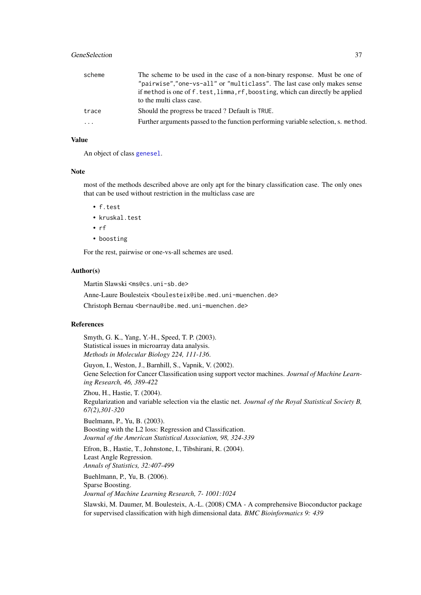#### GeneSelection 37

| scheme   | The scheme to be used in the case of a non-binary response. Must be one of         |
|----------|------------------------------------------------------------------------------------|
|          | "pairwise","one-vs-all" or "multiclass". The last case only makes sense            |
|          | if method is one of f. test, limma, rf, boosting, which can directly be applied    |
|          | to the multi class case.                                                           |
| trace    | Should the progress be traced? Default is TRUE.                                    |
| $\cdots$ | Further arguments passed to the function performing variable selection, s. method. |
|          |                                                                                    |

## Value

An object of class [genesel](#page-33-0).

#### Note

most of the methods described above are only apt for the binary classification case. The only ones that can be used without restriction in the multiclass case are

- f.test
- kruskal.test
- rf
- boosting

For the rest, pairwise or one-vs-all schemes are used.

#### Author(s)

Martin Slawski <ms@cs.uni-sb.de>

Anne-Laure Boulesteix <boulesteix@ibe.med.uni-muenchen.de>

Christoph Bernau <bernau@ibe.med.uni-muenchen.de>

## References

Smyth, G. K., Yang, Y.-H., Speed, T. P. (2003). Statistical issues in microarray data analysis. *Methods in Molecular Biology 224, 111-136*.

Guyon, I., Weston, J., Barnhill, S., Vapnik, V. (2002). Gene Selection for Cancer Classification using support vector machines. *Journal of Machine Learning Research, 46, 389-422*

Zhou, H., Hastie, T. (2004). Regularization and variable selection via the elastic net. *Journal of the Royal Statistical Society B, 67(2),301-320*

Buelmann, P., Yu, B. (2003). Boosting with the L2 loss: Regression and Classification. *Journal of the American Statistical Association, 98, 324-339*

Efron, B., Hastie, T., Johnstone, I., Tibshirani, R. (2004). Least Angle Regression. *Annals of Statistics, 32:407-499*

Buehlmann, P., Yu, B. (2006). Sparse Boosting. *Journal of Machine Learning Research, 7- 1001:1024*

Slawski, M. Daumer, M. Boulesteix, A.-L. (2008) CMA - A comprehensive Bioconductor package for supervised classification with high dimensional data. *BMC Bioinformatics 9: 439*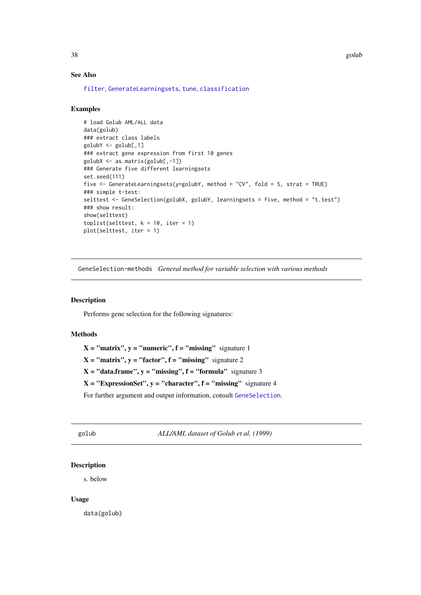#### See Also

[filter](#page-26-0), [GenerateLearningsets](#page-32-0), [tune](#page-83-0), [classification](#page-6-0)

### Examples

```
# load Golub AML/ALL data
data(golub)
### extract class labels
golubY <- golub[,1]
### extract gene expression from first 10 genes
golubX <- as.matrix(golub[,-1])
### Generate five different learningsets
set.seed(111)
five <- GenerateLearningsets(y=golubY, method = "CV", fold = 5, strat = TRUE)
### simple t-test:
selttest <- GeneSelection(golubX, golubY, learningsets = five, method = "t.test")
### show result:
show(selttest)
toplist(selttest, k = 10, iter = 1)
plot(selttest, iter = 1)
```
GeneSelection-methods *General method for variable selection with various methods*

# Description

Performs gene selection for the following signatures:

## Methods

 $X = "matrix", y = "numeric", f = "missing" signature 1$ 

 $X = "matrix", y = "factor", f = "missing" signature 2$ 

 $X = "data-frame", y = "missing", f = "formula" signature 3$ 

 $X = "ExpressionSet", y = "character", f = "missing" signature 4$ 

For further argument and output information, consult [GeneSelection](#page-34-0).

golub *ALL/AML dataset of Golub et al. (1999)*

# Description

s. below

# Usage

data(golub)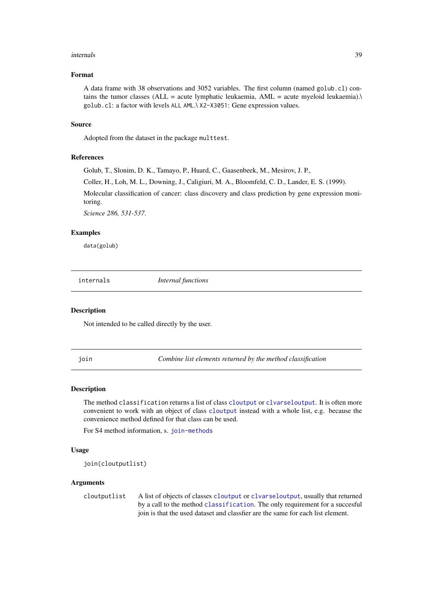#### internals 39

#### Format

A data frame with 38 observations and 3052 variables. The first column (named golub.cl) contains the tumor classes (ALL = acute lymphatic leukaemia, AML = acute myeloid leukaemia). $\lambda$ golub.cl: a factor with levels ALL AML.\ X2-X3051: Gene expression values.

#### Source

Adopted from the dataset in the package multtest.

#### References

Golub, T., Slonim, D. K., Tamayo, P., Huard, C., Gaasenbeek, M., Mesirov, J. P.,

Coller, H., Loh, M. L., Downing, J., Caligiuri, M. A., Bloomfeld, C. D., Lander, E. S. (1999).

Molecular classification of cancer: class discovery and class prediction by gene expression monitoring.

*Science 286, 531-537*.

#### Examples

data(golub)

internals *Internal functions*

#### Description

Not intended to be called directly by the user.

<span id="page-38-0"></span>join *Combine list elements returned by the method classification*

#### Description

The method classification returns a list of class [cloutput](#page-8-0) or [clvarseloutput](#page-9-0). It is often more convenient to work with an object of class [cloutput](#page-8-0) instead with a whole list, e.g. because the convenience method defined for that class can be used.

For S4 method information, s. [join-methods](#page-39-0)

## Usage

```
join(cloutputlist)
```
## Arguments

cloutputlist A list of objects of classes [cloutput](#page-8-0) or [clvarseloutput](#page-9-0), usually that returned by a call to the method [classification](#page-6-0). The only requirement for a succesful join is that the used dataset and classfier are the same for each list element.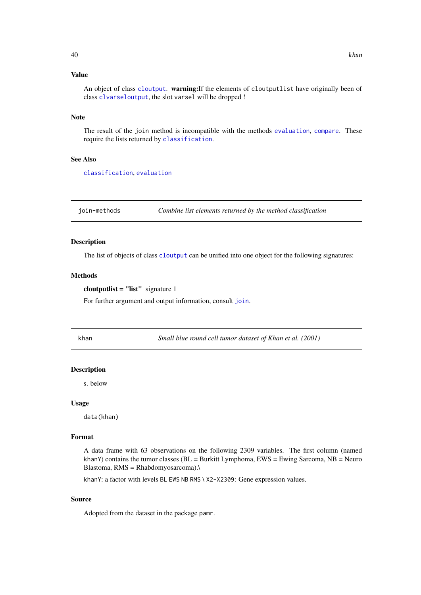An object of class [cloutput](#page-8-0). warning:If the elements of cloutputlist have originally been of class [clvarseloutput](#page-9-0), the slot varsel will be dropped !

#### Note

The result of the join method is incompatible with the methods [evaluation](#page-21-0), [compare](#page-10-0). These require the lists returned by [classification](#page-6-0).

## See Also

[classification](#page-6-0), [evaluation](#page-21-0)

<span id="page-39-0"></span>join-methods *Combine list elements returned by the method classification*

### Description

The list of objects of class [cloutput](#page-8-0) can be unified into one object for the following signatures:

#### Methods

```
cloutputlist = "list" signature 1
```
For further argument and output information, consult [join](#page-38-0).

khan *Small blue round cell tumor dataset of Khan et al. (2001)*

#### Description

s. below

#### Usage

data(khan)

## Format

A data frame with 63 observations on the following 2309 variables. The first column (named khanY) contains the tumor classes ( $BL = Burk$ itt Lymphoma,  $EWS = Ewing$  Sarcoma,  $NB = Neuro$ Blastoma, RMS = Rhabdomyosarcoma).\

khanY: a factor with levels BL EWS NB RMS \ X2-X2309: Gene expression values.

## Source

Adopted from the dataset in the package pamr.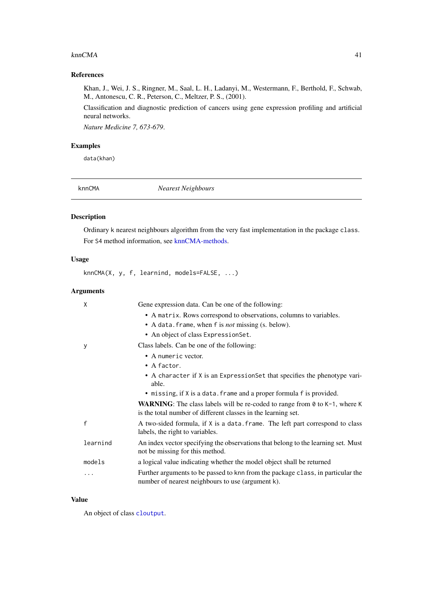#### $knnCMA$  41

## References

Khan, J., Wei, J. S., Ringner, M., Saal, L. H., Ladanyi, M., Westermann, F., Berthold, F., Schwab, M., Antonescu, C. R., Peterson, C., Meltzer, P. S., (2001).

Classification and diagnostic prediction of cancers using gene expression profiling and artificial neural networks.

*Nature Medicine 7, 673-679*.

# Examples

data(khan)

<span id="page-40-0"></span>

knnCMA *Nearest Neighbours*

# Description

Ordinary k nearest neighbours algorithm from the very fast implementation in the package class. For S4 method information, see [knnCMA-methods.](#page-42-0)

# Usage

knnCMA(X, y, f, learnind, models=FALSE, ...)

## Arguments

| X            | Gene expression data. Can be one of the following:                                                                                                           |
|--------------|--------------------------------------------------------------------------------------------------------------------------------------------------------------|
|              | • A matrix. Rows correspond to observations, columns to variables.                                                                                           |
|              | • A data. frame, when f is <i>not</i> missing (s. below).                                                                                                    |
|              | • An object of class Expression Set.                                                                                                                         |
| у            | Class labels. Can be one of the following:                                                                                                                   |
|              | • A numeric vector.                                                                                                                                          |
|              | $\bullet$ A factor.                                                                                                                                          |
|              | • A character if X is an Expression Set that specifies the phenotype vari-<br>able.                                                                          |
|              | • missing, if X is a data. frame and a proper formula f is provided.                                                                                         |
|              | <b>WARNING:</b> The class labels will be re-coded to range from $\theta$ to $K-1$ , where K<br>is the total number of different classes in the learning set. |
| $\mathsf{f}$ | A two-sided formula, if X is a data. frame. The left part correspond to class<br>labels, the right to variables.                                             |
| learnind     | An index vector specifying the observations that belong to the learning set. Must<br>not be missing for this method.                                         |
| models       | a logical value indicating whether the model object shall be returned                                                                                        |
| .            | Further arguments to be passed to knn from the package class, in particular the<br>number of nearest neighbours to use (argument k).                         |

# Value

An object of class [cloutput](#page-8-0).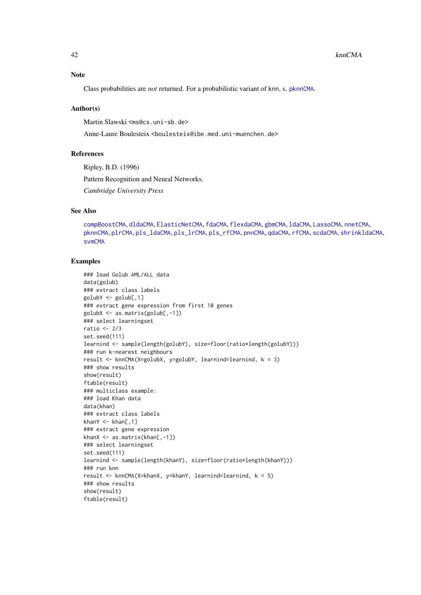## Note

Class probabilities are *not* returned. For a probabilistic variant of knn, s. [pknnCMA](#page-51-0).

#### Author(s)

Martin Slawski <ms@cs.uni-sb.de>

Anne-Laure Boulesteix <boulesteix@ibe.med.uni-muenchen.de>

#### References

Ripley, B.D. (1996)

Pattern Recognition and Neural Networks.

*Cambridge University Press*

# See Also

```
compBoostCMA, dldaCMA, ElasticNetCMA, fdaCMA, flexdaCMA, gbmCMA, ldaCMA, LassoCMA, nnetCMA,
pknnCMA, plrCMA, pls_ldaCMA, pls_lrCMA, pls_rfCMA, pnnCMA, qdaCMA, rfCMA, scdaCMA, shrinkldaCMA,
svmCMA
```
## Examples

```
### load Golub AML/ALL data
data(golub)
### extract class labels
golubY <- golub[,1]
### extract gene expression from first 10 genes
golubX <- as.matrix(golub[,-1])
### select learningset
ratio <- 2/3
set.seed(111)
learnind <- sample(length(golubY), size=floor(ratio*length(golubY)))
### run k-nearest neighbours
result <- knnCMA(X=golubX, y=golubY, learnind=learnind, k = 3)
### show results
show(result)
ftable(result)
### multiclass example:
### load Khan data
data(khan)
### extract class labels
khanY \leq khan[,1]### extract gene expression
khanX <- as.matrix(khan[,-1])
### select learningset
set.seed(111)
learnind <- sample(length(khanY), size=floor(ratio*length(khanY)))
### run knn
result <- knnCMA(X=khanX, y=khanY, learnind=learnind, k = 5)
### show results
show(result)
ftable(result)
```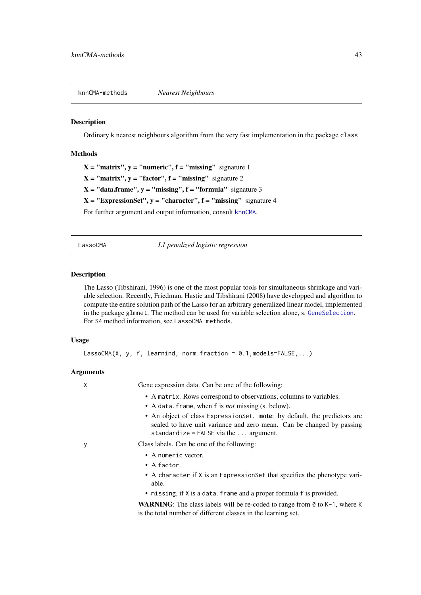<span id="page-42-0"></span>knnCMA-methods *Nearest Neighbours*

#### Description

Ordinary k nearest neighbours algorithm from the very fast implementation in the package class

#### Methods

 $X = "matrix", y = "numeric", f = "missing" signature 1$  $X = "matrix", y = "factor", f = "missing" signature 2$  $X = "data-frame", y = "missing", f = "formula" signature 3$  $X = "ExpressionSet", y = "character", f = "missing" signature 4$ For further argument and output information, consult [knnCMA](#page-40-0).

<span id="page-42-1"></span>LassoCMA *L1 penalized logistic regression*

## Description

The Lasso (Tibshirani, 1996) is one of the most popular tools for simultaneous shrinkage and variable selection. Recently, Friedman, Hastie and Tibshirani (2008) have developped and algorithm to compute the entire solution path of the Lasso for an arbitrary generalized linear model, implemented in the package glmnet. The method can be used for variable selection alone, s. [GeneSelection](#page-34-0). For S4 method information, see LassoCMA-methods.

# Usage

```
LassoCMA(X, y, f, learnind, norm.fraction = 0.1, models=FALSE,...)
```
#### Arguments

X Gene expression data. Can be one of the following:

- A matrix. Rows correspond to observations, columns to variables.
- A data.frame, when f is *not* missing (s. below).
- An object of class ExpressionSet. note: by default, the predictors are scaled to have unit variance and zero mean. Can be changed by passing standardize = FALSE via the ... argument.

- y Class labels. Can be one of the following:
	- A numeric vector.
	- A factor.
	- A character if X is an ExpressionSet that specifies the phenotype variable.
	- missing, if X is a data. frame and a proper formula f is provided.

WARNING: The class labels will be re-coded to range from  $\theta$  to K-1, where K is the total number of different classes in the learning set.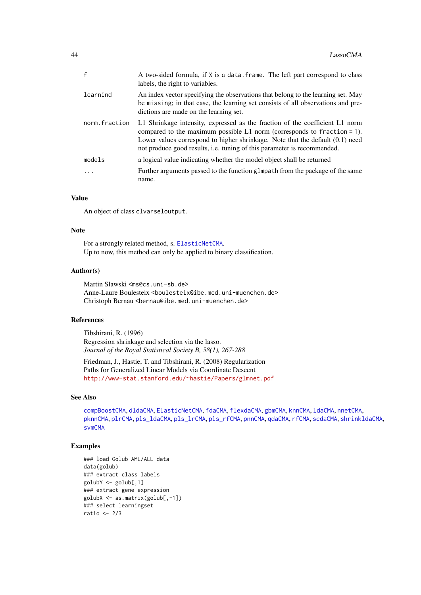| $\mathsf{f}$  | A two-sided formula, if X is a data. frame. The left part correspond to class<br>labels, the right to variables.                                                                                                                                                                                                        |
|---------------|-------------------------------------------------------------------------------------------------------------------------------------------------------------------------------------------------------------------------------------------------------------------------------------------------------------------------|
| learnind      | An index vector specifying the observations that belong to the learning set. May<br>be missing; in that case, the learning set consists of all observations and pre-<br>dictions are made on the learning set.                                                                                                          |
| norm.fraction | L1 Shrinkage intensity, expressed as the fraction of the coefficient L1 norm<br>compared to the maximum possible $L1$ norm (corresponds to fraction = 1).<br>Lower values correspond to higher shrinkage. Note that the default $(0.1)$ need<br>not produce good results, i.e. tuning of this parameter is recommended. |
| models        | a logical value indicating whether the model object shall be returned                                                                                                                                                                                                                                                   |
| .             | Further arguments passed to the function glmpath from the package of the same<br>name.                                                                                                                                                                                                                                  |

An object of class clvarseloutput.

### Note

For a strongly related method, s. [ElasticNetCMA](#page-18-0). Up to now, this method can only be applied to binary classification.

## Author(s)

Martin Slawski <ms@cs.uni-sb.de> Anne-Laure Boulesteix <boulesteix@ibe.med.uni-muenchen.de> Christoph Bernau <bernau@ibe.med.uni-muenchen.de>

## References

Tibshirani, R. (1996) Regression shrinkage and selection via the lasso. *Journal of the Royal Statistical Society B, 58(1), 267-288*

Friedman, J., Hastie, T. and Tibshirani, R. (2008) Regularization Paths for Generalized Linear Models via Coordinate Descent <http://www-stat.stanford.edu/~hastie/Papers/glmnet.pdf>

## See Also

```
compBoostCMA, dldaCMA, ElasticNetCMA, fdaCMA, flexdaCMA, gbmCMA, knnCMA, ldaCMA, nnetCMA,
pknnCMA, plrCMA, pls_ldaCMA, pls_lrCMA, pls_rfCMA, pnnCMA, qdaCMA, rfCMA, scdaCMA, shrinkldaCMA,
svmCMA
```
## Examples

```
### load Golub AML/ALL data
data(golub)
### extract class labels
golubY <- golub[,1]
### extract gene expression
golubX <- as.matrix(golub[,-1])
### select learningset
ratio <- 2/3
```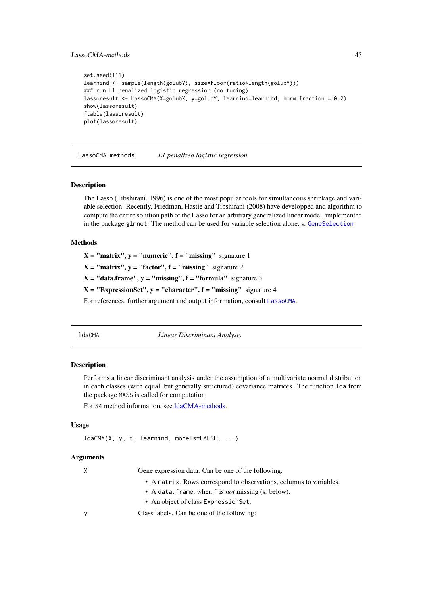#### LassoCMA-methods 45

```
set.seed(111)
learnind <- sample(length(golubY), size=floor(ratio*length(golubY)))
### run L1 penalized logistic regression (no tuning)
lassoresult <- LassoCMA(X=golubX, y=golubY, learnind=learnind, norm.fraction = 0.2)
show(lassoresult)
ftable(lassoresult)
plot(lassoresult)
```
LassoCMA-methods *L1 penalized logistic regression*

#### Description

The Lasso (Tibshirani, 1996) is one of the most popular tools for simultaneous shrinkage and variable selection. Recently, Friedman, Hastie and Tibshirani (2008) have developped and algorithm to compute the entire solution path of the Lasso for an arbitrary generalized linear model, implemented in the package glmnet. The method can be used for variable selection alone, s. [GeneSelection](#page-34-0)

#### Methods

 $X = "matrix", y = "numeric", f = "missing" signature 1$ 

 $X = "matrix", y = "factor", f = "missing"$  signature 2

 $X = "data-frame", y = "missing", f = "formula" signature 3$ 

 $X = "ExpressionSet", y = "character", f = "missing" signature 4$ 

For references, further argument and output information, consult [LassoCMA](#page-42-1).

<span id="page-44-0"></span>

ldaCMA *Linear Discriminant Analysis*

#### Description

Performs a linear discriminant analysis under the assumption of a multivariate normal distribution in each classes (with equal, but generally structured) covariance matrices. The function lda from the package MASS is called for computation.

For S4 method information, see [ldaCMA-methods.](#page-46-0)

#### Usage

ldaCMA(X, y, f, learnind, models=FALSE, ...)

## Arguments

X Gene expression data. Can be one of the following:

- A matrix. Rows correspond to observations, columns to variables.
- A data.frame, when f is *not* missing (s. below).
- An object of class ExpressionSet.

y Class labels. Can be one of the following: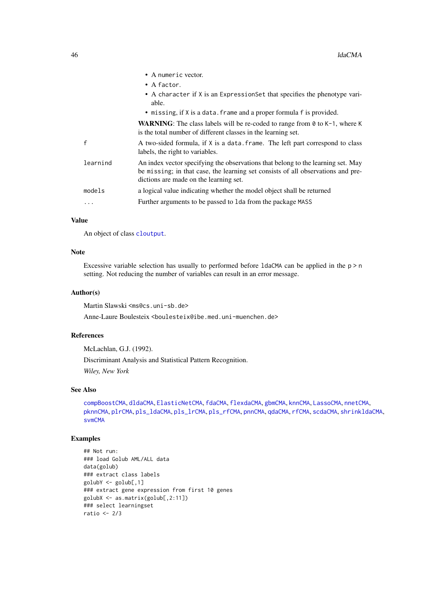|          | • A numeric vector.                                                                                                                                                                                            |
|----------|----------------------------------------------------------------------------------------------------------------------------------------------------------------------------------------------------------------|
|          | $\bullet$ A factor.                                                                                                                                                                                            |
|          | • A character if X is an ExpressionSet that specifies the phenotype vari-<br>able.                                                                                                                             |
|          | • missing, if X is a data. frame and a proper formula f is provided.                                                                                                                                           |
|          | <b>WARNING:</b> The class labels will be re-coded to range from $\theta$ to K-1, where K<br>is the total number of different classes in the learning set.                                                      |
|          | A two-sided formula, if X is a data. frame. The left part correspond to class<br>labels, the right to variables.                                                                                               |
| learnind | An index vector specifying the observations that belong to the learning set. May<br>be missing; in that case, the learning set consists of all observations and pre-<br>dictions are made on the learning set. |
| models   | a logical value indicating whether the model object shall be returned                                                                                                                                          |
| .        | Further arguments to be passed to 1 da from the package MASS                                                                                                                                                   |
|          |                                                                                                                                                                                                                |

An object of class [cloutput](#page-8-0).

# Note

Excessive variable selection has usually to performed before 1 daCMA can be applied in the  $p > n$ setting. Not reducing the number of variables can result in an error message.

## Author(s)

Martin Slawski <ms@cs.uni-sb.de>

Anne-Laure Boulesteix <boulesteix@ibe.med.uni-muenchen.de>

## References

McLachlan, G.J. (1992). Discriminant Analysis and Statistical Pattern Recognition. *Wiley, New York*

## See Also

```
compBoostCMA, dldaCMA, ElasticNetCMA, fdaCMA, flexdaCMA, gbmCMA, knnCMA, LassoCMA, nnetCMA,
pknnCMA, plrCMA, pls_ldaCMA, pls_lrCMA, pls_rfCMA, pnnCMA, qdaCMA, rfCMA, scdaCMA, shrinkldaCMA,
svmCMA
```
# Examples

```
## Not run:
### load Golub AML/ALL data
data(golub)
### extract class labels
golubY <- golub[,1]
### extract gene expression from first 10 genes
golubX <- as.matrix(golub[,2:11])
### select learningset
ratio <- 2/3
```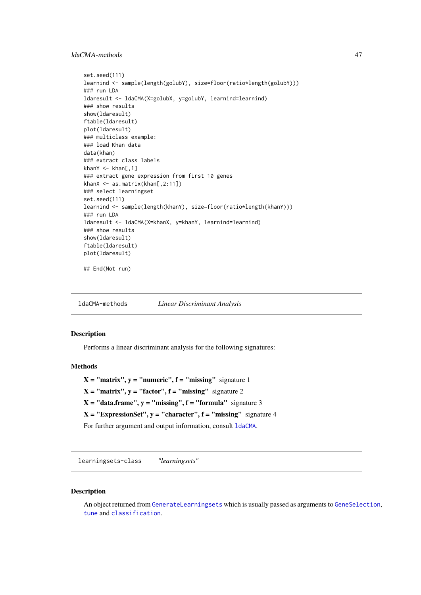### ldaCMA-methods 47

```
set.seed(111)
learnind <- sample(length(golubY), size=floor(ratio*length(golubY)))
### run LDA
ldaresult <- ldaCMA(X=golubX, y=golubY, learnind=learnind)
### show results
show(ldaresult)
ftable(ldaresult)
plot(ldaresult)
### multiclass example:
### load Khan data
data(khan)
### extract class labels
khanY \leq khan[,1]
### extract gene expression from first 10 genes
khanX \leftarrow as_matrix(khan[, 2:11])### select learningset
set.seed(111)
learnind <- sample(length(khanY), size=floor(ratio*length(khanY)))
### run LDA
ldaresult <- ldaCMA(X=khanX, y=khanY, learnind=learnind)
### show results
show(ldaresult)
ftable(ldaresult)
plot(ldaresult)
## End(Not run)
```
<span id="page-46-0"></span>ldaCMA-methods *Linear Discriminant Analysis*

#### Description

Performs a linear discriminant analysis for the following signatures:

#### Methods

 $X = "matrix", y = "numeric", f = "missing" signature 1$  $X = "matrix", y = "factor", f = "missing" signature 2$  $X = "data-frame", y = "missing", f = "formula" signature 3$  $X = "ExpressionSet", y = "character", f = "missing" signature 4$ For further argument and output information, consult [ldaCMA](#page-44-0).

learningsets-class *"learningsets"*

# <span id="page-46-1"></span>Description

An object returned from [GenerateLearningsets](#page-32-0) which is usually passed as arguments to [GeneSelection](#page-34-0), [tune](#page-83-0) and [classification](#page-6-0).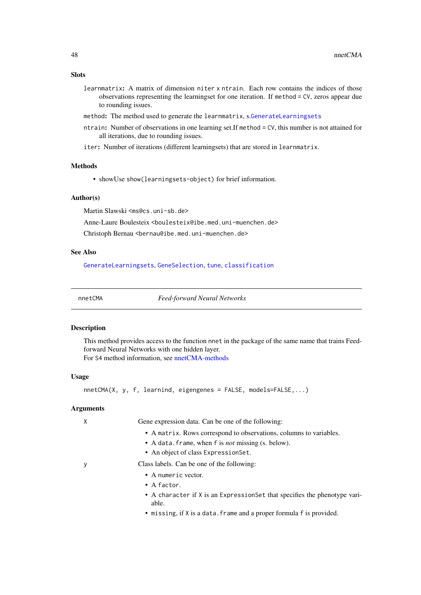## Slots

- learnmatrix: A matrix of dimension niter x ntrain. Each row contains the indices of those observations representing the learningset for one iteration. If method = CV, zeros appear due to rounding issues.
- method: The method used to generate the learnmatrix, s.[GenerateLearningsets](#page-32-0)
- ntrain: Number of observations in one learning set.If method = CV, this number is not attained for all iterations, due to rounding issues.
- iter: Number of iterations (different learningsets) that are stored in learnmatrix.

# Methods

• showUse show(learningsets-object) for brief information.

## Author(s)

Martin Slawski <ms@cs.uni-sb.de>

Anne-Laure Boulesteix <boulesteix@ibe.med.uni-muenchen.de>

Christoph Bernau <bernau@ibe.med.uni-muenchen.de>

## See Also

[GenerateLearningsets](#page-32-0), [GeneSelection](#page-34-0), [tune](#page-83-0), [classification](#page-6-0)

<span id="page-47-0"></span>nnetCMA *Feed-forward Neural Networks*

#### Description

This method provides access to the function nnet in the package of the same name that trains Feedforward Neural Networks with one hidden layer.

For S4 method information, see [nnetCMA-methods](#page-49-0)

## Usage

nnetCMA(X, y, f, learnind, eigengenes = FALSE, models=FALSE,...)

#### Arguments

| Gene expression data. Can be one of the following:                                  |
|-------------------------------------------------------------------------------------|
| • A matrix. Rows correspond to observations, columns to variables.                  |
| • A data. frame, when f is <i>not</i> missing (s. below).                           |
| • An object of class Expression Set.                                                |
| Class labels. Can be one of the following:                                          |
| $\bullet$ A numeric vector.                                                         |
| $\bullet$ A factor.                                                                 |
| • A character if X is an Expression Set that specifies the phenotype vari-<br>able. |
| • missing, if X is a data. frame and a proper formula f is provided.                |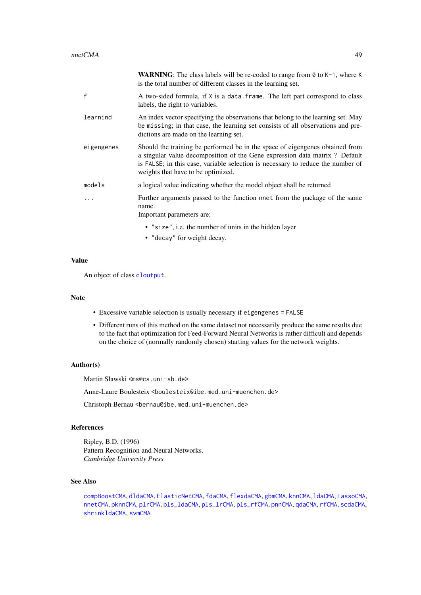|              | <b>WARNING:</b> The class labels will be re-coded to range from $\theta$ to K-1, where K<br>is the total number of different classes in the learning set.                                                                                                                            |
|--------------|--------------------------------------------------------------------------------------------------------------------------------------------------------------------------------------------------------------------------------------------------------------------------------------|
| $\mathsf{f}$ | A two-sided formula, if X is a data. frame. The left part correspond to class<br>labels, the right to variables.                                                                                                                                                                     |
| learnind     | An index vector specifying the observations that belong to the learning set. May<br>be missing; in that case, the learning set consists of all observations and pre-<br>dictions are made on the learning set.                                                                       |
| eigengenes   | Should the training be performed be in the space of eigengenes obtained from<br>a singular value decomposition of the Gene expression data matrix ? Default<br>is FALSE; in this case, variable selection is necessary to reduce the number of<br>weights that have to be optimized. |
| models       | a logical value indicating whether the model object shall be returned                                                                                                                                                                                                                |
| .            | Further arguments passed to the function nnet from the package of the same<br>name.<br>Important parameters are:                                                                                                                                                                     |
|              | • "size", i.e. the number of units in the hidden layer<br>• "decay" for weight decay.                                                                                                                                                                                                |

An object of class [cloutput](#page-8-0).

#### Note

- Excessive variable selection is usually necessary if eigengenes = FALSE
- Different runs of this method on the same dataset not necessarily produce the same results due to the fact that optimization for Feed-Forward Neural Networks is rather difficult and depends on the choice of (normally randomly chosen) starting values for the network weights.

#### Author(s)

Martin Slawski <ms@cs.uni-sb.de>

Anne-Laure Boulesteix <boulesteix@ibe.med.uni-muenchen.de>

Christoph Bernau <bernau@ibe.med.uni-muenchen.de>

## References

Ripley, B.D. (1996) Pattern Recognition and Neural Networks. *Cambridge University Press*

# See Also

```
compBoostCMA, dldaCMA, ElasticNetCMA, fdaCMA, flexdaCMA, gbmCMA, knnCMA, ldaCMA, LassoCMA,
nnetCMA, pknnCMA, plrCMA, pls_ldaCMA, pls_lrCMA, pls_rfCMA, pnnCMA, qdaCMA, rfCMA, scdaCMA,
shrinkldaCMA, svmCMA
```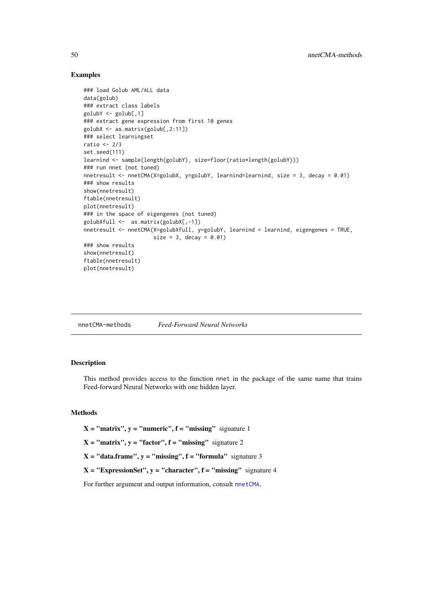## Examples

```
### load Golub AML/ALL data
data(golub)
### extract class labels
golubY <- golub[,1]
### extract gene expression from first 10 genes
golubX <- as.matrix(golub[,2:11])
### select learningset
ratio <-2/3set.seed(111)
learnind <- sample(length(golubY), size=floor(ratio*length(golubY)))
### run nnet (not tuned)
nnetresult <- nnetCMA(X=golubX, y=golubY, learnind=learnind, size = 3, decay = 0.01)
### show results
show(nnetresult)
ftable(nnetresult)
plot(nnetresult)
### in the space of eigengenes (not tuned)
golubXfull <- as.matrix(golubX[,-1])
nnetresult <- nnetCMA(X=golubXfull, y=golubY, learnind = learnind, eigengenes = TRUE,
                      size = 3, decay = 0.01### show results
show(nnetresult)
ftable(nnetresult)
plot(nnetresult)
```
<span id="page-49-0"></span>

| <b>Feed-Forward Neural Networks</b><br>nnetCMA-methods |
|--------------------------------------------------------|
|--------------------------------------------------------|

#### Description

This method provides access to the function nnet in the package of the same name that trains Feed-forward Neural Networks with one hidden layer.

# Methods

 $X = "matrix", y = "numeric", f = "missing" signature 1$ 

 $X = "matrix", y = "factor", f = "missing" signature 2$ 

 $X = "data-frame", y = "missing", f = "formula" signature 3$ 

 $X = "ExpressionSet", y = "character", f = "missing" signature 4$ 

For further argument and output information, consult [nnetCMA](#page-47-0).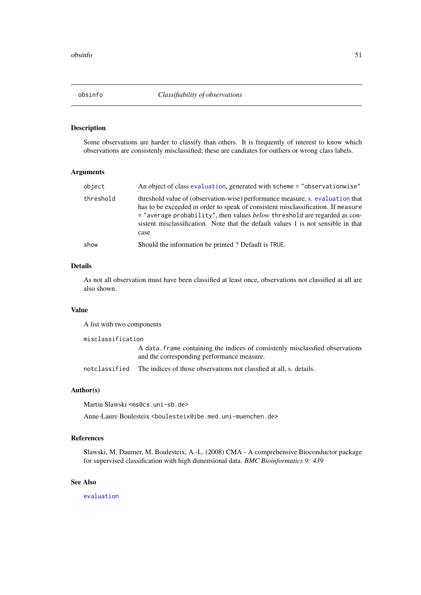## Description

Some observations are harder to classify than others. It is frequently of interest to know which observations are consistenly misclassified; these are candiates for outliers or wrong class labels.

#### Arguments

| object    | An object of class evaluation, generated with scheme = "observationwise"                                                                                                                                                                                                                                                                             |
|-----------|------------------------------------------------------------------------------------------------------------------------------------------------------------------------------------------------------------------------------------------------------------------------------------------------------------------------------------------------------|
| threshold | threshold value of (observation-wise) performance measure, s. evaluation that<br>has to be exceeded in order to speak of consistent misclassification. If measure<br>$=$ "average probability", then values <i>below</i> threshold are regarded as con-<br>sistent misclassification. Note that the default values 1 is not sensible in that<br>case |
| show      | Should the information be printed? Default is TRUE.                                                                                                                                                                                                                                                                                                  |

## Details

As not all observation must have been classified at least once, observations not classified at all are also shown.

## Value

A list with two components

misclassification

A data.frame containing the indices of consistenly misclassfied observations and the corresponding performance measure.

notclassified The indices of those observations not classfied at all, s. details.

## Author(s)

Martin Slawski <ms@cs.uni-sb.de>

Anne-Laure Boulesteix <boulesteix@ibe.med.uni-muenchen.de>

#### References

Slawski, M. Daumer, M. Boulesteix, A.-L. (2008) CMA - A comprehensive Bioconductor package for supervised classification with high dimensional data. *BMC Bioinformatics 9: 439*

#### See Also

[evaluation](#page-21-0)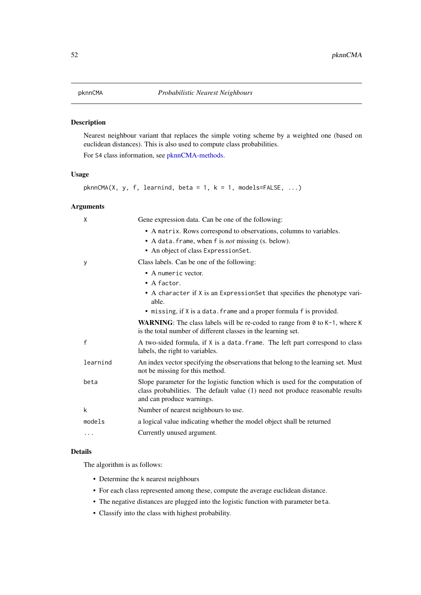## <span id="page-51-0"></span>Description

Nearest neighbour variant that replaces the simple voting scheme by a weighted one (based on euclidean distances). This is also used to compute class probabilities.

For S4 class information, see [pknnCMA-methods.](#page-52-0)

# Usage

```
phnnCMA(X, y, f, learning, beta = 1, k = 1, models = FALSE, ...)
```
# Arguments

| X        | Gene expression data. Can be one of the following:                                                                                                                                            |
|----------|-----------------------------------------------------------------------------------------------------------------------------------------------------------------------------------------------|
|          | • A matrix. Rows correspond to observations, columns to variables.<br>• A data. frame, when f is <i>not</i> missing (s. below).<br>• An object of class ExpressionSet.                        |
| у        | Class labels. Can be one of the following:                                                                                                                                                    |
|          | • A numeric vector.<br>$\bullet$ A factor.                                                                                                                                                    |
|          | • A character if X is an ExpressionSet that specifies the phenotype vari-<br>able.                                                                                                            |
|          | • missing, if X is a data. frame and a proper formula f is provided.                                                                                                                          |
|          | <b>WARNING:</b> The class labels will be re-coded to range from $\theta$ to $K-1$ , where K<br>is the total number of different classes in the learning set.                                  |
| f        | A two-sided formula, if X is a data. frame. The left part correspond to class<br>labels, the right to variables.                                                                              |
| learnind | An index vector specifying the observations that belong to the learning set. Must<br>not be missing for this method.                                                                          |
| beta     | Slope parameter for the logistic function which is used for the computation of<br>class probabilities. The default value (1) need not produce reasonable results<br>and can produce warnings. |
| k        | Number of nearest neighbours to use.                                                                                                                                                          |
| models   | a logical value indicating whether the model object shall be returned                                                                                                                         |
| .        | Currently unused argument.                                                                                                                                                                    |

# Details

The algorithm is as follows:

- Determine the k nearest neighbours
- For each class represented among these, compute the average euclidean distance.
- The negative distances are plugged into the logistic function with parameter beta.
- Classify into the class with highest probability.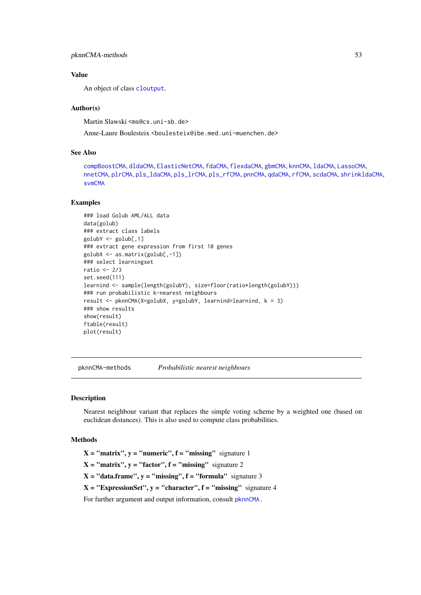#### pknnCMA-methods 53

### Value

An object of class [cloutput](#page-8-0).

## Author(s)

Martin Slawski <ms@cs.uni-sb.de>

Anne-Laure Boulesteix <boulesteix@ibe.med.uni-muenchen.de>

#### See Also

```
compBoostCMA, dldaCMA, ElasticNetCMA, fdaCMA, flexdaCMA, gbmCMA, knnCMA, ldaCMA, LassoCMA,
nnetCMA, plrCMA, pls_ldaCMA, pls_lrCMA, pls_rfCMA, pnnCMA, qdaCMA, rfCMA, scdaCMA, shrinkldaCMA,
svmCMA
```
#### Examples

```
### load Golub AML/ALL data
data(golub)
### extract class labels
golubY <- golub[,1]
### extract gene expression from first 10 genes
golubX <- as.matrix(golub[,-1])
### select learningset
ratio <-2/3set.seed(111)
learnind <- sample(length(golubY), size=floor(ratio*length(golubY)))
### run probabilistic k-nearest neighbours
result <- pknnCMA(X=golubX, y=golubY, learnind=learnind, k = 3)
### show results
show(result)
ftable(result)
plot(result)
```
<span id="page-52-0"></span>pknnCMA-methods *Probabilistic nearest neighbours*

#### Description

Nearest neighbour variant that replaces the simple voting scheme by a weighted one (based on euclidean distances). This is also used to compute class probabilities.

## Methods

 $X = "matrix", y = "numeric", f = "missing" signature 1$ 

 $X = "matrix", y = "factor", f = "missing" signature 2$ 

 $X = "data-frame", y = "missing", f = "formula" signature 3$ 

 $X = "ExpressionSet", y = "character", f = "missing" signature 4$ 

For further argument and output information, consult [pknnCMA.](#page-51-0)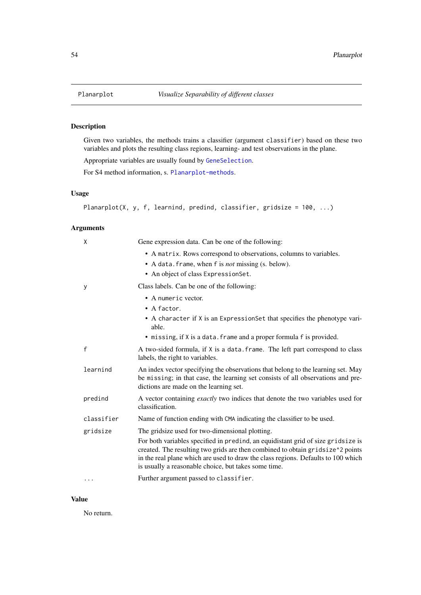## <span id="page-53-0"></span>Description

Given two variables, the methods trains a classifier (argument classifier) based on these two variables and plots the resulting class regions, learning- and test observations in the plane.

Appropriate variables are usually found by [GeneSelection](#page-34-0).

For S4 method information, s. [Planarplot-methods](#page-54-0).

# Usage

```
Planarplot(X, y, f, learnind, predind, classifier, gridsize = 100, ...)
```
# Arguments

| X            | Gene expression data. Can be one of the following:                                                                                                                                                                                                                                                              |
|--------------|-----------------------------------------------------------------------------------------------------------------------------------------------------------------------------------------------------------------------------------------------------------------------------------------------------------------|
|              | • A matrix. Rows correspond to observations, columns to variables.<br>• A data. frame, when f is <i>not</i> missing (s. below).<br>• An object of class ExpressionSet.                                                                                                                                          |
| У            | Class labels. Can be one of the following:                                                                                                                                                                                                                                                                      |
|              | • A numeric vector.                                                                                                                                                                                                                                                                                             |
|              | $\bullet$ A factor.                                                                                                                                                                                                                                                                                             |
|              | • A character if X is an Expression Set that specifies the phenotype vari-<br>able.                                                                                                                                                                                                                             |
|              | • missing, if X is a data. frame and a proper formula f is provided.                                                                                                                                                                                                                                            |
| $\mathsf{f}$ | A two-sided formula, if X is a data. frame. The left part correspond to class<br>labels, the right to variables.                                                                                                                                                                                                |
| learnind     | An index vector specifying the observations that belong to the learning set. May<br>be missing; in that case, the learning set consists of all observations and pre-<br>dictions are made on the learning set.                                                                                                  |
| predind      | A vector containing exactly two indices that denote the two variables used for<br>classification.                                                                                                                                                                                                               |
| classifier   | Name of function ending with CMA indicating the classifier to be used.                                                                                                                                                                                                                                          |
| gridsize     | The gridsize used for two-dimensional plotting.                                                                                                                                                                                                                                                                 |
|              | For both variables specified in predind, an equidistant grid of size gridsize is<br>created. The resulting two grids are then combined to obtain gridsize^2 points<br>in the real plane which are used to draw the class regions. Defaults to 100 which<br>is usually a reasonable choice, but takes some time. |
| .            | Further argument passed to classifier.                                                                                                                                                                                                                                                                          |

# Value

No return.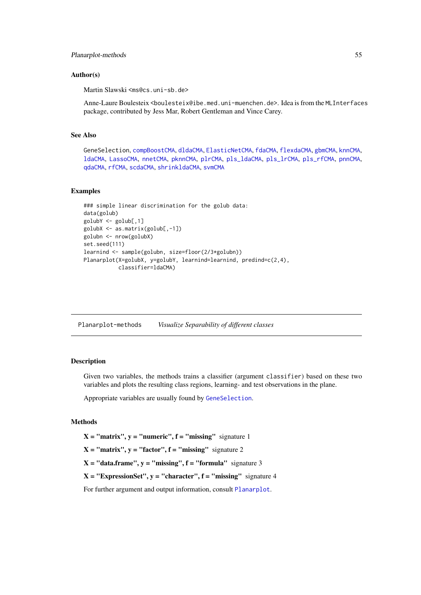#### Planarplot-methods 55

#### Author(s)

Martin Slawski <ms@cs.uni-sb.de>

Anne-Laure Boulesteix <boulesteix@ibe.med.uni-muenchen.de>. Idea is from the MLInterfaces package, contributed by Jess Mar, Robert Gentleman and Vince Carey.

## See Also

```
GeneSelection, compBoostCMA, dldaCMA, ElasticNetCMA, fdaCMA, flexdaCMA, gbmCMA, knnCMA,
ldaCMA, LassoCMA, nnetCMA, pknnCMA, plrCMA, pls_ldaCMA, pls_lrCMA, pls_rfCMA, pnnCMA,
qdaCMA, rfCMA, scdaCMA, shrinkldaCMA, svmCMA
```
## Examples

```
### simple linear discrimination for the golub data:
data(golub)
golubY <- golub[,1]
golubX <- as.matrix(golub[,-1])
golubn <- nrow(golubX)
set.seed(111)
learnind <- sample(golubn, size=floor(2/3*golubn))
Planarplot(X=golubX, y=golubY, learnind=learnind, predind=c(2,4),
           classifier=ldaCMA)
```
<span id="page-54-0"></span>Planarplot-methods *Visualize Separability of different classes*

# Description

Given two variables, the methods trains a classifier (argument classifier) based on these two variables and plots the resulting class regions, learning- and test observations in the plane.

Appropriate variables are usually found by [GeneSelection](#page-34-0).

## Methods

 $X = "matrix", y = "numeric", f = "missing" signature 1$ 

 $X = "matrix", y = "factor", f = "missing" signature 2$ 

 $X = "data-frame", y = "missing", f = "formula" signature 3$ 

 $X = "ExpressionSet", y = "character", f = "missing" signature 4$ 

For further argument and output information, consult [Planarplot](#page-53-0).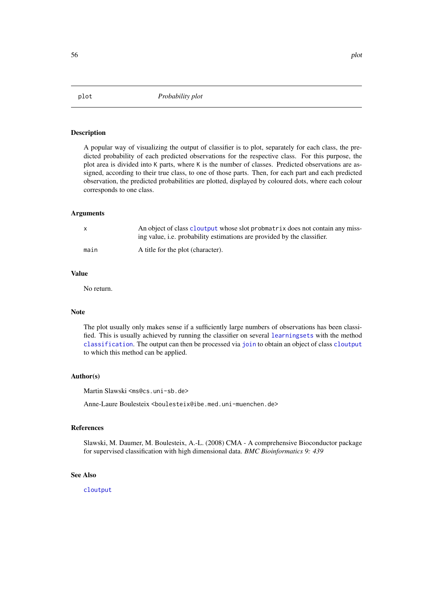#### Description

A popular way of visualizing the output of classifier is to plot, separately for each class, the predicted probability of each predicted observations for the respective class. For this purpose, the plot area is divided into K parts, where K is the number of classes. Predicted observations are assigned, according to their true class, to one of those parts. Then, for each part and each predicted observation, the predicted probabilities are plotted, displayed by coloured dots, where each colour corresponds to one class.

#### Arguments

|      | An object of class cloutput whose slot probmatrix does not contain any miss-<br>ing value, i.e. probability estimations are provided by the classifier. |
|------|---------------------------------------------------------------------------------------------------------------------------------------------------------|
| main | A title for the plot (character).                                                                                                                       |

# Value

No return.

## Note

The plot usually only makes sense if a sufficiently large numbers of observations has been classified. This is usually achieved by running the classifier on several [learningsets](#page-46-1) with the method [classification](#page-6-0). The output can then be processed via [join](#page-38-0) to obtain an object of class [cloutput](#page-8-0) to which this method can be applied.

## Author(s)

Martin Slawski <ms@cs.uni-sb.de>

Anne-Laure Boulesteix <boulesteix@ibe.med.uni-muenchen.de>

#### References

Slawski, M. Daumer, M. Boulesteix, A.-L. (2008) CMA - A comprehensive Bioconductor package for supervised classification with high dimensional data. *BMC Bioinformatics 9: 439*

# See Also

[cloutput](#page-8-0)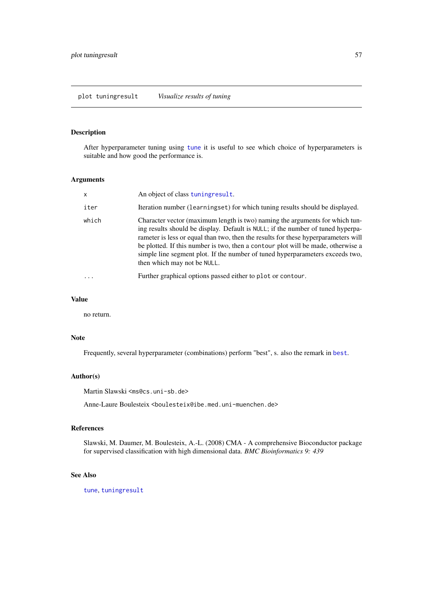plot tuningresult *Visualize results of tuning*

## Description

After hyperparameter tuning using [tune](#page-83-0) it is useful to see which choice of hyperparameters is suitable and how good the performance is.

## Arguments

| $\boldsymbol{\mathsf{x}}$ | An object of class tuningresult.                                                                                                                                                                                                                                                                                                                                                                                                                          |
|---------------------------|-----------------------------------------------------------------------------------------------------------------------------------------------------------------------------------------------------------------------------------------------------------------------------------------------------------------------------------------------------------------------------------------------------------------------------------------------------------|
| iter                      | Iteration number (learningset) for which tuning results should be displayed.                                                                                                                                                                                                                                                                                                                                                                              |
| which                     | Character vector (maximum length is two) naming the arguments for which tun-<br>ing results should be display. Default is NULL; if the number of tuned hyperpa-<br>rameter is less or equal than two, then the results for these hyperparameters will<br>be plotted. If this number is two, then a contour plot will be made, otherwise a<br>simple line segment plot. If the number of tuned hyperparameters exceeds two,<br>then which may not be NULL. |
| $\ddotsc$                 | Further graphical options passed either to plot or contour.                                                                                                                                                                                                                                                                                                                                                                                               |

## Value

no return.

# Note

Frequently, several hyperparameter (combinations) perform "best", s. also the remark in [best](#page-4-0).

## Author(s)

Martin Slawski <ms@cs.uni-sb.de>

Anne-Laure Boulesteix <boulesteix@ibe.med.uni-muenchen.de>

#### References

Slawski, M. Daumer, M. Boulesteix, A.-L. (2008) CMA - A comprehensive Bioconductor package for supervised classification with high dimensional data. *BMC Bioinformatics 9: 439*

# See Also

[tune](#page-83-0), [tuningresult](#page-86-0)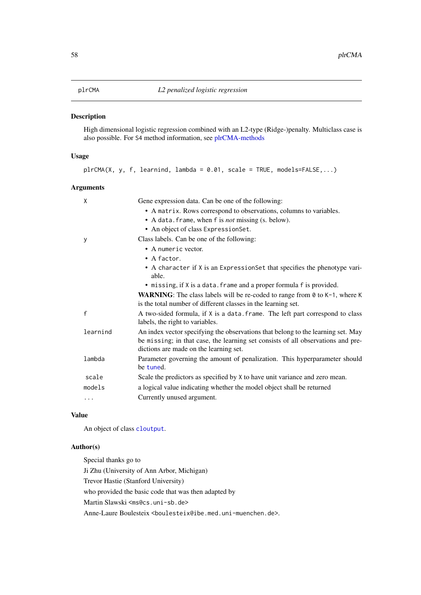<span id="page-57-0"></span>

## Description

High dimensional logistic regression combined with an L2-type (Ridge-)penalty. Multiclass case is also possible. For S4 method information, see [plrCMA-methods](#page-58-0)

#### Usage

|  |  |  |  |  |  |  | $plrCMA(X, y, f, learning, lambda = 0.01, scale = TRUE, models=FALSE,)$ |  |
|--|--|--|--|--|--|--|-------------------------------------------------------------------------|--|
|--|--|--|--|--|--|--|-------------------------------------------------------------------------|--|

# Arguments

| X            | Gene expression data. Can be one of the following:                                                                                                                                                             |
|--------------|----------------------------------------------------------------------------------------------------------------------------------------------------------------------------------------------------------------|
|              | • A matrix. Rows correspond to observations, columns to variables.                                                                                                                                             |
|              | • A data. frame, when f is <i>not</i> missing (s. below).                                                                                                                                                      |
|              | • An object of class ExpressionSet.                                                                                                                                                                            |
| У            | Class labels. Can be one of the following:                                                                                                                                                                     |
|              | • A numeric vector.                                                                                                                                                                                            |
|              | $\bullet$ A factor.                                                                                                                                                                                            |
|              | • A character if X is an ExpressionSet that specifies the phenotype vari-<br>able.                                                                                                                             |
|              | • missing, if X is a data. frame and a proper formula f is provided.                                                                                                                                           |
|              | <b>WARNING:</b> The class labels will be re-coded to range from $\theta$ to $K-1$ , where K<br>is the total number of different classes in the learning set.                                                   |
| $\mathsf{f}$ | A two-sided formula, if X is a data. frame. The left part correspond to class<br>labels, the right to variables.                                                                                               |
| learnind     | An index vector specifying the observations that belong to the learning set. May<br>be missing; in that case, the learning set consists of all observations and pre-<br>dictions are made on the learning set. |
| lambda       | Parameter governing the amount of penalization. This hyperparameter should<br>be tuned.                                                                                                                        |
| scale        | Scale the predictors as specified by X to have unit variance and zero mean.                                                                                                                                    |
| models       | a logical value indicating whether the model object shall be returned                                                                                                                                          |
| .            | Currently unused argument.                                                                                                                                                                                     |
|              |                                                                                                                                                                                                                |

# Value

An object of class [cloutput](#page-8-0).

# Author(s)

Special thanks go to

Ji Zhu (University of Ann Arbor, Michigan) Trevor Hastie (Stanford University) who provided the basic code that was then adapted by Martin Slawski <ms@cs.uni-sb.de> Anne-Laure Boulesteix <boulesteix@ibe.med.uni-muenchen.de>.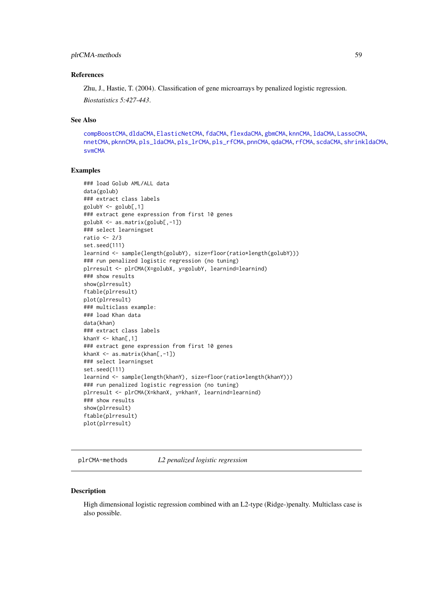#### plrCMA-methods 59

#### References

Zhu, J., Hastie, T. (2004). Classification of gene microarrays by penalized logistic regression. *Biostatistics 5:427-443*.

## See Also

```
compBoostCMA, dldaCMA, ElasticNetCMA, fdaCMA, flexdaCMA, gbmCMA, knnCMA, ldaCMA, LassoCMA,
nnetCMA, pknnCMA, pls_ldaCMA, pls_lrCMA, pls_rfCMA, pnnCMA, qdaCMA, rfCMA, scdaCMA, shrinkldaCMA,
svmCMA
```
#### Examples

```
### load Golub AML/ALL data
data(golub)
### extract class labels
golubY <- golub[,1]
### extract gene expression from first 10 genes
golubX <- as.matrix(golub[,-1])
### select learningset
ratio <-2/3set.seed(111)
learnind <- sample(length(golubY), size=floor(ratio*length(golubY)))
### run penalized logistic regression (no tuning)
plrresult <- plrCMA(X=golubX, y=golubY, learnind=learnind)
### show results
show(plrresult)
ftable(plrresult)
plot(plrresult)
### multiclass example:
### load Khan data
data(khan)
### extract class labels
khanY \leq khan[,1]
### extract gene expression from first 10 genes
khanX <- as.matrix(khan[,-1])
### select learningset
set.seed(111)
learnind <- sample(length(khanY), size=floor(ratio*length(khanY)))
### run penalized logistic regression (no tuning)
plrresult <- plrCMA(X=khanX, y=khanY, learnind=learnind)
### show results
show(plrresult)
ftable(plrresult)
plot(plrresult)
```
<span id="page-58-0"></span>plrCMA-methods *L2 penalized logistic regression*

#### Description

High dimensional logistic regression combined with an L2-type (Ridge-)penalty. Multiclass case is also possible.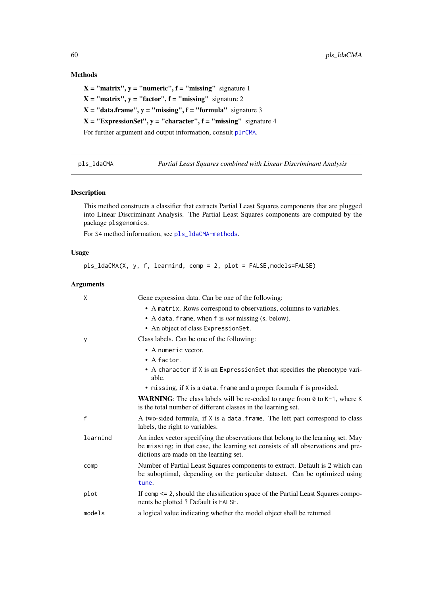# Methods

 $X = "matrix", y = "numeric", f = "missing" signature 1$  $X = "matrix", y = "factor", f = "missing" signature 2$  $X = "data-frame", y = "missing", f = "formula" signature 3$  $X = "ExpressionSet", y = "character", f = "missing" signature 4$ For further argument and output information, consult [plrCMA](#page-57-0).

<span id="page-59-0"></span>pls\_ldaCMA *Partial Least Squares combined with Linear Discriminant Analysis*

## Description

This method constructs a classifier that extracts Partial Least Squares components that are plugged into Linear Discriminant Analysis. The Partial Least Squares components are computed by the package plsgenomics.

For S4 method information, see [pls\\_ldaCMA-methods](#page-60-0).

# Usage

```
pls_ldaCMA(X, y, f, learnind, comp = 2, plot = FALSE,models=FALSE)
```
# Arguments

| X        | Gene expression data. Can be one of the following:                                                                                                                                                             |
|----------|----------------------------------------------------------------------------------------------------------------------------------------------------------------------------------------------------------------|
|          | • A matrix. Rows correspond to observations, columns to variables.                                                                                                                                             |
|          | • A data. frame, when f is <i>not</i> missing (s. below).                                                                                                                                                      |
|          | • An object of class Expression Set.                                                                                                                                                                           |
| У        | Class labels. Can be one of the following:                                                                                                                                                                     |
|          | • A numeric vector.                                                                                                                                                                                            |
|          | $\bullet$ A factor.                                                                                                                                                                                            |
|          | • A character if X is an ExpressionSet that specifies the phenotype vari-<br>able.                                                                                                                             |
|          | • missing, if X is a data. frame and a proper formula f is provided.                                                                                                                                           |
|          | <b>WARNING:</b> The class labels will be re-coded to range from $\theta$ to $K-1$ , where K<br>is the total number of different classes in the learning set.                                                   |
| f        | A two-sided formula, if X is a data. frame. The left part correspond to class<br>labels, the right to variables.                                                                                               |
| learnind | An index vector specifying the observations that belong to the learning set. May<br>be missing; in that case, the learning set consists of all observations and pre-<br>dictions are made on the learning set. |
| comp     | Number of Partial Least Squares components to extract. Default is 2 which can<br>be suboptimal, depending on the particular dataset. Can be optimized using<br>tune.                                           |
| plot     | If comp $\leq$ 2, should the classification space of the Partial Least Squares compo-<br>nents be plotted ? Default is FALSE.                                                                                  |
| models   | a logical value indicating whether the model object shall be returned                                                                                                                                          |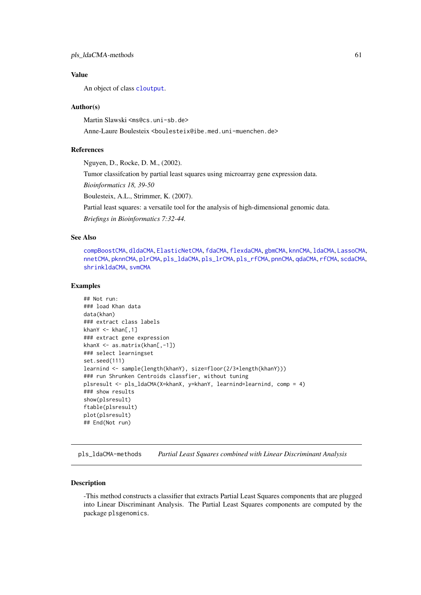An object of class [cloutput](#page-8-0).

#### Author(s)

Martin Slawski <ms@cs.uni-sb.de>

Anne-Laure Boulesteix <boulesteix@ibe.med.uni-muenchen.de>

#### References

Nguyen, D., Rocke, D. M., (2002).

Tumor classifcation by partial least squares using microarray gene expression data.

*Bioinformatics 18, 39-50*

Boulesteix, A.L., Strimmer, K. (2007).

Partial least squares: a versatile tool for the analysis of high-dimensional genomic data.

*Briefings in Bioinformatics 7:32-44.*

# See Also

[compBoostCMA](#page-13-0), [dldaCMA](#page-15-0), [ElasticNetCMA](#page-18-0), [fdaCMA](#page-23-0), [flexdaCMA](#page-26-1), [gbmCMA](#page-29-0), [knnCMA](#page-40-0), [ldaCMA](#page-44-0), [LassoCMA](#page-42-1), [nnetCMA](#page-47-0), [pknnCMA](#page-51-0), [plrCMA](#page-57-0), [pls\\_ldaCMA](#page-59-0), [pls\\_lrCMA](#page-61-0), [pls\\_rfCMA](#page-63-0), [pnnCMA](#page-65-0), [qdaCMA](#page-70-0), [rfCMA](#page-72-0), [scdaCMA](#page-75-0), [shrinkldaCMA](#page-77-0), [svmCMA](#page-80-0)

#### Examples

```
## Not run:
### load Khan data
data(khan)
### extract class labels
khanY \leq khan[,1]
### extract gene expression
khanX <- as.matrix(khan[,-1])
### select learningset
set.seed(111)
learnind <- sample(length(khanY), size=floor(2/3*length(khanY)))
### run Shrunken Centroids classfier, without tuning
plsresult <- pls_ldaCMA(X=khanX, y=khanY, learnind=learnind, comp = 4)
### show results
show(plsresult)
ftable(plsresult)
plot(plsresult)
## End(Not run)
```
<span id="page-60-0"></span>pls\_ldaCMA-methods *Partial Least Squares combined with Linear Discriminant Analysis*

#### Description

-This method constructs a classifier that extracts Partial Least Squares components that are plugged into Linear Discriminant Analysis. The Partial Least Squares components are computed by the package plsgenomics.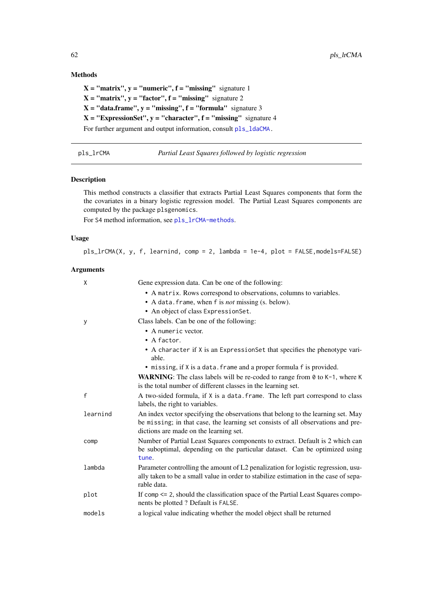# Methods

 $X = "matrix", y = "numeric", f = "missing" signature 1$  $X = "matrix", y = "factor", f = "missing" signature 2$  $X = "data-frame", y = "missing", f = "formula" signature 3$  $X = "ExpressionSet", y = "character", f = "missing" signature 4$ For further argument and output information, consult [pls\\_ldaCMA.](#page-59-0)

<span id="page-61-0"></span>

pls\_lrCMA *Partial Least Squares followed by logistic regression*

## Description

This method constructs a classifier that extracts Partial Least Squares components that form the the covariates in a binary logistic regression model. The Partial Least Squares components are computed by the package plsgenomics.

For S4 method information, see [pls\\_lrCMA-methods](#page-62-0).

# Usage

```
pls_lrCMA(X, y, f, learnind, comp = 2, lambda = 1e-4, plot = FALSE,models=FALSE)
```
#### Arguments

| X            | Gene expression data. Can be one of the following:                                                                                                                                                             |
|--------------|----------------------------------------------------------------------------------------------------------------------------------------------------------------------------------------------------------------|
|              | • A matrix. Rows correspond to observations, columns to variables.                                                                                                                                             |
|              | • A data. frame, when f is <i>not</i> missing (s. below).                                                                                                                                                      |
|              | • An object of class ExpressionSet.                                                                                                                                                                            |
| У            | Class labels. Can be one of the following:                                                                                                                                                                     |
|              | • A numeric vector.                                                                                                                                                                                            |
|              | $\bullet$ A factor.                                                                                                                                                                                            |
|              | • A character if X is an ExpressionSet that specifies the phenotype vari-<br>able.                                                                                                                             |
|              | • missing, if X is a data. frame and a proper formula f is provided.                                                                                                                                           |
|              | <b>WARNING:</b> The class labels will be re-coded to range from $\theta$ to $K-1$ , where K<br>is the total number of different classes in the learning set.                                                   |
| $\mathsf{f}$ | A two-sided formula, if X is a data. frame. The left part correspond to class<br>labels, the right to variables.                                                                                               |
| learnind     | An index vector specifying the observations that belong to the learning set. May<br>be missing; in that case, the learning set consists of all observations and pre-<br>dictions are made on the learning set. |
| comp         | Number of Partial Least Squares components to extract. Default is 2 which can<br>be suboptimal, depending on the particular dataset. Can be optimized using<br>tune.                                           |
| lambda       | Parameter controlling the amount of L2 penalization for logistic regression, usu-<br>ally taken to be a small value in order to stabilize estimation in the case of sepa-<br>rable data.                       |
| plot         | If comp $\leq$ 2, should the classification space of the Partial Least Squares compo-<br>nents be plotted ? Default is FALSE.                                                                                  |
| models       | a logical value indicating whether the model object shall be returned                                                                                                                                          |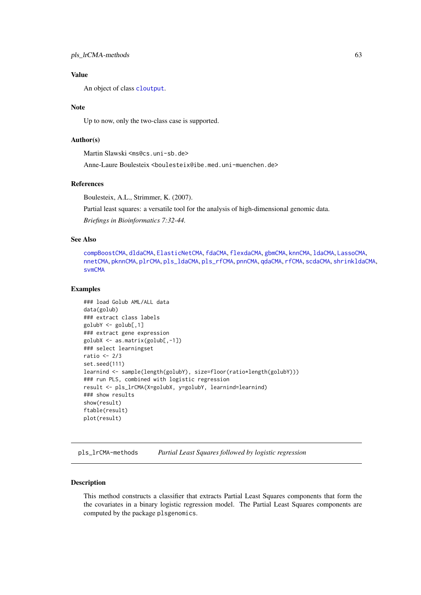An object of class [cloutput](#page-8-0).

# Note

Up to now, only the two-class case is supported.

#### Author(s)

Martin Slawski <ms@cs.uni-sb.de>

Anne-Laure Boulesteix <boulesteix@ibe.med.uni-muenchen.de>

## References

Boulesteix, A.L., Strimmer, K. (2007).

Partial least squares: a versatile tool for the analysis of high-dimensional genomic data. *Briefings in Bioinformatics 7:32-44.*

## See Also

[compBoostCMA](#page-13-0), [dldaCMA](#page-15-0), [ElasticNetCMA](#page-18-0), [fdaCMA](#page-23-0), [flexdaCMA](#page-26-1), [gbmCMA](#page-29-0), [knnCMA](#page-40-0), [ldaCMA](#page-44-0), [LassoCMA](#page-42-1), [nnetCMA](#page-47-0), [pknnCMA](#page-51-0), [plrCMA](#page-57-0), [pls\\_ldaCMA](#page-59-0), [pls\\_rfCMA](#page-63-0), [pnnCMA](#page-65-0), [qdaCMA](#page-70-0), [rfCMA](#page-72-0), [scdaCMA](#page-75-0), [shrinkldaCMA](#page-77-0), [svmCMA](#page-80-0)

#### Examples

```
### load Golub AML/ALL data
data(golub)
### extract class labels
golubY <- golub[,1]
### extract gene expression
golubX <- as.matrix(golub[,-1])
### select learningset
ratio <-2/3set.seed(111)
learnind <- sample(length(golubY), size=floor(ratio*length(golubY)))
### run PLS, combined with logistic regression
result <- pls_lrCMA(X=golubX, y=golubY, learnind=learnind)
### show results
show(result)
ftable(result)
plot(result)
```
<span id="page-62-0"></span>pls\_lrCMA-methods *Partial Least Squares followed by logistic regression*

## Description

This method constructs a classifier that extracts Partial Least Squares components that form the the covariates in a binary logistic regression model. The Partial Least Squares components are computed by the package plsgenomics.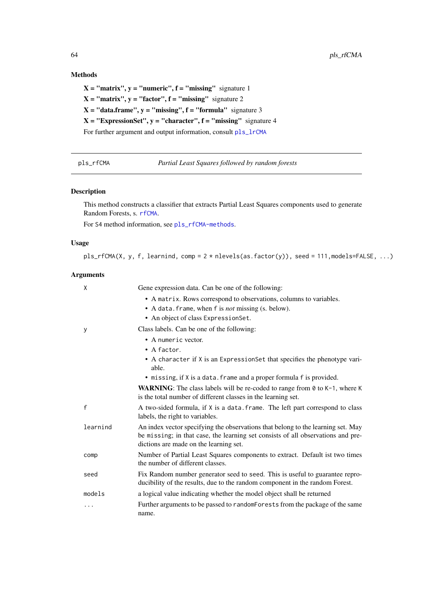# Methods

 $X = "matrix", y = "numeric", f = "missing" signature 1$  $X = "matrix", y = "factor", f = "missing" signature 2$  $X = "data-frame", y = "missing", f = "formula" signature 3$  $X = "ExpressionSet", y = "character", f = "missing" signature 4$ For further argument and output information, consult [pls\\_lrCMA](#page-61-0)

<span id="page-63-0"></span>pls\_rfCMA *Partial Least Squares followed by random forests*

## Description

This method constructs a classifier that extracts Partial Least Squares components used to generate Random Forests, s. [rfCMA](#page-72-0).

For S4 method information, see [pls\\_rfCMA-methods](#page-64-0).

## Usage

```
pls_rfCMA(X, y, f, learnind, comp = 2 * nlevels(as.factor(y)), seed = 111,models=FALSE, ...)
```
# Arguments

| X        | Gene expression data. Can be one of the following:                                                                                                                                                             |
|----------|----------------------------------------------------------------------------------------------------------------------------------------------------------------------------------------------------------------|
|          | • A matrix. Rows correspond to observations, columns to variables.<br>• A data. frame, when f is <i>not</i> missing (s. below).                                                                                |
|          | • An object of class ExpressionSet.                                                                                                                                                                            |
|          |                                                                                                                                                                                                                |
| У        | Class labels. Can be one of the following:                                                                                                                                                                     |
|          | • A numeric vector.                                                                                                                                                                                            |
|          | $\bullet$ A factor.                                                                                                                                                                                            |
|          | • A character if X is an ExpressionSet that specifies the phenotype vari-<br>able.                                                                                                                             |
|          | • missing, if X is a data. frame and a proper formula f is provided.                                                                                                                                           |
|          | <b>WARNING:</b> The class labels will be re-coded to range from $\theta$ to $K-1$ , where K<br>is the total number of different classes in the learning set.                                                   |
| f        | A two-sided formula, if X is a data. frame. The left part correspond to class<br>labels, the right to variables.                                                                                               |
| learnind | An index vector specifying the observations that belong to the learning set. May<br>be missing; in that case, the learning set consists of all observations and pre-<br>dictions are made on the learning set. |
| comp     | Number of Partial Least Squares components to extract. Default ist two times<br>the number of different classes.                                                                                               |
| seed     | Fix Random number generator seed to seed. This is useful to guarantee repro-<br>ducibility of the results, due to the random component in the random Forest.                                                   |
| models   | a logical value indicating whether the model object shall be returned                                                                                                                                          |
| .        | Further arguments to be passed to randomForests from the package of the same<br>name.                                                                                                                          |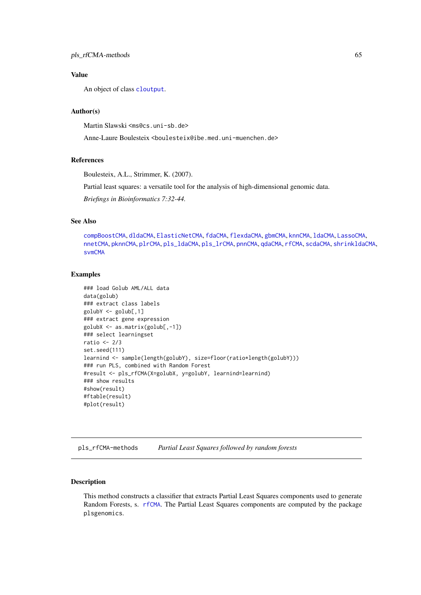An object of class [cloutput](#page-8-0).

## Author(s)

Martin Slawski <ms@cs.uni-sb.de>

Anne-Laure Boulesteix <boulesteix@ibe.med.uni-muenchen.de>

### References

Boulesteix, A.L., Strimmer, K. (2007).

Partial least squares: a versatile tool for the analysis of high-dimensional genomic data.

*Briefings in Bioinformatics 7:32-44.*

## See Also

[compBoostCMA](#page-13-0), [dldaCMA](#page-15-0), [ElasticNetCMA](#page-18-0), [fdaCMA](#page-23-0), [flexdaCMA](#page-26-1), [gbmCMA](#page-29-0), [knnCMA](#page-40-0), [ldaCMA](#page-44-0), [LassoCMA](#page-42-1), [nnetCMA](#page-47-0), [pknnCMA](#page-51-0), [plrCMA](#page-57-0), [pls\\_ldaCMA](#page-59-0), [pls\\_lrCMA](#page-61-0), [pnnCMA](#page-65-0), [qdaCMA](#page-70-0), [rfCMA](#page-72-0), [scdaCMA](#page-75-0), [shrinkldaCMA](#page-77-0), [svmCMA](#page-80-0)

## Examples

```
### load Golub AML/ALL data
data(golub)
### extract class labels
golubY <- golub[,1]
### extract gene expression
golubX <- as.matrix(golub[,-1])
### select learningset
ratio <-2/3set.seed(111)
learnind <- sample(length(golubY), size=floor(ratio*length(golubY)))
### run PLS, combined with Random Forest
#result <- pls_rfCMA(X=golubX, y=golubY, learnind=learnind)
### show results
#show(result)
#ftable(result)
#plot(result)
```
<span id="page-64-0"></span>pls\_rfCMA-methods *Partial Least Squares followed by random forests*

#### Description

This method constructs a classifier that extracts Partial Least Squares components used to generate Random Forests, s. [rfCMA](#page-72-0). The Partial Least Squares components are computed by the package plsgenomics.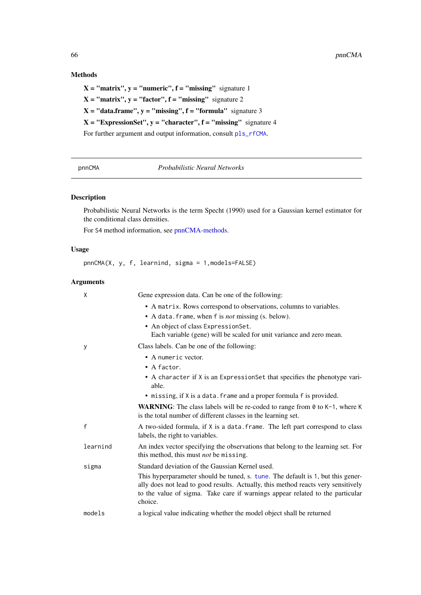# Methods

 $X = "matrix", y = "numeric", f = "missing" signature 1$  $X = "matrix", y = "factor", f = "missing" signature 2$  $X = "data-frame", y = "missing", f = "formula" signature 3$  $X = "ExpressionSet", y = "character", f = "missing" signature 4$ For further argument and output information, consult [pls\\_rfCMA](#page-63-0).

<span id="page-65-0"></span>pnnCMA *Probabilistic Neural Networks*

# Description

Probabilistic Neural Networks is the term Specht (1990) used for a Gaussian kernel estimator for the conditional class densities.

For S4 method information, see [pnnCMA-methods.](#page-66-0)

### Usage

pnnCMA(X, y, f, learnind, sigma = 1,models=FALSE)

## Arguments

| X            | Gene expression data. Can be one of the following:                                                                                                                                                                                                               |
|--------------|------------------------------------------------------------------------------------------------------------------------------------------------------------------------------------------------------------------------------------------------------------------|
|              | • A matrix. Rows correspond to observations, columns to variables.<br>• A data. frame, when f is <i>not</i> missing (s. below).<br>• An object of class ExpressionSet.<br>Each variable (gene) will be scaled for unit variance and zero mean.                   |
| у            | Class labels. Can be one of the following:                                                                                                                                                                                                                       |
|              | • A numeric vector.<br>$\bullet$ A factor.                                                                                                                                                                                                                       |
|              | • A character if X is an ExpressionSet that specifies the phenotype vari-<br>able.                                                                                                                                                                               |
|              | • missing, if X is a data. frame and a proper formula f is provided.                                                                                                                                                                                             |
|              | <b>WARNING:</b> The class labels will be re-coded to range from $\theta$ to $K-1$ , where K<br>is the total number of different classes in the learning set.                                                                                                     |
| $\mathsf{f}$ | A two-sided formula, if X is a data. frame. The left part correspond to class<br>labels, the right to variables.                                                                                                                                                 |
| learnind     | An index vector specifying the observations that belong to the learning set. For<br>this method, this must <i>not</i> be missing.                                                                                                                                |
| sigma        | Standard deviation of the Gaussian Kernel used.                                                                                                                                                                                                                  |
|              | This hyperparameter should be tuned, s. tune. The default is 1, but this gener-<br>ally does not lead to good results. Actually, this method reacts very sensitively<br>to the value of sigma. Take care if warnings appear related to the particular<br>choice. |
| models       | a logical value indicating whether the model object shall be returned                                                                                                                                                                                            |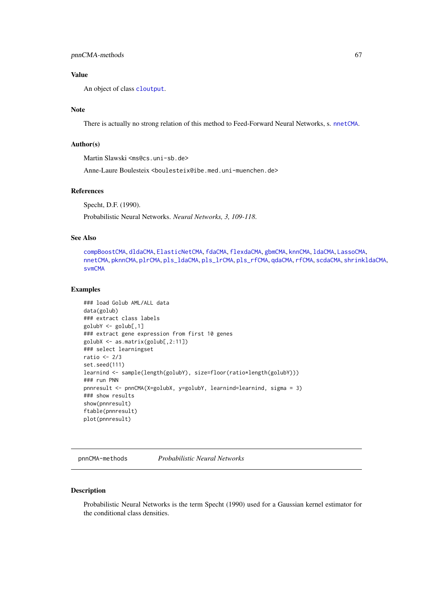An object of class [cloutput](#page-8-0).

#### Note

There is actually no strong relation of this method to Feed-Forward Neural Networks, s. [nnetCMA](#page-47-0).

## Author(s)

Martin Slawski <ms@cs.uni-sb.de>

Anne-Laure Boulesteix <boulesteix@ibe.med.uni-muenchen.de>

## References

Specht, D.F. (1990).

Probabilistic Neural Networks. *Neural Networks, 3, 109-118*.

## See Also

[compBoostCMA](#page-13-0), [dldaCMA](#page-15-0), [ElasticNetCMA](#page-18-0), [fdaCMA](#page-23-0), [flexdaCMA](#page-26-1), [gbmCMA](#page-29-0), [knnCMA](#page-40-0), [ldaCMA](#page-44-0), [LassoCMA](#page-42-1), [nnetCMA](#page-47-0), [pknnCMA](#page-51-0), [plrCMA](#page-57-0), [pls\\_ldaCMA](#page-59-0), [pls\\_lrCMA](#page-61-0), [pls\\_rfCMA](#page-63-0), [qdaCMA](#page-70-0), [rfCMA](#page-72-0), [scdaCMA](#page-75-0), [shrinkldaCMA](#page-77-0), [svmCMA](#page-80-0)

#### Examples

```
### load Golub AML/ALL data
data(golub)
### extract class labels
golubY <- golub[,1]
### extract gene expression from first 10 genes
golubX <- as.matrix(golub[,2:11])
### select learningset
ratio <-2/3set.seed(111)
learnind <- sample(length(golubY), size=floor(ratio*length(golubY)))
### run PNN
pnnresult <- pnnCMA(X=golubX, y=golubY, learnind=learnind, sigma = 3)
### show results
show(pnnresult)
ftable(pnnresult)
plot(pnnresult)
```
<span id="page-66-0"></span>pnnCMA-methods *Probabilistic Neural Networks*

# Description

Probabilistic Neural Networks is the term Specht (1990) used for a Gaussian kernel estimator for the conditional class densities.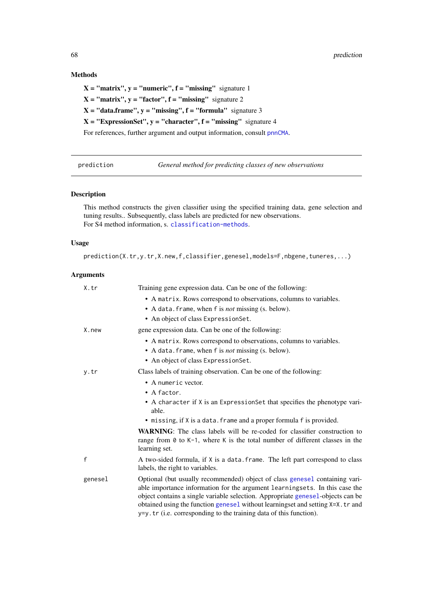# Methods

 $X = "matrix", y = "numeric", f = "missing" signature 1$  $X = "matrix", y = "factor", f = "missing" signature 2$  $X = "data-frame", y = "missing", f = "formula" signature 3$  $X = "ExpressionSet", y = "character", f = "missing" signature 4$ For references, further argument and output information, consult [pnnCMA](#page-65-0).

prediction *General method for predicting classes of new observations*

## Description

This method constructs the given classifier using the specified training data, gene selection and tuning results.. Subsequently, class labels are predicted for new observations. For S4 method information, s. [classification-methods](#page-8-1).

## Usage

prediction(X.tr,y.tr,X.new,f,classifier,genesel,models=F,nbgene,tuneres,...)

# Arguments

| X.tr    | Training gene expression data. Can be one of the following:                                                                                                                                                                                                                                                                                                                                            |
|---------|--------------------------------------------------------------------------------------------------------------------------------------------------------------------------------------------------------------------------------------------------------------------------------------------------------------------------------------------------------------------------------------------------------|
|         | • A matrix. Rows correspond to observations, columns to variables.                                                                                                                                                                                                                                                                                                                                     |
|         | • A data. frame, when f is <i>not</i> missing (s. below).                                                                                                                                                                                                                                                                                                                                              |
|         | • An object of class ExpressionSet.                                                                                                                                                                                                                                                                                                                                                                    |
| X.new   | gene expression data. Can be one of the following:                                                                                                                                                                                                                                                                                                                                                     |
|         | • A matrix. Rows correspond to observations, columns to variables.                                                                                                                                                                                                                                                                                                                                     |
|         | • A data. frame, when f is <i>not</i> missing (s. below).                                                                                                                                                                                                                                                                                                                                              |
|         | • An object of class ExpressionSet.                                                                                                                                                                                                                                                                                                                                                                    |
| y.tr    | Class labels of training observation. Can be one of the following:                                                                                                                                                                                                                                                                                                                                     |
|         | • A numeric vector.                                                                                                                                                                                                                                                                                                                                                                                    |
|         | • A factor.                                                                                                                                                                                                                                                                                                                                                                                            |
|         | • A character if X is an ExpressionSet that specifies the phenotype vari-<br>able.                                                                                                                                                                                                                                                                                                                     |
|         | • missing, if X is a data. frame and a proper formula f is provided.                                                                                                                                                                                                                                                                                                                                   |
|         | <b>WARNING</b> : The class labels will be re-coded for classifier construction to<br>range from $\theta$ to K-1, where K is the total number of different classes in the<br>learning set.                                                                                                                                                                                                              |
| f       | A two-sided formula, if X is a data. frame. The left part correspond to class<br>labels, the right to variables.                                                                                                                                                                                                                                                                                       |
| genesel | Optional (but usually recommended) object of class genesel containing vari-<br>able importance information for the argument learningsets. In this case the<br>object contains a single variable selection. Appropriate genesel-objects can be<br>obtained using the function genesel without learningset and setting X=X. tr and<br>y=y.tr (i.e. corresponding to the training data of this function). |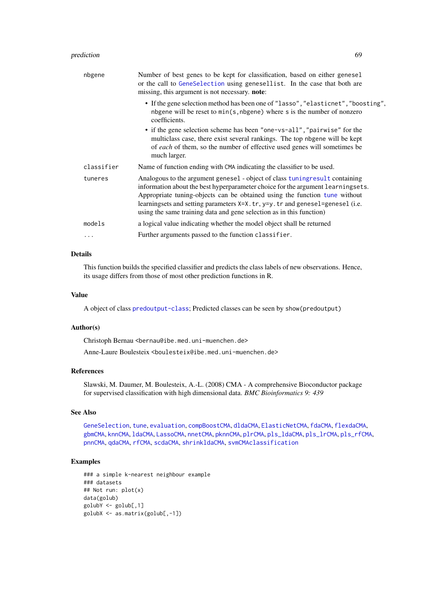#### prediction 69

| nbgene     | Number of best genes to be kept for classification, based on either genesel<br>or the call to GeneSelection using genesellist. In the case that both are<br>missing, this argument is not necessary. note:                                                                                                                                                                                            |
|------------|-------------------------------------------------------------------------------------------------------------------------------------------------------------------------------------------------------------------------------------------------------------------------------------------------------------------------------------------------------------------------------------------------------|
|            | • If the gene selection method has been one of "lasso", "elasticnet", "boosting",<br>nbgene will be reset to min(s, nbgene) where s is the number of nonzero<br>coefficients.                                                                                                                                                                                                                         |
|            | • if the gene selection scheme has been "one-vs-all", "pairwise" for the<br>multiclass case, there exist several rankings. The top nbgene will be kept<br>of each of them, so the number of effective used genes will sometimes be<br>much larger.                                                                                                                                                    |
| classifier | Name of function ending with CMA indicating the classifier to be used.                                                                                                                                                                                                                                                                                                                                |
| tuneres    | Analogous to the argument genesel - object of class tuning result containing<br>information about the best hyperparameter choice for the argument learningsets.<br>Appropriate tuning-objects can be obtained using the function tune without<br>learningsets and setting parameters X=X.tr, y=y.tr and genesel=genesel (i.e.<br>using the same training data and gene selection as in this function) |
| models     | a logical value indicating whether the model object shall be returned                                                                                                                                                                                                                                                                                                                                 |
| .          | Further arguments passed to the function classifier.                                                                                                                                                                                                                                                                                                                                                  |

# Details

This function builds the specified classifier and predicts the class labels of new observations. Hence, its usage differs from those of most other prediction functions in R.

#### Value

A object of class [predoutput-class](#page-69-0); Predicted classes can be seen by show(predoutput)

#### Author(s)

Christoph Bernau <bernau@ibe.med.uni-muenchen.de>

Anne-Laure Boulesteix <boulesteix@ibe.med.uni-muenchen.de>

## References

Slawski, M. Daumer, M. Boulesteix, A.-L. (2008) CMA - A comprehensive Bioconductor package for supervised classification with high dimensional data. *BMC Bioinformatics 9: 439*

#### See Also

[GeneSelection](#page-34-0), [tune](#page-83-0), [evaluation](#page-21-0), [compBoostCMA](#page-13-0), [dldaCMA](#page-15-0), [ElasticNetCMA](#page-18-0), [fdaCMA](#page-23-0), [flexdaCMA](#page-26-1), [gbmCMA](#page-29-0), [knnCMA](#page-40-0), [ldaCMA](#page-44-0), [LassoCMA](#page-42-1), [nnetCMA](#page-47-0), [pknnCMA](#page-51-0), [plrCMA](#page-57-0), [pls\\_ldaCMA](#page-59-0), [pls\\_lrCMA](#page-61-0), [pls\\_rfCMA](#page-63-0), [pnnCMA](#page-65-0), [qdaCMA](#page-70-0), [rfCMA](#page-72-0), [scdaCMA](#page-75-0), [shrinkldaCMA](#page-77-0), [svmCMA](#page-80-0)[classification](#page-6-0)

## Examples

```
### a simple k-nearest neighbour example
### datasets
## Not run: plot(x)
data(golub)
golubY <- golub[,1]
golubX <- as.matrix(golub[,-1])
```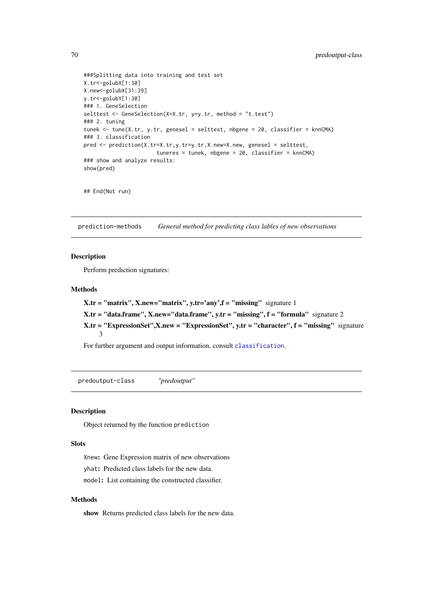```
###Splitting data into training and test set
X.tr<-golubX[1:30]
X.new<-golubX[31:39]
y.tr<-golubY[1:30]
### 1. GeneSelection
selttest <- GeneSelection(X=X.tr, y=y.tr, method = "t.test")
### 2. tuning
tunek <- tune(X.tr, y.tr, genesel = selttest, nbgene = 20, classifier = knnCMA)
### 3. classification
pred <- prediction(X.tr=X.tr,y.tr=y.tr,X.new=X.new, genesel = selttest,
                       tuneres = tunek, nbgene = 20, classifier = knnCMA)
### show and analyze results:
show(pred)
```

```
## End(Not run)
```
prediction-methods *General method for predicting class lables of new observations*

#### Description

Perform prediction signatures:

## Methods

```
X.tr = "matrix", X.new='matrix", y.tr='any", f = "missing" signature 1X.tr = "data.frame", X.new='data.frame", y.tr = "missing", f = "formula" signature 2X.tr = "ExpressionSet",X.new = "ExpressionSet", y.tr = "character", f = "missing" signature
     3
```
For further argument and output information, consult [classification](#page-6-0).

<span id="page-69-0"></span>predoutput-class *"predoutput"*

#### Description

Object returned by the function prediction

## Slots

Xnew: Gene Expression matrix of new observations

yhat: Predicted class labels for the new data.

model: List containing the constructed classifier.

## Methods

show Returns predicted class labels for the new data.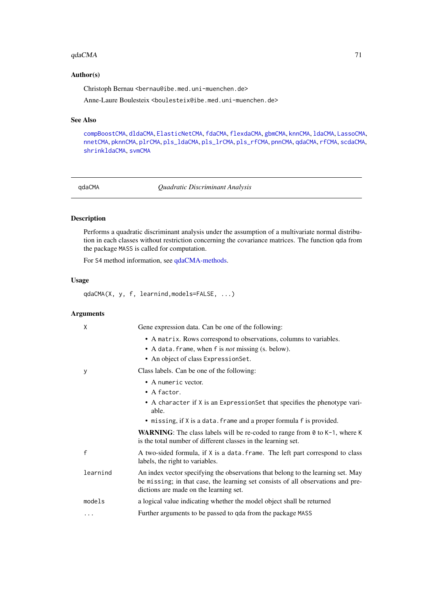#### $q$ daCMA  $q$

## Author(s)

Christoph Bernau <bernau@ibe.med.uni-muenchen.de>

Anne-Laure Boulesteix <boulesteix@ibe.med.uni-muenchen.de>

# See Also

[compBoostCMA](#page-13-0), [dldaCMA](#page-15-0), [ElasticNetCMA](#page-18-0), [fdaCMA](#page-23-0), [flexdaCMA](#page-26-1), [gbmCMA](#page-29-0), [knnCMA](#page-40-0), [ldaCMA](#page-44-0), [LassoCMA](#page-42-1), [nnetCMA](#page-47-0), [pknnCMA](#page-51-0), [plrCMA](#page-57-0), [pls\\_ldaCMA](#page-59-0), [pls\\_lrCMA](#page-61-0), [pls\\_rfCMA](#page-63-0), [pnnCMA](#page-65-0), [qdaCMA](#page-70-0), [rfCMA](#page-72-0), [scdaCMA](#page-75-0), [shrinkldaCMA](#page-77-0), [svmCMA](#page-80-0)

<span id="page-70-0"></span>

qdaCMA *Quadratic Discriminant Analysis*

## Description

Performs a quadratic discriminant analysis under the assumption of a multivariate normal distribution in each classes without restriction concerning the covariance matrices. The function qda from the package MASS is called for computation.

For S4 method information, see [qdaCMA-methods.](#page-72-1)

#### Usage

qdaCMA(X, y, f, learnind,models=FALSE, ...)

## Arguments

| X        | Gene expression data. Can be one of the following:                                                                                                                                                             |
|----------|----------------------------------------------------------------------------------------------------------------------------------------------------------------------------------------------------------------|
|          | • A matrix. Rows correspond to observations, columns to variables.                                                                                                                                             |
|          | • A data. frame, when f is <i>not</i> missing (s. below).                                                                                                                                                      |
|          | • An object of class Expression Set.                                                                                                                                                                           |
| у        | Class labels. Can be one of the following:                                                                                                                                                                     |
|          | • A numeric vector.                                                                                                                                                                                            |
|          | • A factor.                                                                                                                                                                                                    |
|          | • A character if X is an ExpressionSet that specifies the phenotype vari-<br>able.                                                                                                                             |
|          | • missing, if X is a data. frame and a proper formula f is provided.                                                                                                                                           |
|          | <b>WARNING:</b> The class labels will be re-coded to range from $\theta$ to K-1, where K<br>is the total number of different classes in the learning set.                                                      |
| f        | A two-sided formula, if X is a data. frame. The left part correspond to class<br>labels, the right to variables.                                                                                               |
| learnind | An index vector specifying the observations that belong to the learning set. May<br>be missing; in that case, the learning set consists of all observations and pre-<br>dictions are made on the learning set. |
| models   | a logical value indicating whether the model object shall be returned                                                                                                                                          |
| $\cdots$ | Further arguments to be passed to qda from the package MASS                                                                                                                                                    |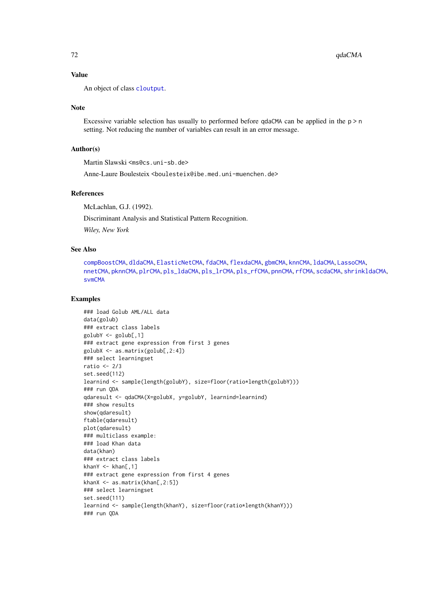An object of class [cloutput](#page-8-0).

## Note

Excessive variable selection has usually to performed before qdaCMA can be applied in the  $p > n$ setting. Not reducing the number of variables can result in an error message.

## Author(s)

Martin Slawski <ms@cs.uni-sb.de>

Anne-Laure Boulesteix <boulesteix@ibe.med.uni-muenchen.de>

## References

McLachlan, G.J. (1992).

Discriminant Analysis and Statistical Pattern Recognition.

*Wiley, New York*

#### See Also

[compBoostCMA](#page-13-0), [dldaCMA](#page-15-0), [ElasticNetCMA](#page-18-0), [fdaCMA](#page-23-0), [flexdaCMA](#page-26-1), [gbmCMA](#page-29-0), [knnCMA](#page-40-0), [ldaCMA](#page-44-0), [LassoCMA](#page-42-1), [nnetCMA](#page-47-0), [pknnCMA](#page-51-0), [plrCMA](#page-57-0), [pls\\_ldaCMA](#page-59-0), [pls\\_lrCMA](#page-61-0), [pls\\_rfCMA](#page-63-0), [pnnCMA](#page-65-0), [rfCMA](#page-72-0), [scdaCMA](#page-75-0), [shrinkldaCMA](#page-77-0), [svmCMA](#page-80-0)

#### Examples

```
### load Golub AML/ALL data
data(golub)
### extract class labels
golubY \leftarrow golub[, 1]### extract gene expression from first 3 genes
golubX <- as.matrix(golub[,2:4])
### select learningset
ratio <- 2/3
set.seed(112)
learnind <- sample(length(golubY), size=floor(ratio*length(golubY)))
### run QDA
qdaresult <- qdaCMA(X=golubX, y=golubY, learnind=learnind)
### show results
show(qdaresult)
ftable(qdaresult)
plot(qdaresult)
### multiclass example:
### load Khan data
data(khan)
### extract class labels
khanY \leq khan[,1]### extract gene expression from first 4 genes
khanX <- as.matrix(khan[,2:5])
### select learningset
set.seed(111)
learnind <- sample(length(khanY), size=floor(ratio*length(khanY)))
### run QDA
```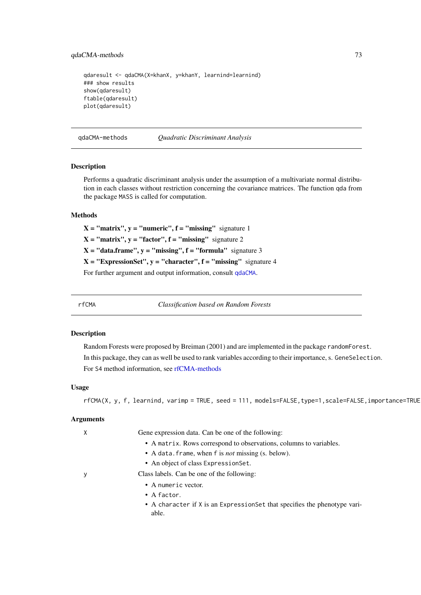#### <span id="page-72-1"></span>qdaCMA-methods 73

```
qdaresult <- qdaCMA(X=khanX, y=khanY, learnind=learnind)
### show results
show(qdaresult)
ftable(qdaresult)
plot(qdaresult)
```
qdaCMA-methods *Quadratic Discriminant Analysis*

# Description

Performs a quadratic discriminant analysis under the assumption of a multivariate normal distribution in each classes without restriction concerning the covariance matrices. The function qda from the package MASS is called for computation.

# Methods

 $X = "matrix", y = "numeric", f = "missing" signature 1$  $X = "matrix", y = "factor", f = "missing" signature 2$  $X = "data-frame", y = "missing", f = "formula" signature 3$  $X = "ExpressionSet", y = "character", f = "missing" signature 4$ For further argument and output information, consult [qdaCMA](#page-70-0).

<span id="page-72-0"></span>

rfCMA *Classification based on Random Forests*

#### **Description**

Random Forests were proposed by Breiman (2001) and are implemented in the package randomForest. In this package, they can as well be used to rank variables according to their importance, s. GeneSelection. For S4 method information, see [rfCMA-methods](#page-74-0)

# Usage

rfCMA(X, y, f, learnind, varimp = TRUE, seed = 111, models=FALSE, type=1, scale=FALSE, importance=TRUE

#### Arguments

| χ | Gene expression data. Can be one of the following:                                  |
|---|-------------------------------------------------------------------------------------|
|   | • A matrix. Rows correspond to observations, columns to variables.                  |
|   | • A data. frame, when f is <i>not</i> missing (s. below).                           |
|   | • An object of class Expression Set.                                                |
| у | Class labels. Can be one of the following:                                          |
|   | • A numeric vector.                                                                 |
|   | $\bullet$ A factor.                                                                 |
|   | • A character if X is an Expression Set that specifies the phenotype vari-<br>able. |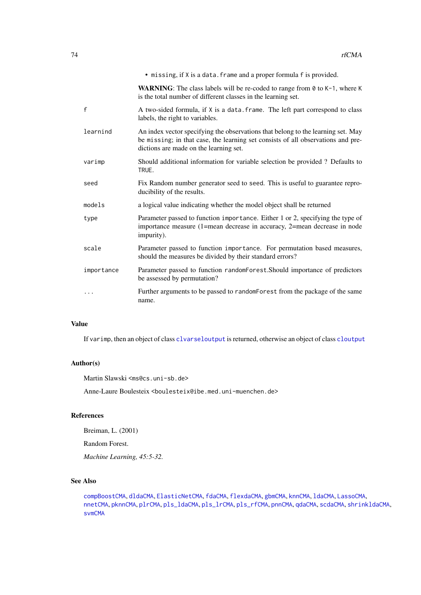<span id="page-73-0"></span>

|              | • missing, if X is a data. frame and a proper formula f is provided.                                                                                                                                           |
|--------------|----------------------------------------------------------------------------------------------------------------------------------------------------------------------------------------------------------------|
|              | <b>WARNING:</b> The class labels will be re-coded to range from $\theta$ to $K-1$ , where K<br>is the total number of different classes in the learning set.                                                   |
| $\mathsf{f}$ | A two-sided formula, if X is a data. frame. The left part correspond to class<br>labels, the right to variables.                                                                                               |
| learnind     | An index vector specifying the observations that belong to the learning set. May<br>be missing; in that case, the learning set consists of all observations and pre-<br>dictions are made on the learning set. |
| varimp       | Should additional information for variable selection be provided? Defaults to<br>TRUE.                                                                                                                         |
| seed         | Fix Random number generator seed to seed. This is useful to guarantee repro-<br>ducibility of the results.                                                                                                     |
| models       | a logical value indicating whether the model object shall be returned                                                                                                                                          |
| type         | Parameter passed to function importance. Either 1 or 2, specifying the type of<br>importance measure (1=mean decrease in accuracy, 2=mean decrease in node<br>impurity).                                       |
| scale        | Parameter passed to function importance. For permutation based measures,<br>should the measures be divided by their standard errors?                                                                           |
| importance   | Parameter passed to function randomForest.Should importance of predictors<br>be assessed by permutation?                                                                                                       |
| .            | Further arguments to be passed to randomForest from the package of the same<br>name.                                                                                                                           |

# Value

If varimp, then an object of class [clvarseloutput](#page-9-0) is returned, otherwise an object of class [cloutput](#page-8-0)

#### Author(s)

Martin Slawski <ms@cs.uni-sb.de>

Anne-Laure Boulesteix <boulesteix@ibe.med.uni-muenchen.de>

# References

Breiman, L. (2001)

Random Forest.

*Machine Learning, 45:5-32.*

# See Also

[compBoostCMA](#page-13-0), [dldaCMA](#page-15-0), [ElasticNetCMA](#page-18-0), [fdaCMA](#page-23-0), [flexdaCMA](#page-26-0), [gbmCMA](#page-29-0), [knnCMA](#page-40-0), [ldaCMA](#page-44-0), [LassoCMA](#page-42-0), [nnetCMA](#page-47-0), [pknnCMA](#page-51-0), [plrCMA](#page-57-0), [pls\\_ldaCMA](#page-59-0), [pls\\_lrCMA](#page-61-0), [pls\\_rfCMA](#page-63-0), [pnnCMA](#page-65-0), [qdaCMA](#page-70-0), [scdaCMA](#page-75-0), [shrinkldaCMA](#page-77-0), [svmCMA](#page-80-0)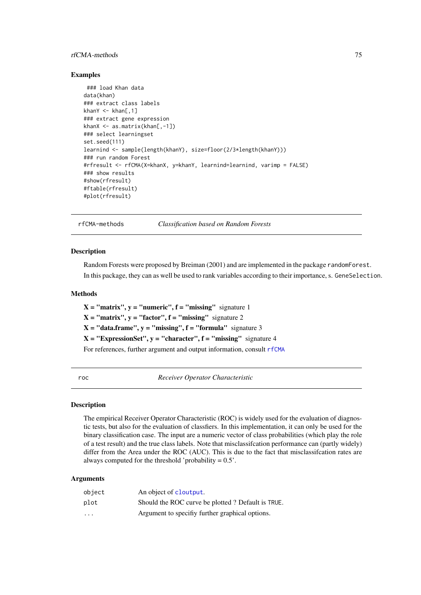#### <span id="page-74-1"></span>rfCMA-methods 75

#### Examples

```
### load Khan data
data(khan)
### extract class labels
khanY \leq khan[,1]
### extract gene expression
khanX <- as.matrix(khan[,-1])
### select learningset
set.seed(111)
learnind <- sample(length(khanY), size=floor(2/3*length(khanY)))
### run random Forest
#rfresult <- rfCMA(X=khanX, y=khanY, learnind=learnind, varimp = FALSE)
### show results
#show(rfresult)
#ftable(rfresult)
#plot(rfresult)
```
<span id="page-74-0"></span>rfCMA-methods *Classification based on Random Forests*

#### Description

Random Forests were proposed by Breiman (2001) and are implemented in the package randomForest. In this package, they can as well be used to rank variables according to their importance, s. GeneSelection.

#### Methods

 $X = "matrix", y = "numeric", f = "missing" signature 1$  $X = "matrix", y = "factor", f = "missing" signature 2$  $X = "data-frame", y = "missing", f = "formula" signature 3$  $X = "ExpressionSet", y = "character", f = "missing" signature 4$ For references, further argument and output information, consult [rfCMA](#page-72-0)

roc *Receiver Operator Characteristic*

## Description

The empirical Receiver Operator Characteristic (ROC) is widely used for the evaluation of diagnostic tests, but also for the evaluation of classfiers. In this implementation, it can only be used for the binary classification case. The input are a numeric vector of class probabilities (which play the role of a test result) and the true class labels. Note that misclassifcation performance can (partly widely) differ from the Area under the ROC (AUC). This is due to the fact that misclassifcation rates are always computed for the threshold 'probability  $= 0.5$ '.

#### Arguments

| object                  | An object of cloutput.                            |
|-------------------------|---------------------------------------------------|
| plot                    | Should the ROC curve be plotted? Default is TRUE. |
| $\cdot$ $\cdot$ $\cdot$ | Argument to specifiv further graphical options.   |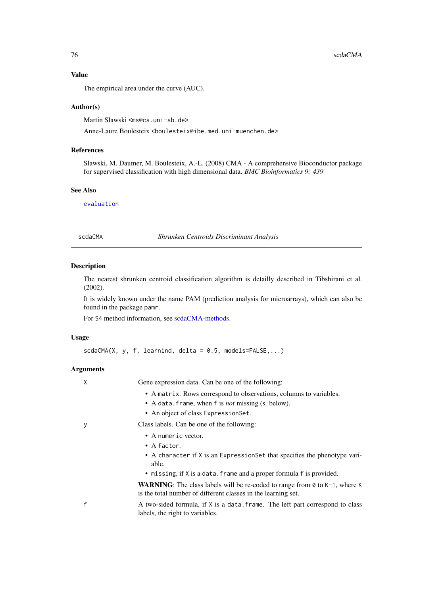The empirical area under the curve (AUC).

#### Author(s)

Martin Slawski <ms@cs.uni-sb.de>

Anne-Laure Boulesteix <boulesteix@ibe.med.uni-muenchen.de>

#### References

Slawski, M. Daumer, M. Boulesteix, A.-L. (2008) CMA - A comprehensive Bioconductor package for supervised classification with high dimensional data. *BMC Bioinformatics 9: 439*

#### See Also

[evaluation](#page-21-0)

<span id="page-75-0"></span>scdaCMA *Shrunken Centroids Discriminant Analysis*

#### Description

The nearest shrunken centroid classification algorithm is detailly described in Tibshirani et al. (2002).

It is widely known under the name PAM (prediction analysis for microarrays), which can also be found in the package pamr.

For S4 method information, see [scdaCMA-methods.](#page-77-1)

# Usage

 $scdaCMA(X, y, f, learning, delta = 0.5, models = FALSE,...)$ 

## Arguments

X Gene expression data. Can be one of the following:

- A matrix. Rows correspond to observations, columns to variables.
- A data.frame, when f is *not* missing (s. below).
- An object of class ExpressionSet.

- y Class labels. Can be one of the following:
	- A numeric vector.
	- A factor.
	- A character if X is an ExpressionSet that specifies the phenotype variable.
	- missing, if X is a data. frame and a proper formula f is provided.

WARNING: The class labels will be re-coded to range from 0 to K-1, where K is the total number of different classes in the learning set.

f A two-sided formula, if X is a data.frame. The left part correspond to class labels, the right to variables.

<span id="page-75-1"></span>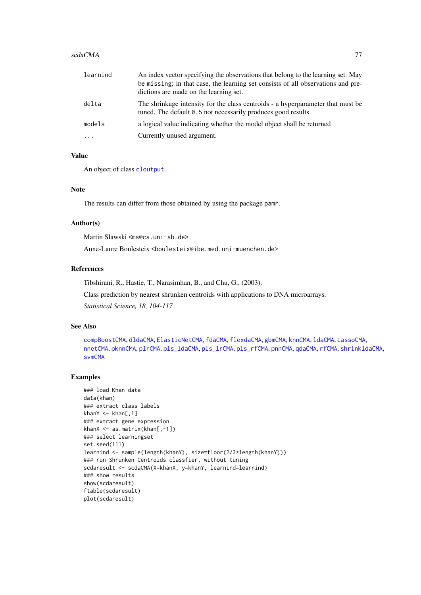#### <span id="page-76-0"></span>scdaCMA 77

| learnind | An index vector specifying the observations that belong to the learning set. May<br>be missing; in that case, the learning set consists of all observations and pre-<br>dictions are made on the learning set. |
|----------|----------------------------------------------------------------------------------------------------------------------------------------------------------------------------------------------------------------|
| delta    | The shrinkage intensity for the class centroids - a hyperparameter that must be<br>tuned. The default 0.5 not necessarily produces good results.                                                               |
| models   | a logical value indicating whether the model object shall be returned                                                                                                                                          |
| $\cdot$  | Currently unused argument.                                                                                                                                                                                     |

# Value

An object of class [cloutput](#page-8-0).

# Note

The results can differ from those obtained by using the package pamr.

#### Author(s)

Martin Slawski <ms@cs.uni-sb.de>

Anne-Laure Boulesteix <boulesteix@ibe.med.uni-muenchen.de>

# References

Tibshirani, R., Hastie, T., Narasimhan, B., and Chu, G., (2003).

Class prediction by nearest shrunken centroids with applications to DNA microarrays.

*Statistical Science, 18, 104-117*

#### See Also

[compBoostCMA](#page-13-0), [dldaCMA](#page-15-0), [ElasticNetCMA](#page-18-0), [fdaCMA](#page-23-0), [flexdaCMA](#page-26-0), [gbmCMA](#page-29-0), [knnCMA](#page-40-0), [ldaCMA](#page-44-0), [LassoCMA](#page-42-0), [nnetCMA](#page-47-0), [pknnCMA](#page-51-0), [plrCMA](#page-57-0), [pls\\_ldaCMA](#page-59-0), [pls\\_lrCMA](#page-61-0), [pls\\_rfCMA](#page-63-0), [pnnCMA](#page-65-0), [qdaCMA](#page-70-0), [rfCMA](#page-72-0), [shrinkldaCMA](#page-77-0), [svmCMA](#page-80-0)

#### Examples

```
### load Khan data
data(khan)
### extract class labels
khanY \leq khan[,1]### extract gene expression
khanX <- as.matrix(khan[,-1])
### select learningset
set.seed(111)
learnind <- sample(length(khanY), size=floor(2/3*length(khanY)))
### run Shrunken Centroids classfier, without tuning
scdaresult <- scdaCMA(X=khanX, y=khanY, learnind=learnind)
### show results
show(scdaresult)
ftable(scdaresult)
plot(scdaresult)
```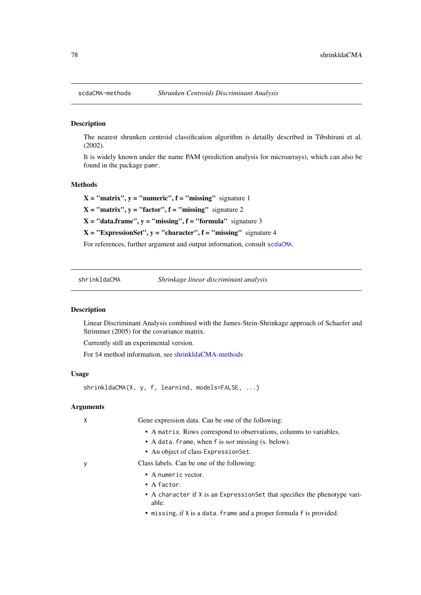<span id="page-77-2"></span><span id="page-77-1"></span>

#### Description

The nearest shrunken centroid classification algorithm is detailly described in Tibshirani et al. (2002).

It is widely known under the name PAM (prediction analysis for microarrays), which can also be found in the package pamr.

#### Methods

 $X = "matrix", y = "numeric", f = "missing" signature 1$ 

 $X = "matrix", y = "factor", f = "missing" signature 2$ 

 $X = "data-frame", y = "missing", f = "formula" signature 3$ 

 $X = "ExpressionSet", y = "character", f = "missing" signature 4$ 

For references, further argument and output information, consult [scdaCMA](#page-75-0).

<span id="page-77-0"></span>shrinkldaCMA *Shrinkage linear discriminant analysis*

# Description

Linear Discriminant Analysis combined with the James-Stein-Shrinkage approach of Schaefer and Strimmer (2005) for the covariance matrix.

Currently still an experimental version.

For S4 method information, see [shrinkldaCMA-methods](#page-79-0)

#### Usage

shrinkldaCMA(X, y, f, learnind, models=FALSE, ...)

# Arguments

X Gene expression data. Can be one of the following:

- A matrix. Rows correspond to observations, columns to variables.
- A data.frame, when f is *not* missing (s. below).
- An object of class ExpressionSet.

y Class labels. Can be one of the following:

- A numeric vector.
- A factor.
- A character if X is an ExpressionSet that specifies the phenotype variable.
- missing, if X is a data.frame and a proper formula f is provided.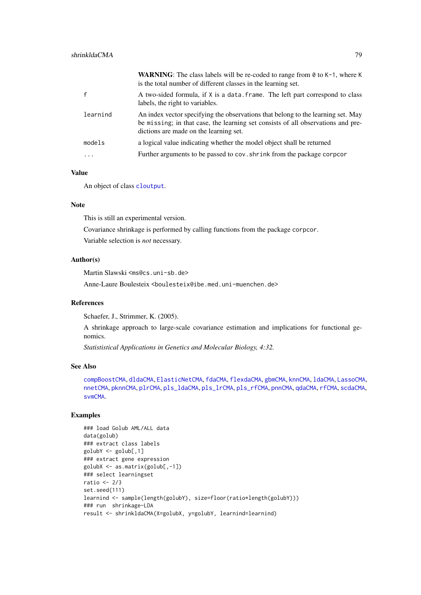<span id="page-78-0"></span>

|                         | <b>WARNING:</b> The class labels will be re-coded to range from $\theta$ to $K-1$ , where K<br>is the total number of different classes in the learning set.                                                   |
|-------------------------|----------------------------------------------------------------------------------------------------------------------------------------------------------------------------------------------------------------|
|                         | A two-sided formula, if X is a data. frame. The left part correspond to class<br>labels, the right to variables.                                                                                               |
| learnind                | An index vector specifying the observations that belong to the learning set. May<br>be missing; in that case, the learning set consists of all observations and pre-<br>dictions are made on the learning set. |
| models                  | a logical value indicating whether the model object shall be returned                                                                                                                                          |
| $\cdot$ $\cdot$ $\cdot$ | Further arguments to be passed to cov. shrink from the package corpoor                                                                                                                                         |

# Value

An object of class [cloutput](#page-8-0).

# Note

This is still an experimental version.

Covariance shrinkage is performed by calling functions from the package corpcor.

Variable selection is *not* necessary.

# Author(s)

Martin Slawski <ms@cs.uni-sb.de>

Anne-Laure Boulesteix <boulesteix@ibe.med.uni-muenchen.de>

#### References

Schaefer, J., Strimmer, K. (2005).

A shrinkage approach to large-scale covariance estimation and implications for functional genomics.

*Statististical Applications in Genetics and Molecular Biology, 4:32.*

# See Also

[compBoostCMA](#page-13-0), [dldaCMA](#page-15-0), [ElasticNetCMA](#page-18-0), [fdaCMA](#page-23-0), [flexdaCMA](#page-26-0), [gbmCMA](#page-29-0), [knnCMA](#page-40-0), [ldaCMA](#page-44-0), [LassoCMA](#page-42-0), [nnetCMA](#page-47-0), [pknnCMA](#page-51-0), [plrCMA](#page-57-0), [pls\\_ldaCMA](#page-59-0), [pls\\_lrCMA](#page-61-0), [pls\\_rfCMA](#page-63-0), [pnnCMA](#page-65-0), [qdaCMA](#page-70-0), [rfCMA](#page-72-0), [scdaCMA](#page-75-0), [svmCMA](#page-80-0).

# Examples

```
### load Golub AML/ALL data
data(golub)
### extract class labels
golubY <- golub[,1]
### extract gene expression
golubX <- as.matrix(golub[,-1])
### select learningset
ratio <-2/3set.seed(111)
learnind <- sample(length(golubY), size=floor(ratio*length(golubY)))
### run shrinkage-LDA
result <- shrinkldaCMA(X=golubX, y=golubY, learnind=learnind)
```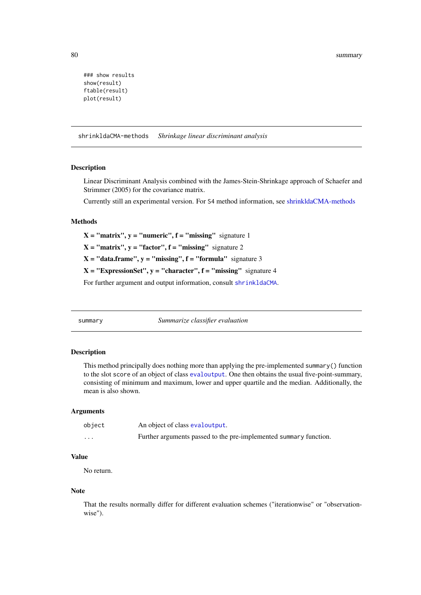<span id="page-79-1"></span>80 summary

```
### show results
show(result)
ftable(result)
plot(result)
```
<span id="page-79-0"></span>shrinkldaCMA-methods *Shrinkage linear discriminant analysis*

#### Description

Linear Discriminant Analysis combined with the James-Stein-Shrinkage approach of Schaefer and Strimmer (2005) for the covariance matrix.

Currently still an experimental version. For S4 method information, see [shrinkldaCMA-methods](#page-79-0)

#### Methods

 $X = "matrix", y = "numeric", f = "missing" signature 1$ 

 $X = "matrix", y = "factor", f = "missing" signature 2$ 

 $X = "data-frame", y = "missing", f = "formula" signature 3$ 

 $X = "ExpressionSet", y = "character", f = "missing" signature 4$ 

For further argument and output information, consult [shrinkldaCMA](#page-77-0).

summary *Summarize classifier evaluation*

# Description

This method principally does nothing more than applying the pre-implemented summary() function to the slot score of an object of class [evaloutput](#page-20-0). One then obtains the usual five-point-summary, consisting of minimum and maximum, lower and upper quartile and the median. Additionally, the mean is also shown.

#### Arguments

| object   | An object of class evaloutput.                                    |
|----------|-------------------------------------------------------------------|
| $\cdots$ | Further arguments passed to the pre-implemented summary function. |

# Value

No return.

#### Note

That the results normally differ for different evaluation schemes ("iterationwise" or "observationwise").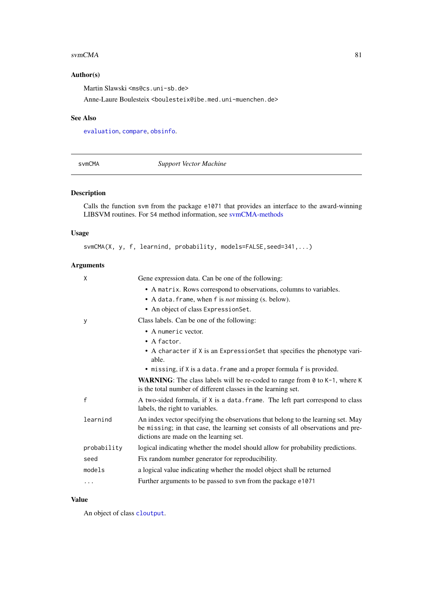#### <span id="page-80-1"></span> $svmCMA$  81

# Author(s)

Martin Slawski <ms@cs.uni-sb.de>

Anne-Laure Boulesteix <boulesteix@ibe.med.uni-muenchen.de>

# See Also

[evaluation](#page-21-0), [compare](#page-10-0), [obsinfo](#page-50-0).

<span id="page-80-0"></span>svmCMA *Support Vector Machine*

# Description

Calls the function svm from the package e1071 that provides an interface to the award-winning LIBSVM routines. For S4 method information, see [svmCMA-methods](#page-82-0)

#### Usage

svmCMA(X, y, f, learnind, probability, models=FALSE, seed=341,...)

# Arguments

| X            | Gene expression data. Can be one of the following:                                                                                                                                                             |
|--------------|----------------------------------------------------------------------------------------------------------------------------------------------------------------------------------------------------------------|
|              | • A matrix. Rows correspond to observations, columns to variables.                                                                                                                                             |
|              | • A data. frame, when f is <i>not</i> missing (s. below).                                                                                                                                                      |
|              | • An object of class ExpressionSet.                                                                                                                                                                            |
| У            | Class labels. Can be one of the following:                                                                                                                                                                     |
|              | • A numeric vector.                                                                                                                                                                                            |
|              | $\bullet$ A factor.                                                                                                                                                                                            |
|              | • A character if X is an ExpressionSet that specifies the phenotype vari-<br>able.                                                                                                                             |
|              | • missing, if X is a data. frame and a proper formula f is provided.                                                                                                                                           |
|              | <b>WARNING:</b> The class labels will be re-coded to range from $\theta$ to $K-1$ , where K<br>is the total number of different classes in the learning set.                                                   |
| $\mathsf{f}$ | A two-sided formula, if X is a data. frame. The left part correspond to class<br>labels, the right to variables.                                                                                               |
| learnind     | An index vector specifying the observations that belong to the learning set. May<br>be missing; in that case, the learning set consists of all observations and pre-<br>dictions are made on the learning set. |
| probability  | logical indicating whether the model should allow for probability predictions.                                                                                                                                 |
| seed         | Fix random number generator for reproducibility.                                                                                                                                                               |
| models       | a logical value indicating whether the model object shall be returned                                                                                                                                          |
|              | Further arguments to be passed to svm from the package e1071                                                                                                                                                   |
|              |                                                                                                                                                                                                                |

# Value

An object of class [cloutput](#page-8-0).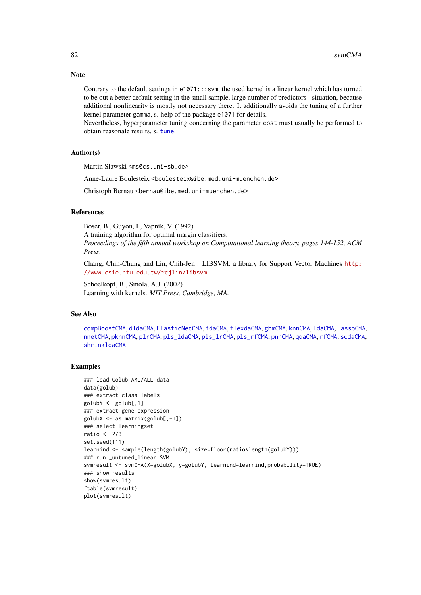#### Note

Contrary to the default settings in  $e1071$ ::: svm, the used kernel is a linear kernel which has turned to be out a better default setting in the small sample, large number of predictors - situation, because additional nonlinearity is mostly not necessary there. It additionally avoids the tuning of a further kernel parameter gamma, s. help of the package e1071 for details.

Nevertheless, hyperparameter tuning concerning the parameter cost must usually be performed to obtain reasonale results, s. [tune](#page-83-0).

#### Author(s)

Martin Slawski <ms@cs.uni-sb.de>

Anne-Laure Boulesteix <boulesteix@ibe.med.uni-muenchen.de>

Christoph Bernau <bernau@ibe.med.uni-muenchen.de>

# References

Boser, B., Guyon, I., Vapnik, V. (1992)

A training algorithm for optimal margin classifiers. *Proceedings of the fifth annual workshop on Computational learning theory, pages 144-152, ACM Press*.

Chang, Chih-Chung and Lin, Chih-Jen : LIBSVM: a library for Support Vector Machines [http:](http://www.csie.ntu.edu.tw/~cjlin/libsvm) [//www.csie.ntu.edu.tw/~cjlin/libsvm](http://www.csie.ntu.edu.tw/~cjlin/libsvm)

Schoelkopf, B., Smola, A.J. (2002) Learning with kernels. *MIT Press, Cambridge, MA.*

# See Also

[compBoostCMA](#page-13-0), [dldaCMA](#page-15-0), [ElasticNetCMA](#page-18-0), [fdaCMA](#page-23-0), [flexdaCMA](#page-26-0), [gbmCMA](#page-29-0), [knnCMA](#page-40-0), [ldaCMA](#page-44-0), [LassoCMA](#page-42-0), [nnetCMA](#page-47-0), [pknnCMA](#page-51-0), [plrCMA](#page-57-0), [pls\\_ldaCMA](#page-59-0), [pls\\_lrCMA](#page-61-0), [pls\\_rfCMA](#page-63-0), [pnnCMA](#page-65-0), [qdaCMA](#page-70-0), [rfCMA](#page-72-0), [scdaCMA](#page-75-0), [shrinkldaCMA](#page-77-0)

#### Examples

```
### load Golub AML/ALL data
data(golub)
### extract class labels
golubY <- golub[,1]
### extract gene expression
golubX <- as.matrix(golub[,-1])
### select learningset
ratio <-2/3set.seed(111)
learnind <- sample(length(golubY), size=floor(ratio*length(golubY)))
### run _untuned_linear SVM
svmresult <- svmCMA(X=golubX, y=golubY, learnind=learnind,probability=TRUE)
### show results
show(svmresult)
ftable(svmresult)
plot(svmresult)
```
<span id="page-81-0"></span>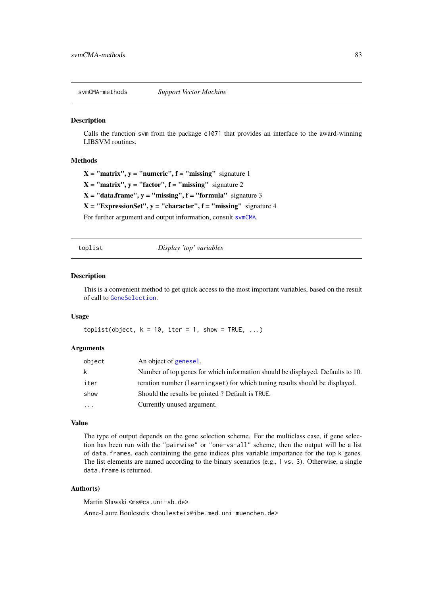<span id="page-82-1"></span><span id="page-82-0"></span>svmCMA-methods *Support Vector Machine*

#### Description

Calls the function svm from the package e1071 that provides an interface to the award-winning LIBSVM routines.

# Methods

 $X = "matrix", y = "numeric", f = "missing" signature 1$  $X = "matrix", y = "factor", f = "missing" signature 2$ 

 $X = "data-frame", y = "missing", f = "formula" signature 3$ 

 $X = "ExpressionSet", y = "character", f = "missing" signature 4$ 

For further argument and output information, consult [svmCMA](#page-80-0).

toplist *Display 'top' variables*

# Description

This is a convenient method to get quick access to the most important variables, based on the result of call to [GeneSelection](#page-34-0).

# Usage

toplist(object,  $k = 10$ , iter = 1, show = TRUE, ...)

# Arguments

| object       | An object of genesel.                                                          |
|--------------|--------------------------------------------------------------------------------|
| $\mathsf{k}$ | Number of top genes for which information should be displayed. Defaults to 10. |
| iter         | teration number (learningset) for which tuning results should be displayed.    |
| show         | Should the results be printed? Default is TRUE.                                |
| $\cdots$     | Currently unused argument.                                                     |

## Value

The type of output depends on the gene selection scheme. For the multiclass case, if gene selection has been run with the "pairwise" or "one-vs-all" scheme, then the output will be a list of data.frames, each containing the gene indices plus variable importance for the top k genes. The list elements are named according to the binary scenarios (e.g., 1 vs. 3). Otherwise, a single data.frame is returned.

#### Author(s)

Martin Slawski <ms@cs.uni-sb.de>

Anne-Laure Boulesteix <boulesteix@ibe.med.uni-muenchen.de>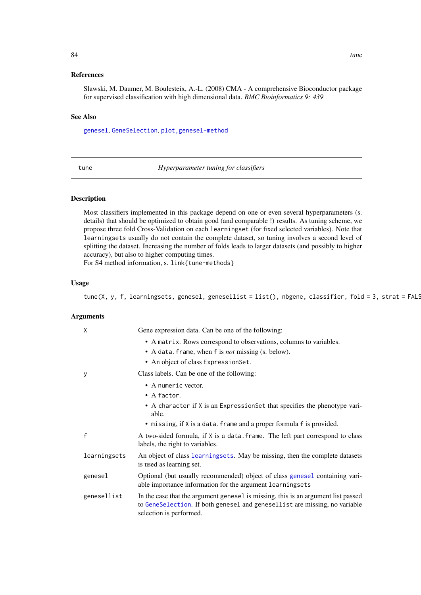#### <span id="page-83-1"></span>References

Slawski, M. Daumer, M. Boulesteix, A.-L. (2008) CMA - A comprehensive Bioconductor package for supervised classification with high dimensional data. *BMC Bioinformatics 9: 439*

#### See Also

[genesel](#page-33-0), [GeneSelection](#page-34-0), [plot,genesel-method](#page-0-0)

<span id="page-83-0"></span>tune *Hyperparameter tuning for classifiers*

#### Description

Most classifiers implemented in this package depend on one or even several hyperparameters (s. details) that should be optimized to obtain good (and comparable !) results. As tuning scheme, we propose three fold Cross-Validation on each learningset (for fixed selected variables). Note that learningsets usually do not contain the complete dataset, so tuning involves a second level of splitting the dataset. Increasing the number of folds leads to larger datasets (and possibly to higher accuracy), but also to higher computing times.

For S4 method information, s. link{tune-methods}

#### Usage

tune(X, y, f, learningsets, genesel, genesellist = list(), nbgene, classifier, fold = 3, strat = FALS

#### Arguments

| $\mathsf{X}$ | Gene expression data. Can be one of the following:                                                                                                                                         |
|--------------|--------------------------------------------------------------------------------------------------------------------------------------------------------------------------------------------|
|              | • A matrix. Rows correspond to observations, columns to variables.                                                                                                                         |
|              | • A data. frame, when f is <i>not</i> missing (s. below).                                                                                                                                  |
|              | • An object of class ExpressionSet.                                                                                                                                                        |
| $\mathbf{y}$ | Class labels. Can be one of the following:                                                                                                                                                 |
|              | • A numeric vector.                                                                                                                                                                        |
|              | $\bullet$ A factor.                                                                                                                                                                        |
|              | • A character if X is an ExpressionSet that specifies the phenotype vari-<br>able.                                                                                                         |
|              | • missing, if X is a data. frame and a proper formula f is provided.                                                                                                                       |
| $\mathsf{f}$ | A two-sided formula, if X is a data. frame. The left part correspond to class<br>labels, the right to variables.                                                                           |
| learningsets | An object of class learning sets. May be missing, then the complete datasets<br>is used as learning set.                                                                                   |
| genesel      | Optional (but usually recommended) object of class genesel containing vari-<br>able importance information for the argument learningsets                                                   |
| genesellist  | In the case that the argument genesel is missing, this is an argument list passed<br>to GeneSelection. If both genesel and genesellist are missing, no variable<br>selection is performed. |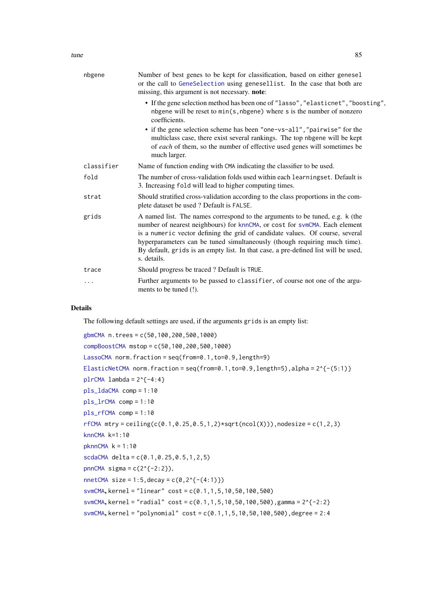<span id="page-84-0"></span>

| nbgene     | Number of best genes to be kept for classification, based on either genesel<br>or the call to GeneSelection using genesellist. In the case that both are<br>missing, this argument is not necessary. note:                                                                                                                                                                                                                    |
|------------|-------------------------------------------------------------------------------------------------------------------------------------------------------------------------------------------------------------------------------------------------------------------------------------------------------------------------------------------------------------------------------------------------------------------------------|
|            | • If the gene selection method has been one of "lasso", "elasticnet", "boosting",<br>nbgene will be reset to $min(s, nbgene)$ where s is the number of nonzero<br>coefficients.                                                                                                                                                                                                                                               |
|            | • if the gene selection scheme has been "one-vs-all", "pairwise" for the<br>multiclass case, there exist several rankings. The top nbgene will be kept<br>of each of them, so the number of effective used genes will sometimes be<br>much larger.                                                                                                                                                                            |
| classifier | Name of function ending with CMA indicating the classifier to be used.                                                                                                                                                                                                                                                                                                                                                        |
| fold       | The number of cross-validation folds used within each learningset. Default is<br>3. Increasing fold will lead to higher computing times.                                                                                                                                                                                                                                                                                      |
| strat      | Should stratified cross-validation according to the class proportions in the com-<br>plete dataset be used ? Default is FALSE.                                                                                                                                                                                                                                                                                                |
| grids      | A named list. The names correspond to the arguments to be tuned, e.g. k (the<br>number of nearest neighbours) for knnCMA, or cost for svmCMA. Each element<br>is a numeric vector defining the grid of candidate values. Of course, several<br>hyperparameters can be tuned simultaneously (though requiring much time).<br>By default, grids is an empty list. In that case, a pre-defined list will be used,<br>s. details. |
| trace      | Should progress be traced? Default is TRUE.                                                                                                                                                                                                                                                                                                                                                                                   |
| .          | Further arguments to be passed to classifier, of course not one of the argu-<br>ments to be tuned (!).                                                                                                                                                                                                                                                                                                                        |

# Details

The following default settings are used, if the arguments grids is an empty list:

```
gbmCMA n.trees = c(50,100,200,500,1000)
compBoostCMA mstop = c(50,100,200,500,1000)
LassoCMA norm.fraction = seq(from=0.1,to=0.9,length=9)
ElasticNetCMA norm.fraction = seq(from=0.1, to=0.9, length=5), alpha = 2^{A} (-(5:1)}
plrCMA lambda = 2^{6}-4:4}
pls_ldaCMA comp = 1:10
pls_lrCMA comp = 1:10
pls_rfCMA comp = 1:10
rfCMA mtry = ceiling(c(0.1,0.25,0.5,1,2)*sqrt(ncol(X))),nodesize = c(1,2,3)
knnCMA k=1:10
pknnCMA k = 1:10scdaCMA delta = c(0.1, 0.25, 0.5, 1, 2, 5)pnnCMA sigma = c(2^{2}{-2:2}),nnetCMA size = 1:5, decay = c(0, 2^{(}-(4:1))svmCMA, kernel = "linear" cost = c(0.1,1,5,10,50,100,500)
svmCMA, kernel = "radial" cost = c(0.1, 1, 5, 10, 50, 100, 500), gamma = 2^{2}-2:2}
svmCMA, kernel = "polynomial" cost = c(0.1, 1, 5, 10, 50, 100, 500), degree = 2:4
```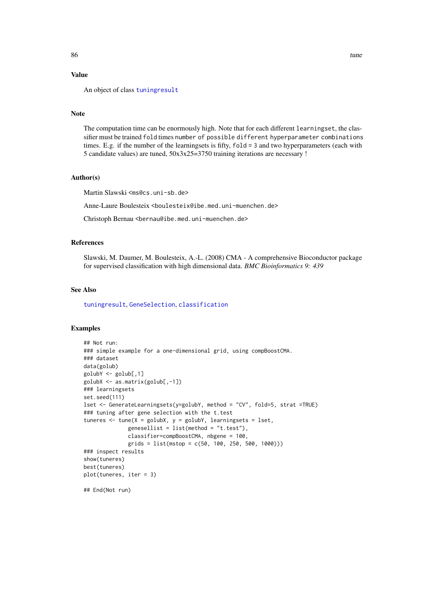# <span id="page-85-0"></span>Value

An object of class [tuningresult](#page-86-0)

# Note

The computation time can be enormously high. Note that for each different learningset, the classifier must be trained fold times number of possible different hyperparameter combinations times. E.g. if the number of the learningsets is fifty, fold = 3 and two hyperparameters (each with 5 candidate values) are tuned, 50x3x25=3750 training iterations are necessary !

#### Author(s)

Martin Slawski <ms@cs.uni-sb.de>

Anne-Laure Boulesteix <boulesteix@ibe.med.uni-muenchen.de>

Christoph Bernau <bernau@ibe.med.uni-muenchen.de>

#### References

Slawski, M. Daumer, M. Boulesteix, A.-L. (2008) CMA - A comprehensive Bioconductor package for supervised classification with high dimensional data. *BMC Bioinformatics 9: 439*

# See Also

[tuningresult](#page-86-0), [GeneSelection](#page-34-0), [classification](#page-6-0)

# Examples

```
## Not run:
### simple example for a one-dimensional grid, using compBoostCMA.
### dataset
data(golub)
golubY <- golub[,1]
golubX <- as.matrix(golub[,-1])
### learningsets
set.seed(111)
lset <- GenerateLearningsets(y=golubY, method = "CV", fold=5, strat =TRUE)
### tuning after gene selection with the t.test
tuneres \leq tune(X = golubX, y = golubY, learningsets = lset,
              genesellist = list(method = "t.test"),
              classifier=compBoostCMA, nbgene = 100,
              grids = list(mstop = c(50, 100, 250, 500, 1000)))
### inspect results
show(tuneres)
best(tuneres)
plot(tuneres, iter = 3)
## End(Not run)
```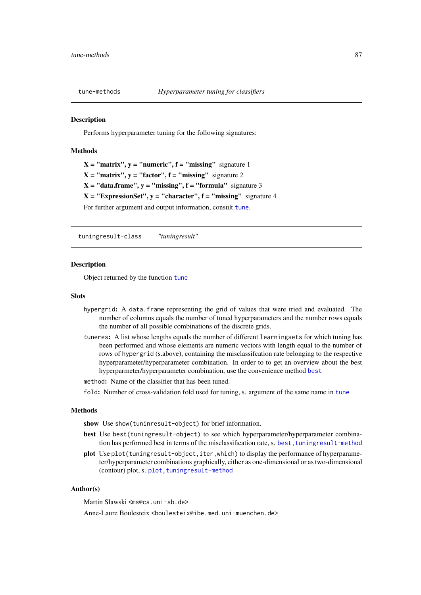<span id="page-86-1"></span>

# Description

Performs hyperparameter tuning for the following signatures:

# Methods

 $X = "matrix", y = "numeric", f = "missing" signature 1$  $X = "matrix", y = "factor", f = "missing" signature 2$  $X = "data-frame", y = "missing", f = "formula" signature 3$  $X = "ExpressionSet", y = "character", f = "missing" signature 4$ For further argument and output information, consult [tune](#page-83-0).

tuningresult-class *"tuningresult"*

#### <span id="page-86-0"></span>Description

Object returned by the function [tune](#page-83-0)

#### Slots

- hypergrid: A data.frame representing the grid of values that were tried and evaluated. The number of columns equals the number of tuned hyperparameters and the number rows equals the number of all possible combinations of the discrete grids.
- tuneres: A list whose lengths equals the number of different learningsets for which tuning has been performed and whose elements are numeric vectors with length equal to the number of rows of hypergrid (s.above), containing the misclassifcation rate belonging to the respective hyperparameter/hyperparameter combination. In order to to get an overview about the best hyperparmeter/hyperparameter combination, use the convenience method [best](#page-4-0)
- method: Name of the classifier that has been tuned.
- fold: Number of cross-validation fold used for tuning, s. argument of the same name in [tune](#page-83-0)

#### Methods

show Use show(tuninresult-object) for brief information.

- best Use best(tuningresult-object) to see which hyperparameter/hyperparameter combination has performed best in terms of the misclassification rate, s. best, tuningresult-method
- plot Use plot(tuningresult-object, iter, which) to display the performance of hyperparameter/hyperparameter combinations graphically, either as one-dimensional or as two-dimensional (contour) plot, s. plot, tuningresult-method

#### Author(s)

Martin Slawski <ms@cs.uni-sb.de>

Anne-Laure Boulesteix <boulesteix@ibe.med.uni-muenchen.de>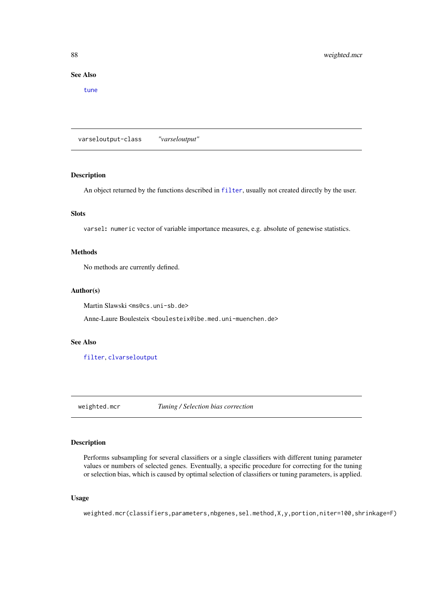# See Also

[tune](#page-83-0)

varseloutput-class *"varseloutput"*

# Description

An object returned by the functions described in [filter](#page-26-1), usually not created directly by the user.

# Slots

varsel: numeric vector of variable importance measures, e.g. absolute of genewise statistics.

# Methods

No methods are currently defined.

#### Author(s)

Martin Slawski <ms@cs.uni-sb.de>

Anne-Laure Boulesteix <boulesteix@ibe.med.uni-muenchen.de>

#### See Also

[filter](#page-26-1), [clvarseloutput](#page-9-0)

<span id="page-87-0"></span>weighted.mcr *Tuning / Selection bias correction*

# Description

Performs subsampling for several classifiers or a single classifiers with different tuning parameter values or numbers of selected genes. Eventually, a specific procedure for correcting for the tuning or selection bias, which is caused by optimal selection of classifiers or tuning parameters, is applied.

# Usage

weighted.mcr(classifiers,parameters,nbgenes,sel.method,X,y,portion,niter=100,shrinkage=F)

<span id="page-87-1"></span>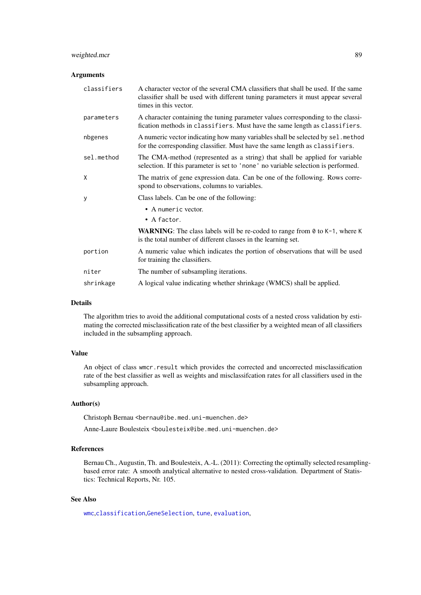#### <span id="page-88-0"></span>weighted.mcr 89

#### Arguments

| classifiers | A character vector of the several CMA classifiers that shall be used. If the same<br>classifier shall be used with different tuning parameters it must appear several<br>times in this vector. |
|-------------|------------------------------------------------------------------------------------------------------------------------------------------------------------------------------------------------|
| parameters  | A character containing the tuning parameter values corresponding to the classi-<br>fication methods in classifiers. Must have the same length as classifiers.                                  |
| nbgenes     | A numeric vector indicating how many variables shall be selected by sel. method<br>for the corresponding classifier. Must have the same length as classifiers.                                 |
| sel.method  | The CMA-method (represented as a string) that shall be applied for variable<br>selection. If this parameter is set to 'none' no variable selection is performed.                               |
| X           | The matrix of gene expression data. Can be one of the following. Rows corre-<br>spond to observations, columns to variables.                                                                   |
| У           | Class labels. Can be one of the following:                                                                                                                                                     |
|             | • A numeric vector.<br>$\bullet$ A factor.                                                                                                                                                     |
|             | <b>WARNING:</b> The class labels will be re-coded to range from $\theta$ to K-1, where K<br>is the total number of different classes in the learning set.                                      |
| portion     | A numeric value which indicates the portion of observations that will be used<br>for training the classifiers.                                                                                 |
| niter       | The number of subsampling iterations.                                                                                                                                                          |
| shrinkage   | A logical value indicating whether shrinkage (WMCS) shall be applied.                                                                                                                          |

#### Details

The algorithm tries to avoid the additional computational costs of a nested cross validation by estimating the corrected misclassification rate of the best classifier by a weighted mean of all classifiers included in the subsampling approach.

#### Value

An object of class wmcr.result which provides the corrected and uncorrected misclassification rate of the best classifier as well as weights and misclassifcation rates for all classifiers used in the subsampling approach.

# Author(s)

Christoph Bernau <bernau@ibe.med.uni-muenchen.de>

Anne-Laure Boulesteix <boulesteix@ibe.med.uni-muenchen.de>

# References

Bernau Ch., Augustin, Th. and Boulesteix, A.-L. (2011): Correcting the optimally selected resamplingbased error rate: A smooth analytical alternative to nested cross-validation. Department of Statistics: Technical Reports, Nr. 105.

# See Also

[wmc](#page-89-0),[classification](#page-6-0),[GeneSelection](#page-34-0), [tune](#page-83-0), [evaluation](#page-21-0),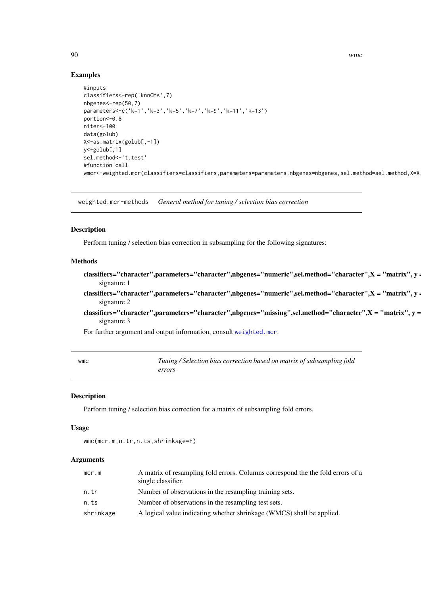# Examples

```
#inputs
classifiers<-rep('knnCMA',7)
nbgenes<-rep(50,7)
parameters<-c('k=1','k=3','k=5','k=7','k=9','k=11','k=13')
portion<-0.8
niter<-100
data(golub)
X<-as.matrix(golub[,-1])
y<-golub[,1]
sel.method<-'t.test'
#function call
wmcr<-weighted.mcr(classifiers=classifiers,parameters=parameters,nbgenes=nbgenes,sel.method=sel.method,X=X
```
weighted.mcr-methods *General method for tuning / selection bias correction*

# Description

Perform tuning / selection bias correction in subsampling for the following signatures:

# Methods

- classifiers="character",parameters="character",nbgenes="numeric",sel.method="character",X = "matrix", y = "numeric" signature 1
- classifiers="character",parameters="character",nbgenes="numeric",sel.method="character",X = "matrix", y = "factor" signature 2
- classifiers="character",parameters="character",nbgenes="missing",sel.method="character", $X = "matrix", y =$ signature 3

For further argument and output information, consult [weighted.mcr](#page-87-0).

<span id="page-89-0"></span>

| wmc | Tuning / Selection bias correction based on matrix of subsampling fold |
|-----|------------------------------------------------------------------------|
|     | errors                                                                 |

#### Description

Perform tuning / selection bias correction for a matrix of subsampling fold errors.

#### Usage

```
wmc(mcr.m,n.tr,n.ts,shrinkage=F)
```
# Arguments

| mcr.m     | A matrix of resampling fold errors. Columns correspond the the fold errors of a<br>single classifier. |
|-----------|-------------------------------------------------------------------------------------------------------|
| n.tr      | Number of observations in the resampling training sets.                                               |
| n.ts      | Number of observations in the resampling test sets.                                                   |
| shrinkage | A logical value indicating whether shrinkage (WMCS) shall be applied.                                 |

<span id="page-89-1"></span>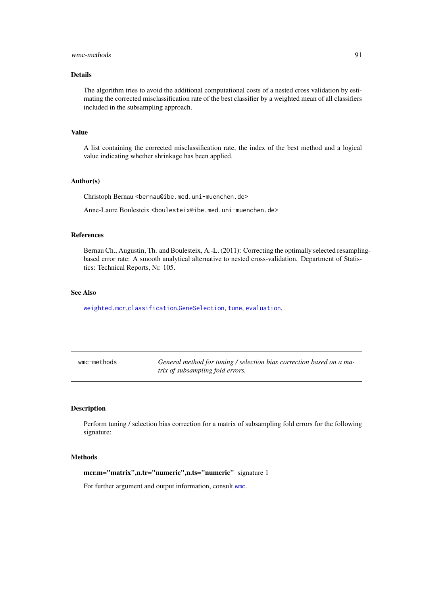#### <span id="page-90-0"></span>wmc-methods 91

# Details

The algorithm tries to avoid the additional computational costs of a nested cross validation by estimating the corrected misclassification rate of the best classifier by a weighted mean of all classifiers included in the subsampling approach.

# Value

A list containing the corrected misclassification rate, the index of the best method and a logical value indicating whether shrinkage has been applied.

# Author(s)

Christoph Bernau <bernau@ibe.med.uni-muenchen.de>

Anne-Laure Boulesteix <boulesteix@ibe.med.uni-muenchen.de>

#### References

Bernau Ch., Augustin, Th. and Boulesteix, A.-L. (2011): Correcting the optimally selected resamplingbased error rate: A smooth analytical alternative to nested cross-validation. Department of Statistics: Technical Reports, Nr. 105.

# See Also

[weighted.mcr](#page-87-0),[classification](#page-6-0),[GeneSelection](#page-34-0), [tune](#page-83-0), [evaluation](#page-21-0),

| wmc-methods | General method for tuning / selection bias correction based on a ma- |
|-------------|----------------------------------------------------------------------|
|             | trix of subsampling fold errors.                                     |

# Description

Perform tuning / selection bias correction for a matrix of subsampling fold errors for the following signature:

#### Methods

mcr.m="matrix",n.tr="numeric",n.ts="numeric" signature 1

For further argument and output information, consult [wmc](#page-89-0).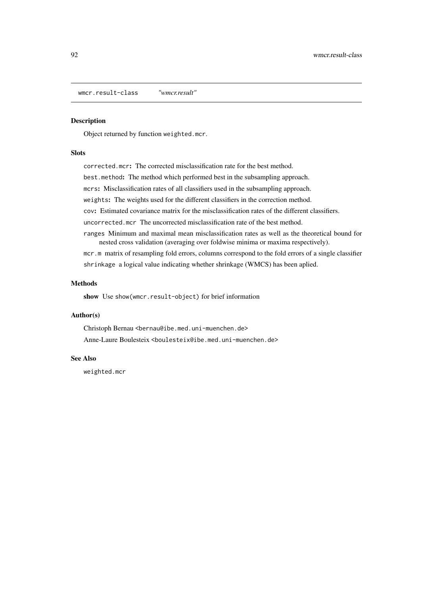<span id="page-91-0"></span>wmcr.result-class *"wmcr.result"*

# Description

Object returned by function weighted.mcr.

# Slots

corrected.mcr: The corrected misclassification rate for the best method. best.method: The method which performed best in the subsampling approach. mcrs: Misclassification rates of all classifiers used in the subsampling approach. weights: The weights used for the different classifiers in the correction method. cov: Estimated covariance matrix for the misclassification rates of the different classifiers. uncorrected.mcr The uncorrected misclassification rate of the best method. ranges Minimum and maximal mean misclassification rates as well as the theoretical bound for

nested cross validation (averaging over foldwise minima or maxima respectively). mcr.m matrix of resampling fold errors, columns correspond to the fold errors of a single classifier shrinkage a logical value indicating whether shrinkage (WMCS) has been aplied.

# Methods

show Use show(wmcr.result-object) for brief information

#### Author(s)

Christoph Bernau <bernau@ibe.med.uni-muenchen.de> Anne-Laure Boulesteix <boulesteix@ibe.med.uni-muenchen.de>

#### See Also

weighted.mcr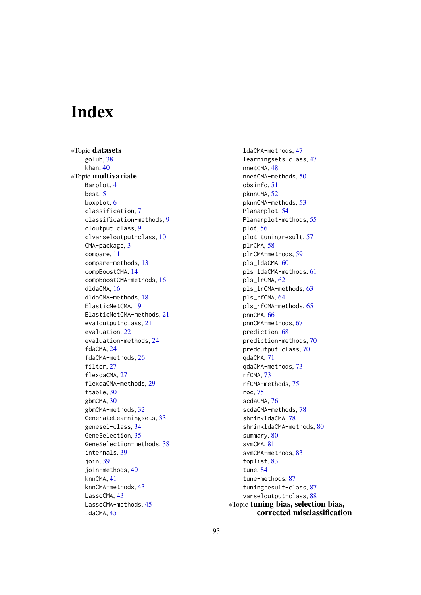# **Index**

∗Topic datasets golub, [38](#page-37-0) khan, [40](#page-39-0) ∗Topic multivariate Barplot, [4](#page-3-0) best, [5](#page-4-1) boxplot, [6](#page-5-0) classification, [7](#page-6-1) classification-methods, [9](#page-8-1) cloutput-class, [9](#page-8-1) clvarseloutput-class, [10](#page-9-1) CMA-package, [3](#page-2-0) compare, [11](#page-10-1) compare-methods, [13](#page-12-0) compBoostCMA, [14](#page-13-1) compBoostCMA-methods, [16](#page-15-1) dldaCMA, [16](#page-15-1) dldaCMA-methods, [18](#page-17-0) ElasticNetCMA, [19](#page-18-1) ElasticNetCMA-methods, [21](#page-20-1) evaloutput-class, [21](#page-20-1) evaluation, [22](#page-21-1) evaluation-methods, [24](#page-23-1) fdaCMA, [24](#page-23-1) fdaCMA-methods, [26](#page-25-0) filter, [27](#page-26-2) flexdaCMA, [27](#page-26-2) flexdaCMA-methods, [29](#page-28-0) ftable, [30](#page-29-1) gbmCMA, [30](#page-29-1) gbmCMA-methods, [32](#page-31-0) GenerateLearningsets, [33](#page-32-0) genesel-class, [34](#page-33-1) GeneSelection, [35](#page-34-1) GeneSelection-methods, [38](#page-37-0) internals, [39](#page-38-0) join, [39](#page-38-0) join-methods, [40](#page-39-0) knnCMA, [41](#page-40-1) knnCMA-methods, [43](#page-42-1) LassoCMA, [43](#page-42-1) LassoCMA-methods, [45](#page-44-1) ldaCMA, [45](#page-44-1)

ldaCMA-methods, [47](#page-46-1) learningsets-class, [47](#page-46-1) nnetCMA, [48](#page-47-1) nnetCMA-methods, [50](#page-49-0) obsinfo, [51](#page-50-1) pknnCMA, [52](#page-51-1) pknnCMA-methods, [53](#page-52-0) Planarplot, [54](#page-53-0) Planarplot-methods, [55](#page-54-0) plot, [56](#page-55-0) plot tuningresult, [57](#page-56-0) plrCMA, [58](#page-57-1) plrCMA-methods, [59](#page-58-0) pls\_ldaCMA, [60](#page-59-1) pls\_ldaCMA-methods, [61](#page-60-0) pls\_lrCMA, [62](#page-61-1) pls\_lrCMA-methods, [63](#page-62-0) pls\_rfCMA, [64](#page-63-1) pls\_rfCMA-methods, [65](#page-64-0) pnnCMA, [66](#page-65-1) pnnCMA-methods, [67](#page-66-0) prediction, [68](#page-67-0) prediction-methods, [70](#page-69-0) predoutput-class, [70](#page-69-0) qdaCMA, [71](#page-70-1) qdaCMA-methods, [73](#page-72-1) rfCMA, [73](#page-72-1) rfCMA-methods, [75](#page-74-1) roc, [75](#page-74-1) scdaCMA, [76](#page-75-1) scdaCMA-methods, [78](#page-77-2) shrinkldaCMA, [78](#page-77-2) shrinkldaCMA-methods, [80](#page-79-1) summary, [80](#page-79-1) svmCMA, [81](#page-80-1) svmCMA-methods, [83](#page-82-1) toplist, [83](#page-82-1) tune, [84](#page-83-1) tune-methods, [87](#page-86-1) tuningresult-class, [87](#page-86-1) varseloutput-class, [88](#page-87-1) ∗Topic tuning bias, selection bias, corrected misclassification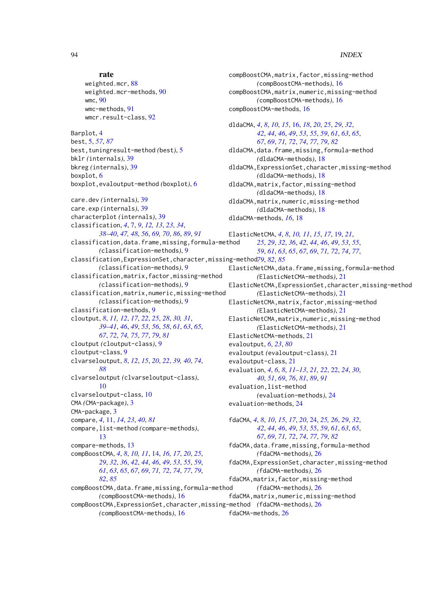```
rate
    weighted.mcr, 88
    weighted.mcr-methods, 90
    wmc, 90
    wmc-methods, 91
    wmcr.result-class, 92
Barplot, 4
best, 5, 57, 87
best,tuningresult-method (best), 5
bklr (internals), 39
bkreg (internals), 39
boxplot, 6
boxplot,evaloutput-method (boxplot), 6
care.dev (internals), 39
care.exp (internals), 39
characterplot (internals), 39
classification, 4, 7, 9, 12, 13, 23, 34,
         38–40, 47, 48, 56, 69, 70, 86, 89, 91
classification,data.frame,missing,formula-method
         (classification-methods), 9
classification,ExpressionSet,character,missing-method
79, 82, 85
        (classification-methods), 9
classification,matrix,factor,missing-method
         (classification-methods), 9
classification,matrix,numeric,missing-method
        (classification-methods), 9
classification-methods, 9
cloutput, 8, 11, 12, 17, 22, 25, 28, 30, 31,
         39–41, 46, 49, 53, 56, 58, 61, 63, 65,
         67, 72, 74, 75, 77, 79, 81
cloutput (cloutput-class), 9
cloutput-class, 9
clvarseloutput, 8, 12, 15, 20, 22, 39, 40, 74,
         88
clvarseloutput (clvarseloutput-class),
         10
clvarseloutput-class, 10
CMA (CMA-package), 3
CMA-package, 3
compare, 4, 11, 14, 23, 40, 81
compare,list-method (compare-methods),
         13
compare-methods, 13
compBoostCMA, 4, 8, 10, 11, 14, 16, 17, 20, 25,
         29, 32, 36, 42, 44, 46, 49, 53, 55, 59,
         61, 63, 65, 67, 69, 71, 72, 74, 77, 79,
         82, 85
compBoostCMA,data.frame,missing,formula-method
         (compBoostCMA-methods), 16
compBoostCMA,ExpressionSet,character,missing-method
(fdaCMA-methods), 26
```
*(*compBoostCMA-methods*)*, [16](#page-15-1)

compBoostCMA,matrix,factor,missing-method *(*compBoostCMA-methods*)*, [16](#page-15-1) compBoostCMA,matrix,numeric,missing-method *(*compBoostCMA-methods*)*, [16](#page-15-1) compBoostCMA-methods, [16](#page-15-1) dldaCMA, *[4](#page-3-0)*, *[8](#page-7-0)*, *[10](#page-9-1)*, *[15](#page-14-0)*, [16,](#page-15-1) *[18](#page-17-0)*, *[20](#page-19-0)*, *[25](#page-24-0)*, *[29](#page-28-0)*, *[32](#page-31-0)*, *[42](#page-41-0)*, *[44](#page-43-0)*, *[46](#page-45-0)*, *[49](#page-48-0)*, *[53](#page-52-0)*, *[55](#page-54-0)*, *[59](#page-58-0)*, *[61](#page-60-0)*, *[63](#page-62-0)*, *[65](#page-64-0)*, *[67](#page-66-0)*, *[69](#page-68-0)*, *[71,](#page-70-1) [72](#page-71-0)*, *[74](#page-73-0)*, *[77](#page-76-0)*, *[79](#page-78-0)*, *[82](#page-81-0)* dldaCMA,data.frame,missing,formula-method *(*dldaCMA-methods*)*, [18](#page-17-0) dldaCMA,ExpressionSet,character,missing-method *(*dldaCMA-methods*)*, [18](#page-17-0) dldaCMA,matrix,factor,missing-method *(*dldaCMA-methods*)*, [18](#page-17-0) dldaCMA,matrix,numeric,missing-method *(*dldaCMA-methods*)*, [18](#page-17-0) dldaCMA-methods, *[16](#page-15-1)*, [18](#page-17-0) ElasticNetCMA, *[4](#page-3-0)*, *[8](#page-7-0)*, *[10,](#page-9-1) [11](#page-10-1)*, *[15](#page-14-0)*, *[17](#page-16-0)*, [19,](#page-18-1) *[21](#page-20-1)*, *[25](#page-24-0)*, *[29](#page-28-0)*, *[32](#page-31-0)*, *[36](#page-35-0)*, *[42](#page-41-0)*, *[44](#page-43-0)*, *[46](#page-45-0)*, *[49](#page-48-0)*, *[53](#page-52-0)*, *[55](#page-54-0)*, *[59](#page-58-0)*, *[61](#page-60-0)*, *[63](#page-62-0)*, *[65](#page-64-0)*, *[67](#page-66-0)*, *[69](#page-68-0)*, *[71,](#page-70-1) [72](#page-71-0)*, *[74](#page-73-0)*, *[77](#page-76-0)*, ElasticNetCMA,data.frame,missing,formula-method *(*ElasticNetCMA-methods*)*, [21](#page-20-1) ElasticNetCMA,ExpressionSet,character,missing-method *(*ElasticNetCMA-methods*)*, [21](#page-20-1) ElasticNetCMA,matrix,factor,missing-method *(*ElasticNetCMA-methods*)*, [21](#page-20-1) ElasticNetCMA,matrix,numeric,missing-method *(*ElasticNetCMA-methods*)*, [21](#page-20-1) ElasticNetCMA-methods, [21](#page-20-1) evaloutput, *[6](#page-5-0)*, *[23](#page-22-0)*, *[80](#page-79-1)* evaloutput *(*evaloutput-class*)*, [21](#page-20-1) evaloutput-class, [21](#page-20-1) evaluation, *[4](#page-3-0)*, *[6](#page-5-0)*, *[8](#page-7-0)*, *[11](#page-10-1)[–13](#page-12-0)*, *[21,](#page-20-1) [22](#page-21-1)*, [22,](#page-21-1) *[24](#page-23-1)*, *[30](#page-29-1)*, *[40](#page-39-0)*, *[51](#page-50-1)*, *[69](#page-68-0)*, *[76](#page-75-1)*, *[81](#page-80-1)*, *[89](#page-88-0)*, *[91](#page-90-0)* evaluation,list-method *(*evaluation-methods*)*, [24](#page-23-1) evaluation-methods, [24](#page-23-1) fdaCMA, *[4](#page-3-0)*, *[8](#page-7-0)*, *[10](#page-9-1)*, *[15](#page-14-0)*, *[17](#page-16-0)*, *[20](#page-19-0)*, [24,](#page-23-1) *[25,](#page-24-0) [26](#page-25-0)*, *[29](#page-28-0)*, *[32](#page-31-0)*, *[42](#page-41-0)*, *[44](#page-43-0)*, *[46](#page-45-0)*, *[49](#page-48-0)*, *[53](#page-52-0)*, *[55](#page-54-0)*, *[59](#page-58-0)*, *[61](#page-60-0)*, *[63](#page-62-0)*, *[65](#page-64-0)*, *[67](#page-66-0)*, *[69](#page-68-0)*, *[71,](#page-70-1) [72](#page-71-0)*, *[74](#page-73-0)*, *[77](#page-76-0)*, *[79](#page-78-0)*, *[82](#page-81-0)* fdaCMA,data.frame,missing,formula-method

*(*fdaCMA-methods*)*, [26](#page-25-0)

*(*fdaCMA-methods*)*, [26](#page-25-0) fdaCMA,matrix,factor,missing-method *(*fdaCMA-methods*)*, [26](#page-25-0) fdaCMA,matrix,numeric,missing-method

fdaCMA-methods, [26](#page-25-0)

fdaCMA,ExpressionSet,character,missing-method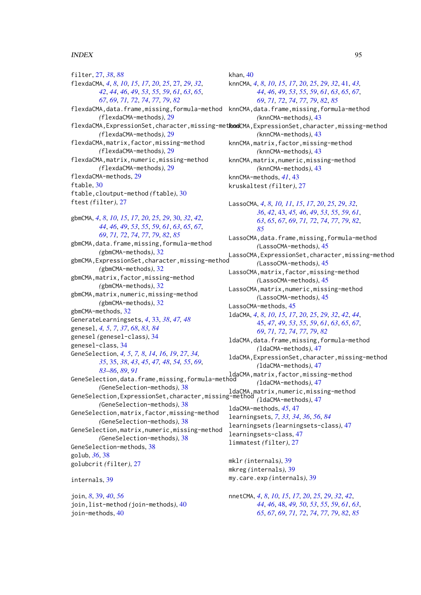filter, [27,](#page-26-2) *[38](#page-37-0)*, *[88](#page-87-1)* flexdaCMA, *[4](#page-3-0)*, *[8](#page-7-0)*, *[10](#page-9-1)*, *[15](#page-14-0)*, *[17](#page-16-0)*, *[20](#page-19-0)*, *[25](#page-24-0)*, [27,](#page-26-2) *[29](#page-28-0)*, *[32](#page-31-0)*, *[42](#page-41-0)*, *[44](#page-43-0)*, *[46](#page-45-0)*, *[49](#page-48-0)*, *[53](#page-52-0)*, *[55](#page-54-0)*, *[59](#page-58-0)*, *[61](#page-60-0)*, *[63](#page-62-0)*, *[65](#page-64-0)*, *[67](#page-66-0)*, *[69](#page-68-0)*, *[71,](#page-70-1) [72](#page-71-0)*, *[74](#page-73-0)*, *[77](#page-76-0)*, *[79](#page-78-0)*, *[82](#page-81-0)* flexdaCMA,data.frame,missing,formula-method *(*flexdaCMA-methods*)*, [29](#page-28-0) *(*flexdaCMA-methods*)*, [29](#page-28-0) flexdaCMA,matrix,factor,missing-method *(*flexdaCMA-methods*)*, [29](#page-28-0) flexdaCMA,matrix,numeric,missing-method *(*flexdaCMA-methods*)*, [29](#page-28-0) flexdaCMA-methods, [29](#page-28-0) ftable, [30](#page-29-1) ftable,cloutput-method *(*ftable*)*, [30](#page-29-1) ftest *(*filter*)*, [27](#page-26-2) gbmCMA, *[4](#page-3-0)*, *[8](#page-7-0)*, *[10](#page-9-1)*, *[15](#page-14-0)*, *[17](#page-16-0)*, *[20](#page-19-0)*, *[25](#page-24-0)*, *[29](#page-28-0)*, [30,](#page-29-1) *[32](#page-31-0)*, *[42](#page-41-0)*, *[44](#page-43-0)*, *[46](#page-45-0)*, *[49](#page-48-0)*, *[53](#page-52-0)*, *[55](#page-54-0)*, *[59](#page-58-0)*, *[61](#page-60-0)*, *[63](#page-62-0)*, *[65](#page-64-0)*, *[67](#page-66-0)*, *[69](#page-68-0)*, *[71,](#page-70-1) [72](#page-71-0)*, *[74](#page-73-0)*, *[77](#page-76-0)*, *[79](#page-78-0)*, *[82](#page-81-0)*, *[85](#page-84-0)* gbmCMA,data.frame,missing,formula-method *(*gbmCMA-methods*)*, [32](#page-31-0) gbmCMA,ExpressionSet,character,missing-method *(*gbmCMA-methods*)*, [32](#page-31-0) gbmCMA,matrix,factor,missing-method *(*gbmCMA-methods*)*, [32](#page-31-0) gbmCMA,matrix,numeric,missing-method *(*gbmCMA-methods*)*, [32](#page-31-0) gbmCMA-methods, [32](#page-31-0) GenerateLearningsets, *[4](#page-3-0)*, [33,](#page-32-0) *[38](#page-37-0)*, *[47,](#page-46-1) [48](#page-47-1)* genesel, *[4,](#page-3-0) [5](#page-4-1)*, *[7](#page-6-1)*, *[37](#page-36-0)*, *[68](#page-67-0)*, *[83,](#page-82-1) [84](#page-83-1)* genesel *(*genesel-class*)*, [34](#page-33-1) genesel-class, [34](#page-33-1) GeneSelection, *[4,](#page-3-0) [5](#page-4-1)*, *[7,](#page-6-1) [8](#page-7-0)*, *[14](#page-13-1)*, *[16](#page-15-1)*, *[19](#page-18-1)*, *[27](#page-26-2)*, *[34,](#page-33-1) [35](#page-34-1)*, [35,](#page-34-1) *[38](#page-37-0)*, *[43](#page-42-1)*, *[45](#page-44-1)*, *[47,](#page-46-1) [48](#page-47-1)*, *[54,](#page-53-0) [55](#page-54-0)*, *[69](#page-68-0)*, *[83](#page-82-1)[–86](#page-85-0)*, *[89](#page-88-0)*, *[91](#page-90-0)* GeneSelection,data.frame,missing,formula-method ldaCMA,matrix,factor,missing-method *(*GeneSelection-methods*)*, [38](#page-37-0) GeneSelection,ExpressionSet,character,missing-method ldaCMA,matrix,numeric,missing-method *(*GeneSelection-methods*)*, [38](#page-37-0) GeneSelection,matrix,factor,missing-method *(*GeneSelection-methods*)*, [38](#page-37-0) GeneSelection,matrix,numeric,missing-method *(*GeneSelection-methods*)*, [38](#page-37-0) GeneSelection-methods, [38](#page-37-0) golub, *[36](#page-35-0)*, [38](#page-37-0) golubcrit *(*filter*)*, [27](#page-26-2) internals, [39](#page-38-0) join, *[8](#page-7-0)*, [39,](#page-38-0) *[40](#page-39-0)*, *[56](#page-55-0)* join,list-method *(*join-methods*)*, [40](#page-39-0) join-methods, [40](#page-39-0)

# khan, [40](#page-39-0)

flexdaCMA,ExpressionSet,character,missing-met**kod**CMA,ExpressionSet,character,missing-method knnCMA, *[4](#page-3-0)*, *[8](#page-7-0)*, *[10](#page-9-1)*, *[15](#page-14-0)*, *[17](#page-16-0)*, *[20](#page-19-0)*, *[25](#page-24-0)*, *[29](#page-28-0)*, *[32](#page-31-0)*, [41,](#page-40-1) *[43,](#page-42-1) [44](#page-43-0)*, *[46](#page-45-0)*, *[49](#page-48-0)*, *[53](#page-52-0)*, *[55](#page-54-0)*, *[59](#page-58-0)*, *[61](#page-60-0)*, *[63](#page-62-0)*, *[65](#page-64-0)*, *[67](#page-66-0)*, *[69](#page-68-0)*, *[71,](#page-70-1) [72](#page-71-0)*, *[74](#page-73-0)*, *[77](#page-76-0)*, *[79](#page-78-0)*, *[82](#page-81-0)*, *[85](#page-84-0)* knnCMA,data.frame,missing,formula-method *(*knnCMA-methods*)*, [43](#page-42-1) *(*knnCMA-methods*)*, [43](#page-42-1) knnCMA,matrix,factor,missing-method *(*knnCMA-methods*)*, [43](#page-42-1) knnCMA,matrix,numeric,missing-method *(*knnCMA-methods*)*, [43](#page-42-1) knnCMA-methods, *[41](#page-40-1)*, [43](#page-42-1) kruskaltest *(*filter*)*, [27](#page-26-2)

> LassoCMA, *[4](#page-3-0)*, *[8](#page-7-0)*, *[10,](#page-9-1) [11](#page-10-1)*, *[15](#page-14-0)*, *[17](#page-16-0)*, *[20](#page-19-0)*, *[25](#page-24-0)*, *[29](#page-28-0)*, *[32](#page-31-0)*, *[36](#page-35-0)*, *[42](#page-41-0)*, [43,](#page-42-1) *[45,](#page-44-1) [46](#page-45-0)*, *[49](#page-48-0)*, *[53](#page-52-0)*, *[55](#page-54-0)*, *[59](#page-58-0)*, *[61](#page-60-0)*, *[63](#page-62-0)*, *[65](#page-64-0)*, *[67](#page-66-0)*, *[69](#page-68-0)*, *[71,](#page-70-1) [72](#page-71-0)*, *[74](#page-73-0)*, *[77](#page-76-0)*, *[79](#page-78-0)*, *[82](#page-81-0)*, *[85](#page-84-0)* LassoCMA,data.frame,missing,formula-method *(*LassoCMA-methods*)*, [45](#page-44-1) LassoCMA,ExpressionSet,character,missing-method *(*LassoCMA-methods*)*, [45](#page-44-1) LassoCMA,matrix,factor,missing-method *(*LassoCMA-methods*)*, [45](#page-44-1) LassoCMA,matrix,numeric,missing-method *(*LassoCMA-methods*)*, [45](#page-44-1) LassoCMA-methods, [45](#page-44-1) ldaCMA, *[4](#page-3-0)*, *[8](#page-7-0)*, *[10](#page-9-1)*, *[15](#page-14-0)*, *[17](#page-16-0)*, *[20](#page-19-0)*, *[25](#page-24-0)*, *[29](#page-28-0)*, *[32](#page-31-0)*, *[42](#page-41-0)*, *[44](#page-43-0)*, [45,](#page-44-1) *[47](#page-46-1)*, *[49](#page-48-0)*, *[53](#page-52-0)*, *[55](#page-54-0)*, *[59](#page-58-0)*, *[61](#page-60-0)*, *[63](#page-62-0)*, *[65](#page-64-0)*, *[67](#page-66-0)*, *[69](#page-68-0)*, *[71,](#page-70-1) [72](#page-71-0)*, *[74](#page-73-0)*, *[77](#page-76-0)*, *[79](#page-78-0)*, *[82](#page-81-0)* ldaCMA,data.frame,missing,formula-method *(*ldaCMA-methods*)*, [47](#page-46-1) ldaCMA,ExpressionSet,character,missing-method *(*ldaCMA-methods*)*, [47](#page-46-1) *(*ldaCMA-methods*)*, [47](#page-46-1) *(*ldaCMA-methods*)*, [47](#page-46-1) ldaCMA-methods, *[45](#page-44-1)*, [47](#page-46-1) learningsets, *[7](#page-6-1)*, *[33,](#page-32-0) [34](#page-33-1)*, *[36](#page-35-0)*, *[56](#page-55-0)*, *[84](#page-83-1)* learningsets *(*learningsets-class*)*, [47](#page-46-1) learningsets-class, [47](#page-46-1) limmatest *(*filter*)*, [27](#page-26-2) mklr *(*internals*)*, [39](#page-38-0) mkreg *(*internals*)*, [39](#page-38-0) my.care.exp *(*internals*)*, [39](#page-38-0)

nnetCMA, *[4](#page-3-0)*, *[8](#page-7-0)*, *[10](#page-9-1)*, *[15](#page-14-0)*, *[17](#page-16-0)*, *[20](#page-19-0)*, *[25](#page-24-0)*, *[29](#page-28-0)*, *[32](#page-31-0)*, *[42](#page-41-0)*, *[44](#page-43-0)*, *[46](#page-45-0)*, [48,](#page-47-1) *[49,](#page-48-0) [50](#page-49-0)*, *[53](#page-52-0)*, *[55](#page-54-0)*, *[59](#page-58-0)*, *[61](#page-60-0)*, *[63](#page-62-0)*, *[65](#page-64-0)*, *[67](#page-66-0)*, *[69](#page-68-0)*, *[71,](#page-70-1) [72](#page-71-0)*, *[74](#page-73-0)*, *[77](#page-76-0)*, *[79](#page-78-0)*, *[82](#page-81-0)*, *[85](#page-84-0)*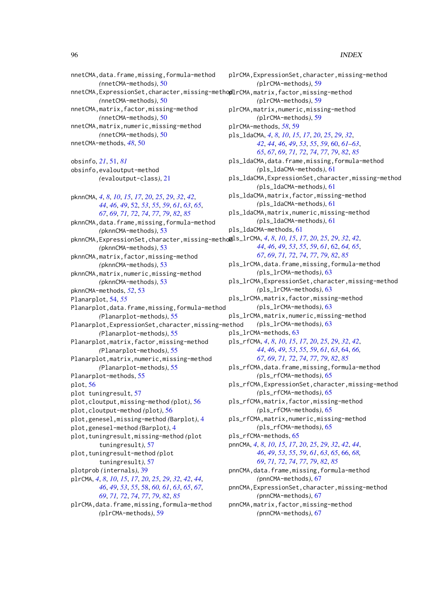nnetCMA,data.frame,missing,formula-method *(*nnetCMA-methods*)*, [50](#page-49-0) nnetCMA, ExpressionSet, character, missing-methopllrCMA, matrix, factor, missing-method *(*nnetCMA-methods*)*, [50](#page-49-0) nnetCMA,matrix,factor,missing-method *(*nnetCMA-methods*)*, [50](#page-49-0) nnetCMA,matrix,numeric,missing-method *(*nnetCMA-methods*)*, [50](#page-49-0) nnetCMA-methods, *[48](#page-47-1)*, [50](#page-49-0) obsinfo, *[21](#page-20-1)*, [51,](#page-50-1) *[81](#page-80-1)* obsinfo,evaloutput-method *(*evaloutput-class*)*, [21](#page-20-1) pknnCMA, *[4](#page-3-0)*, *[8](#page-7-0)*, *[10](#page-9-1)*, *[15](#page-14-0)*, *[17](#page-16-0)*, *[20](#page-19-0)*, *[25](#page-24-0)*, *[29](#page-28-0)*, *[32](#page-31-0)*, *[42](#page-41-0)*, *[44](#page-43-0)*, *[46](#page-45-0)*, *[49](#page-48-0)*, [52,](#page-51-1) *[53](#page-52-0)*, *[55](#page-54-0)*, *[59](#page-58-0)*, *[61](#page-60-0)*, *[63](#page-62-0)*, *[65](#page-64-0)*, *[67](#page-66-0)*, *[69](#page-68-0)*, *[71,](#page-70-1) [72](#page-71-0)*, *[74](#page-73-0)*, *[77](#page-76-0)*, *[79](#page-78-0)*, *[82](#page-81-0)*, *[85](#page-84-0)* pknnCMA,data.frame,missing,formula-method *(*pknnCMA-methods*)*, [53](#page-52-0) pknnCMA,ExpressionSet,character,missing-method pls\_lrCMA, *[4](#page-3-0)*, *[8](#page-7-0)*, *[10](#page-9-1)*, *[15](#page-14-0)*, *[17](#page-16-0)*, *[20](#page-19-0)*, *[25](#page-24-0)*, *[29](#page-28-0)*, *[32](#page-31-0)*, *[42](#page-41-0)*, *(*pknnCMA-methods*)*, [53](#page-52-0) pknnCMA,matrix,factor,missing-method *(*pknnCMA-methods*)*, [53](#page-52-0) pknnCMA,matrix,numeric,missing-method *(*pknnCMA-methods*)*, [53](#page-52-0) pknnCMA-methods, *[52](#page-51-1)*, [53](#page-52-0) Planarplot, [54,](#page-53-0) *[55](#page-54-0)* Planarplot,data.frame,missing,formula-method *(*Planarplot-methods*)*, [55](#page-54-0) Planarplot,ExpressionSet,character,missing-method *(*Planarplot-methods*)*, [55](#page-54-0) Planarplot,matrix,factor,missing-method *(*Planarplot-methods*)*, [55](#page-54-0) Planarplot,matrix,numeric,missing-method *(*Planarplot-methods*)*, [55](#page-54-0) Planarplot-methods, [55](#page-54-0) plot, [56](#page-55-0) plot tuningresult, [57](#page-56-0) plot,cloutput,missing-method *(*plot*)*, [56](#page-55-0) plot,cloutput-method *(*plot*)*, [56](#page-55-0) plot,genesel,missing-method *(*Barplot*)*, [4](#page-3-0) plot,genesel-method *(*Barplot*)*, [4](#page-3-0) plot,tuningresult,missing-method *(*plot tuningresult*)*, [57](#page-56-0) plot,tuningresult-method *(*plot tuningresult*)*, [57](#page-56-0) plotprob *(*internals*)*, [39](#page-38-0) plrCMA, *[4](#page-3-0)*, *[8](#page-7-0)*, *[10](#page-9-1)*, *[15](#page-14-0)*, *[17](#page-16-0)*, *[20](#page-19-0)*, *[25](#page-24-0)*, *[29](#page-28-0)*, *[32](#page-31-0)*, *[42](#page-41-0)*, *[44](#page-43-0)*, *[46](#page-45-0)*, *[49](#page-48-0)*, *[53](#page-52-0)*, *[55](#page-54-0)*, [58,](#page-57-1) *[60,](#page-59-1) [61](#page-60-0)*, *[63](#page-62-0)*, *[65](#page-64-0)*, *[67](#page-66-0)*, *[69](#page-68-0)*, *[71,](#page-70-1) [72](#page-71-0)*, *[74](#page-73-0)*, *[77](#page-76-0)*, *[79](#page-78-0)*, *[82](#page-81-0)*, *[85](#page-84-0)* plrCMA,data.frame,missing,formula-method *(*plrCMA-methods*)*, [59](#page-58-0)

plrCMA,ExpressionSet,character,missing-method *(*plrCMA-methods*)*, [59](#page-58-0) *(*plrCMA-methods*)*, [59](#page-58-0) plrCMA,matrix,numeric,missing-method *(*plrCMA-methods*)*, [59](#page-58-0) plrCMA-methods, *[58](#page-57-1)*, [59](#page-58-0) pls\_ldaCMA, *[4](#page-3-0)*, *[8](#page-7-0)*, *[10](#page-9-1)*, *[15](#page-14-0)*, *[17](#page-16-0)*, *[20](#page-19-0)*, *[25](#page-24-0)*, *[29](#page-28-0)*, *[32](#page-31-0)*, *[42](#page-41-0)*, *[44](#page-43-0)*, *[46](#page-45-0)*, *[49](#page-48-0)*, *[53](#page-52-0)*, *[55](#page-54-0)*, *[59](#page-58-0)*, [60,](#page-59-1) *[61](#page-60-0)[–63](#page-62-0)*, *[65](#page-64-0)*, *[67](#page-66-0)*, *[69](#page-68-0)*, *[71,](#page-70-1) [72](#page-71-0)*, *[74](#page-73-0)*, *[77](#page-76-0)*, *[79](#page-78-0)*, *[82](#page-81-0)*, *[85](#page-84-0)* pls\_ldaCMA,data.frame,missing,formula-method *(*pls\_ldaCMA-methods*)*, [61](#page-60-0) pls\_ldaCMA,ExpressionSet,character,missing-method *(*pls\_ldaCMA-methods*)*, [61](#page-60-0) pls\_ldaCMA,matrix,factor,missing-method *(*pls\_ldaCMA-methods*)*, [61](#page-60-0) pls\_ldaCMA,matrix,numeric,missing-method *(*pls\_ldaCMA-methods*)*, [61](#page-60-0) pls\_ldaCMA-methods, [61](#page-60-0) *[44](#page-43-0)*, *[46](#page-45-0)*, *[49](#page-48-0)*, *[53](#page-52-0)*, *[55](#page-54-0)*, *[59](#page-58-0)*, *[61](#page-60-0)*, [62,](#page-61-1) *[64,](#page-63-1) [65](#page-64-0)*, *[67](#page-66-0)*, *[69](#page-68-0)*, *[71,](#page-70-1) [72](#page-71-0)*, *[74](#page-73-0)*, *[77](#page-76-0)*, *[79](#page-78-0)*, *[82](#page-81-0)*, *[85](#page-84-0)* pls\_lrCMA,data.frame,missing,formula-method *(*pls\_lrCMA-methods*)*, [63](#page-62-0) pls\_lrCMA,ExpressionSet,character,missing-method *(*pls\_lrCMA-methods*)*, [63](#page-62-0) pls\_lrCMA,matrix,factor,missing-method *(*pls\_lrCMA-methods*)*, [63](#page-62-0) pls\_lrCMA,matrix,numeric,missing-method *(*pls\_lrCMA-methods*)*, [63](#page-62-0) pls\_lrCMA-methods, [63](#page-62-0) pls\_rfCMA, *[4](#page-3-0)*, *[8](#page-7-0)*, *[10](#page-9-1)*, *[15](#page-14-0)*, *[17](#page-16-0)*, *[20](#page-19-0)*, *[25](#page-24-0)*, *[29](#page-28-0)*, *[32](#page-31-0)*, *[42](#page-41-0)*, *[44](#page-43-0)*, *[46](#page-45-0)*, *[49](#page-48-0)*, *[53](#page-52-0)*, *[55](#page-54-0)*, *[59](#page-58-0)*, *[61](#page-60-0)*, *[63](#page-62-0)*, [64,](#page-63-1) *[66,](#page-65-1) [67](#page-66-0)*, *[69](#page-68-0)*, *[71,](#page-70-1) [72](#page-71-0)*, *[74](#page-73-0)*, *[77](#page-76-0)*, *[79](#page-78-0)*, *[82](#page-81-0)*, *[85](#page-84-0)* pls\_rfCMA,data.frame,missing,formula-method *(*pls\_rfCMA-methods*)*, [65](#page-64-0) pls\_rfCMA,ExpressionSet,character,missing-method *(*pls\_rfCMA-methods*)*, [65](#page-64-0) pls\_rfCMA,matrix,factor,missing-method *(*pls\_rfCMA-methods*)*, [65](#page-64-0) pls\_rfCMA,matrix,numeric,missing-method *(*pls\_rfCMA-methods*)*, [65](#page-64-0) pls\_rfCMA-methods, [65](#page-64-0) pnnCMA, *[4](#page-3-0)*, *[8](#page-7-0)*, *[10](#page-9-1)*, *[15](#page-14-0)*, *[17](#page-16-0)*, *[20](#page-19-0)*, *[25](#page-24-0)*, *[29](#page-28-0)*, *[32](#page-31-0)*, *[42](#page-41-0)*, *[44](#page-43-0)*, *[46](#page-45-0)*, *[49](#page-48-0)*, *[53](#page-52-0)*, *[55](#page-54-0)*, *[59](#page-58-0)*, *[61](#page-60-0)*, *[63](#page-62-0)*, *[65](#page-64-0)*, [66,](#page-65-1) *[68,](#page-67-0) [69](#page-68-0)*, *[71,](#page-70-1) [72](#page-71-0)*, *[74](#page-73-0)*, *[77](#page-76-0)*, *[79](#page-78-0)*, *[82](#page-81-0)*, *[85](#page-84-0)* pnnCMA,data.frame,missing,formula-method *(*pnnCMA-methods*)*, [67](#page-66-0) pnnCMA,ExpressionSet,character,missing-method *(*pnnCMA-methods*)*, [67](#page-66-0) pnnCMA,matrix,factor,missing-method *(*pnnCMA-methods*)*, [67](#page-66-0)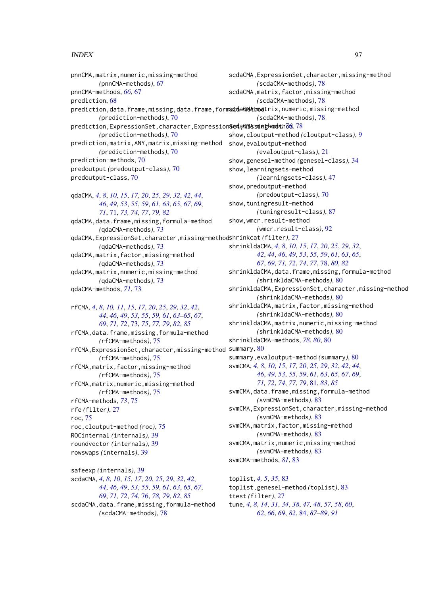pnnCMA,matrix,numeric,missing-method *(*pnnCMA-methods*)*, [67](#page-66-0) pnnCMA-methods, *[66](#page-65-1)*, [67](#page-66-0) prediction, [68](#page-67-0) prediction,data.frame,missing,data.frame,form**sdda@MA\moa**trix,numeric,missing-method *(*prediction-methods*)*, [70](#page-69-0) prediction,ExpressionSet,character,Expression**Seda@Nssmet[hod](#page-75-1)s.**hod,[78](#page-77-2) *(*prediction-methods*)*, [70](#page-69-0) prediction,matrix,ANY,matrix,missing-method *(*prediction-methods*)*, [70](#page-69-0) prediction-methods, [70](#page-69-0) predoutput *(*predoutput-class*)*, [70](#page-69-0) predoutput-class, [70](#page-69-0) qdaCMA, *[4](#page-3-0)*, *[8](#page-7-0)*, *[10](#page-9-1)*, *[15](#page-14-0)*, *[17](#page-16-0)*, *[20](#page-19-0)*, *[25](#page-24-0)*, *[29](#page-28-0)*, *[32](#page-31-0)*, *[42](#page-41-0)*, *[44](#page-43-0)*, *[46](#page-45-0)*, *[49](#page-48-0)*, *[53](#page-52-0)*, *[55](#page-54-0)*, *[59](#page-58-0)*, *[61](#page-60-0)*, *[63](#page-62-0)*, *[65](#page-64-0)*, *[67](#page-66-0)*, *[69](#page-68-0)*, *[71](#page-70-1)*, [71,](#page-70-1) *[73,](#page-72-1) [74](#page-73-0)*, *[77](#page-76-0)*, *[79](#page-78-0)*, *[82](#page-81-0)* qdaCMA,data.frame,missing,formula-method *(*qdaCMA-methods*)*, [73](#page-72-1) qdaCMA,ExpressionSet,character,missing-method shrinkcat *(*filter*)*, [27](#page-26-2) *(*qdaCMA-methods*)*, [73](#page-72-1)

qdaCMA,matrix,factor,missing-method *(*qdaCMA-methods*)*, [73](#page-72-1) qdaCMA,matrix,numeric,missing-method

*(*qdaCMA-methods*)*, [73](#page-72-1) qdaCMA-methods, *[71](#page-70-1)*, [73](#page-72-1)

rfCMA, *[4](#page-3-0)*, *[8](#page-7-0)*, *[10,](#page-9-1) [11](#page-10-1)*, *[15](#page-14-0)*, *[17](#page-16-0)*, *[20](#page-19-0)*, *[25](#page-24-0)*, *[29](#page-28-0)*, *[32](#page-31-0)*, *[42](#page-41-0)*, *[44](#page-43-0)*, *[46](#page-45-0)*, *[49](#page-48-0)*, *[53](#page-52-0)*, *[55](#page-54-0)*, *[59](#page-58-0)*, *[61](#page-60-0)*, *[63–](#page-62-0)[65](#page-64-0)*, *[67](#page-66-0)*, *[69](#page-68-0)*, *[71,](#page-70-1) [72](#page-71-0)*, [73,](#page-72-1) *[75](#page-74-1)*, *[77](#page-76-0)*, *[79](#page-78-0)*, *[82](#page-81-0)*, *[85](#page-84-0)* rfCMA,data.frame,missing,formula-method *(*rfCMA-methods*)*, [75](#page-74-1) rfCMA, ExpressionSet, character, missing-method summary,  $80$ *(*rfCMA-methods*)*, [75](#page-74-1) rfCMA,matrix,factor,missing-method *(*rfCMA-methods*)*, [75](#page-74-1) rfCMA,matrix,numeric,missing-method *(*rfCMA-methods*)*, [75](#page-74-1) rfCMA-methods, *[73](#page-72-1)*, [75](#page-74-1) rfe *(*filter*)*, [27](#page-26-2) roc, [75](#page-74-1) roc,cloutput-method *(*roc*)*, [75](#page-74-1) ROCinternal *(*internals*)*, [39](#page-38-0) roundvector *(*internals*)*, [39](#page-38-0) rowswaps *(*internals*)*, [39](#page-38-0)

safeexp *(*internals*)*, [39](#page-38-0) scdaCMA, *[4](#page-3-0)*, *[8](#page-7-0)*, *[10](#page-9-1)*, *[15](#page-14-0)*, *[17](#page-16-0)*, *[20](#page-19-0)*, *[25](#page-24-0)*, *[29](#page-28-0)*, *[32](#page-31-0)*, *[42](#page-41-0)*, *[44](#page-43-0)*, *[46](#page-45-0)*, *[49](#page-48-0)*, *[53](#page-52-0)*, *[55](#page-54-0)*, *[59](#page-58-0)*, *[61](#page-60-0)*, *[63](#page-62-0)*, *[65](#page-64-0)*, *[67](#page-66-0)*, *[69](#page-68-0)*, *[71,](#page-70-1) [72](#page-71-0)*, *[74](#page-73-0)*, [76,](#page-75-1) *[78,](#page-77-2) [79](#page-78-0)*, *[82](#page-81-0)*, *[85](#page-84-0)* scdaCMA,data.frame,missing,formula-method *(*scdaCMA-methods*)*, [78](#page-77-2)

scdaCMA,ExpressionSet,character,missing-method *(*scdaCMA-methods*)*, [78](#page-77-2) scdaCMA,matrix,factor,missing-method *(*scdaCMA-methods*)*, [78](#page-77-2) *(*scdaCMA-methods*)*, [78](#page-77-2) show,cloutput-method *(*cloutput-class*)*, [9](#page-8-1) show,evaloutput-method *(*evaloutput-class*)*, [21](#page-20-1) show,genesel-method *(*genesel-class*)*, [34](#page-33-1) show,learningsets-method *(*learningsets-class*)*, [47](#page-46-1) show,predoutput-method *(*predoutput-class*)*, [70](#page-69-0) show,tuningresult-method *(*tuningresult-class*)*, [87](#page-86-1) show,wmcr.result-method *(*wmcr.result-class*)*, [92](#page-91-0) shrinkldaCMA, *[4](#page-3-0)*, *[8](#page-7-0)*, *[10](#page-9-1)*, *[15](#page-14-0)*, *[17](#page-16-0)*, *[20](#page-19-0)*, *[25](#page-24-0)*, *[29](#page-28-0)*, *[32](#page-31-0)*, *[42](#page-41-0)*, *[44](#page-43-0)*, *[46](#page-45-0)*, *[49](#page-48-0)*, *[53](#page-52-0)*, *[55](#page-54-0)*, *[59](#page-58-0)*, *[61](#page-60-0)*, *[63](#page-62-0)*, *[65](#page-64-0)*, *[67](#page-66-0)*, *[69](#page-68-0)*, *[71,](#page-70-1) [72](#page-71-0)*, *[74](#page-73-0)*, *[77](#page-76-0)*, [78,](#page-77-2) *[80](#page-79-1)*, *[82](#page-81-0)* shrinkldaCMA,data.frame,missing,formula-method *(*shrinkldaCMA-methods*)*, [80](#page-79-1) shrinkldaCMA,ExpressionSet,character,missing-method *(*shrinkldaCMA-methods*)*, [80](#page-79-1) shrinkldaCMA,matrix,factor,missing-method *(*shrinkldaCMA-methods*)*, [80](#page-79-1) shrinkldaCMA,matrix,numeric,missing-method *(*shrinkldaCMA-methods*)*, [80](#page-79-1) shrinkldaCMA-methods, *[78](#page-77-2)*, *[80](#page-79-1)*, [80](#page-79-1) summary,evaloutput-method *(*summary*)*, [80](#page-79-1) svmCMA, *[4](#page-3-0)*, *[8](#page-7-0)*, *[10](#page-9-1)*, *[15](#page-14-0)*, *[17](#page-16-0)*, *[20](#page-19-0)*, *[25](#page-24-0)*, *[29](#page-28-0)*, *[32](#page-31-0)*, *[42](#page-41-0)*, *[44](#page-43-0)*, *[46](#page-45-0)*, *[49](#page-48-0)*, *[53](#page-52-0)*, *[55](#page-54-0)*, *[59](#page-58-0)*, *[61](#page-60-0)*, *[63](#page-62-0)*, *[65](#page-64-0)*, *[67](#page-66-0)*, *[69](#page-68-0)*, *[71,](#page-70-1) [72](#page-71-0)*, *[74](#page-73-0)*, *[77](#page-76-0)*, *[79](#page-78-0)*, [81,](#page-80-1) *[83](#page-82-1)*, *[85](#page-84-0)* svmCMA,data.frame,missing,formula-method *(*svmCMA-methods*)*, [83](#page-82-1) svmCMA, ExpressionSet, character, missing-method *(*svmCMA-methods*)*, [83](#page-82-1) svmCMA,matrix,factor,missing-method *(*svmCMA-methods*)*, [83](#page-82-1) svmCMA, matrix, numeric, missing-method *(*svmCMA-methods*)*, [83](#page-82-1) svmCMA-methods, *[81](#page-80-1)*, [83](#page-82-1) toplist, *[4,](#page-3-0) [5](#page-4-1)*, *[35](#page-34-1)*, [83](#page-82-1)

toplist,genesel-method *(*toplist*)*, [83](#page-82-1) ttest *(*filter*)*, [27](#page-26-2) tune, *[4](#page-3-0)*, *[8](#page-7-0)*, *[14](#page-13-1)*, *[31](#page-30-0)*, *[34](#page-33-1)*, *[38](#page-37-0)*, *[47,](#page-46-1) [48](#page-47-1)*, *[57,](#page-56-0) [58](#page-57-1)*, *[60](#page-59-1)*, *[62](#page-61-1)*, *[66](#page-65-1)*, *[69](#page-68-0)*, *[82](#page-81-0)*, [84,](#page-83-1) *[87](#page-86-1)[–89](#page-88-0)*, *[91](#page-90-0)*